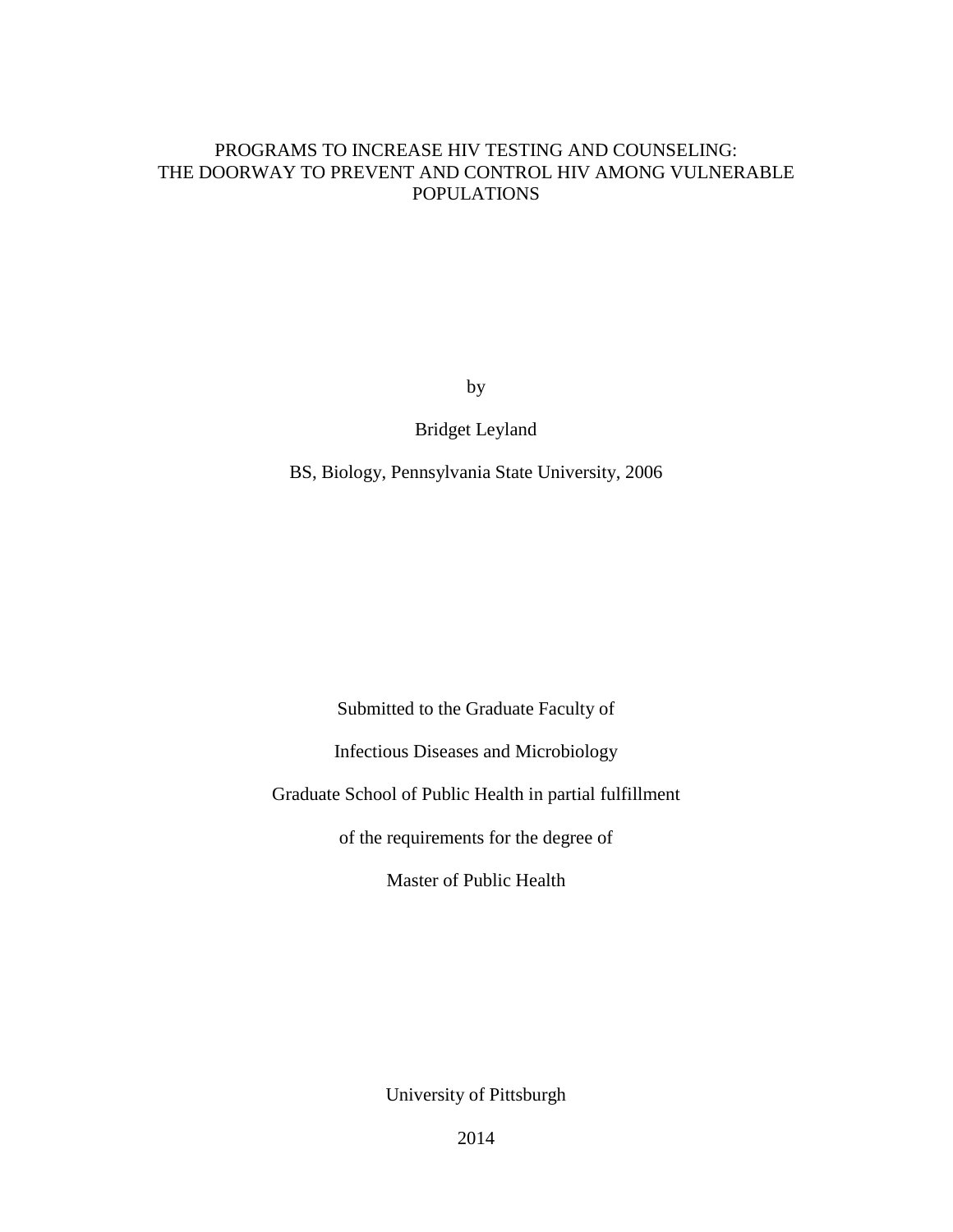# PROGRAMS TO INCREASE HIV TESTING AND COUNSELING: THE DOORWAY TO PREVENT AND CONTROL HIV AMONG VULNERABLE POPULATIONS

by

Bridget Leyland

BS, Biology, Pennsylvania State University, 2006

Submitted to the Graduate Faculty of

Infectious Diseases and Microbiology

Graduate School of Public Health in partial fulfillment

of the requirements for the degree of

Master of Public Health

University of Pittsburgh

2014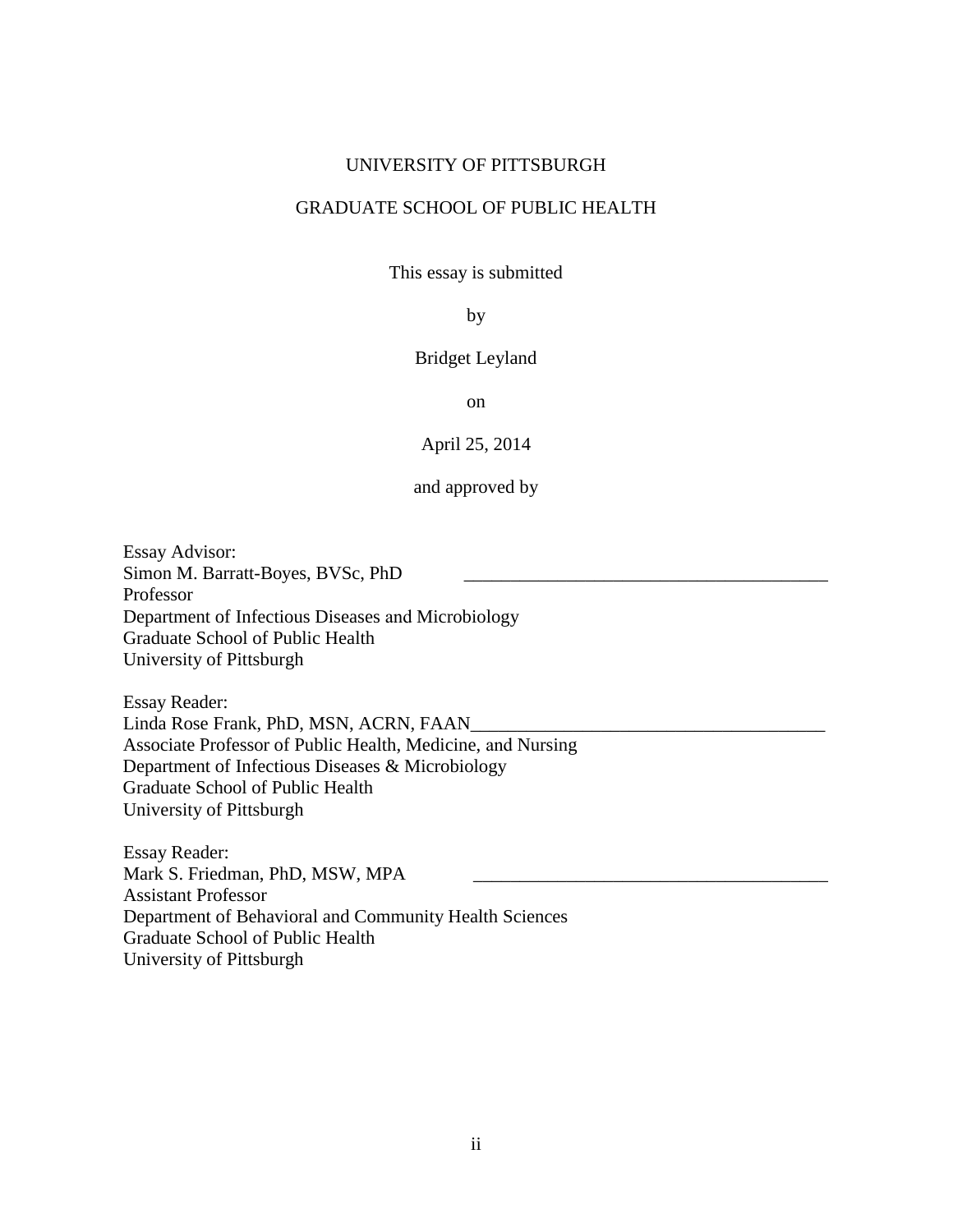#### UNIVERSITY OF PITTSBURGH

### GRADUATE SCHOOL OF PUBLIC HEALTH

This essay is submitted

### by

#### Bridget Leyland

on

#### April 25, 2014

# and approved by

 $\overline{\phantom{a}}$  , we can consider the constant of  $\overline{\phantom{a}}$ Essay Advisor: Simon M. Barratt-Boyes, BVSc, PhD Professor Department of Infectious Diseases and Microbiology Graduate School of Public Health University of Pittsburgh

Essay Reader: Linda Rose Frank, PhD, MSN, ACRN, FAAN\_ Associate Professor of Public Health, Medicine, and Nursing Department of Infectious Diseases & Microbiology Graduate School of Public Health University of Pittsburgh

Essay Reader: Mark S. Friedman, PhD, MSW, MPA Assistant Professor Department of Behavioral and Community Health Sciences Graduate School of Public Health University of Pittsburgh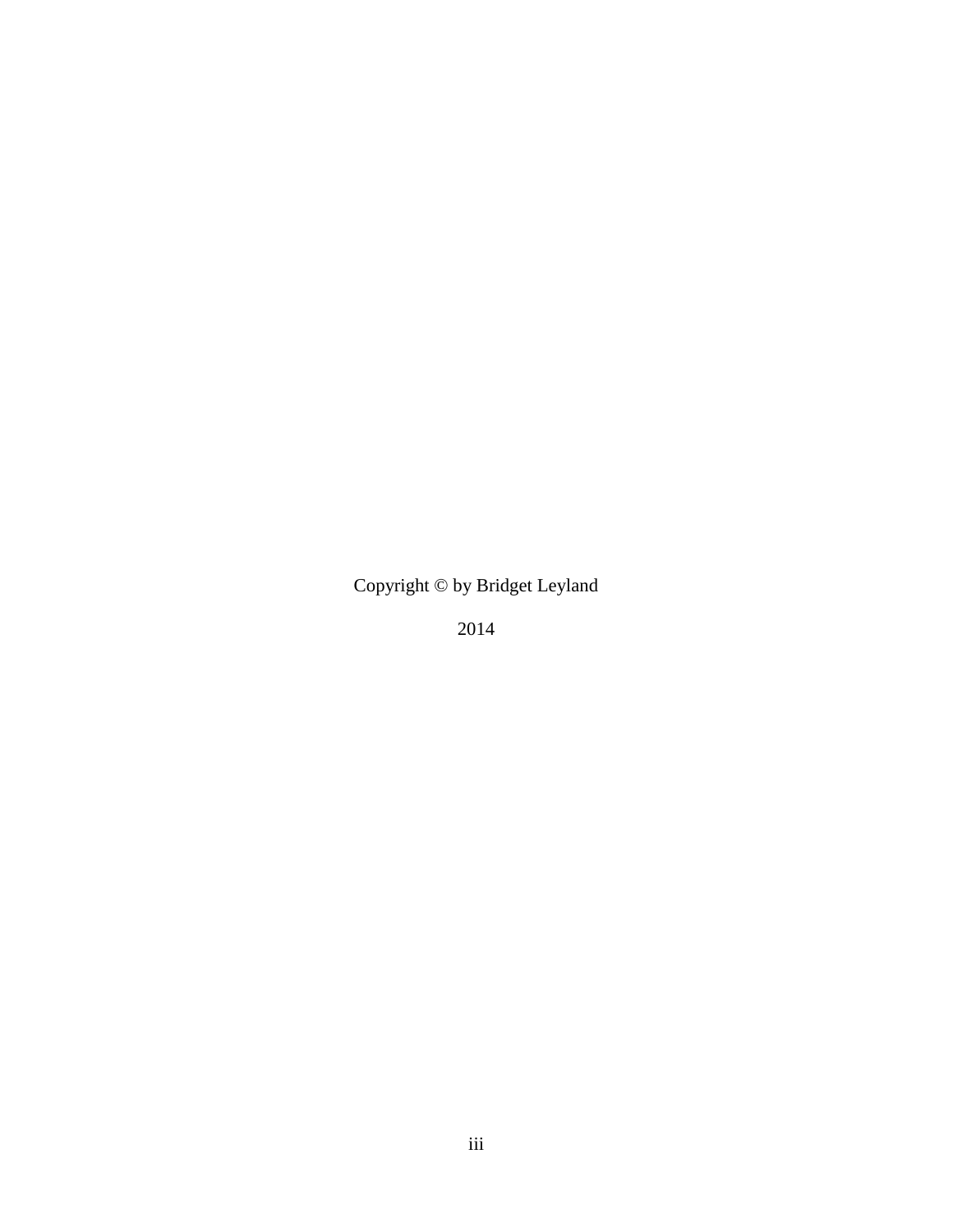Copyright © by Bridget Leyland

2014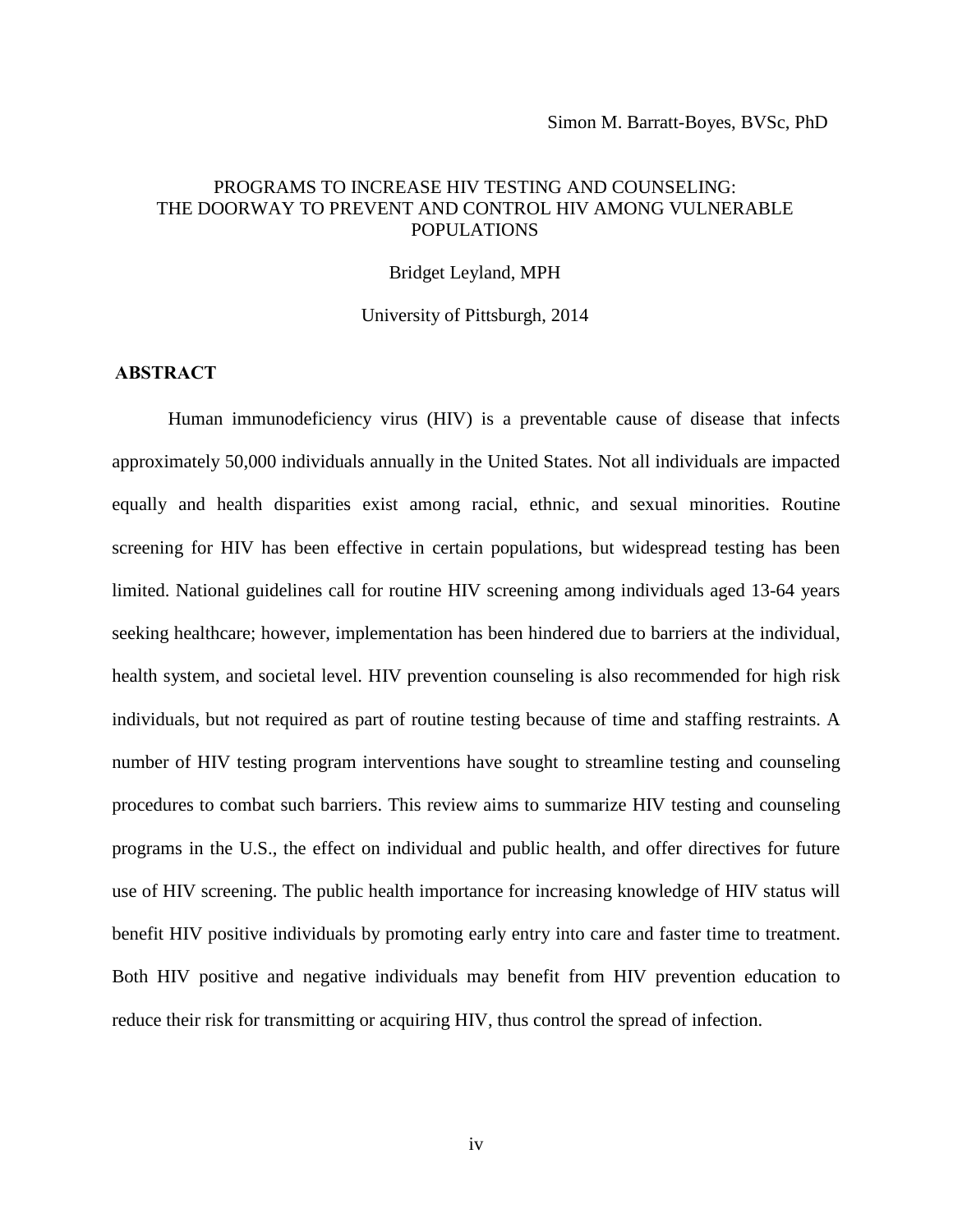# PROGRAMS TO INCREASE HIV TESTING AND COUNSELING: THE DOORWAY TO PREVENT AND CONTROL HIV AMONG VULNERABLE POPULATIONS

Bridget Leyland, MPH

University of Pittsburgh, 2014

#### **ABSTRACT**

Human immunodeficiency virus (HIV) is a preventable cause of disease that infects approximately 50,000 individuals annually in the United States. Not all individuals are impacted equally and health disparities exist among racial, ethnic, and sexual minorities. Routine screening for HIV has been effective in certain populations, but widespread testing has been limited. National guidelines call for routine HIV screening among individuals aged 13-64 years seeking healthcare; however, implementation has been hindered due to barriers at the individual, health system, and societal level. HIV prevention counseling is also recommended for high risk individuals, but not required as part of routine testing because of time and staffing restraints. A number of HIV testing program interventions have sought to streamline testing and counseling procedures to combat such barriers. This review aims to summarize HIV testing and counseling programs in the U.S., the effect on individual and public health, and offer directives for future use of HIV screening. The public health importance for increasing knowledge of HIV status will benefit HIV positive individuals by promoting early entry into care and faster time to treatment. Both HIV positive and negative individuals may benefit from HIV prevention education to reduce their risk for transmitting or acquiring HIV, thus control the spread of infection.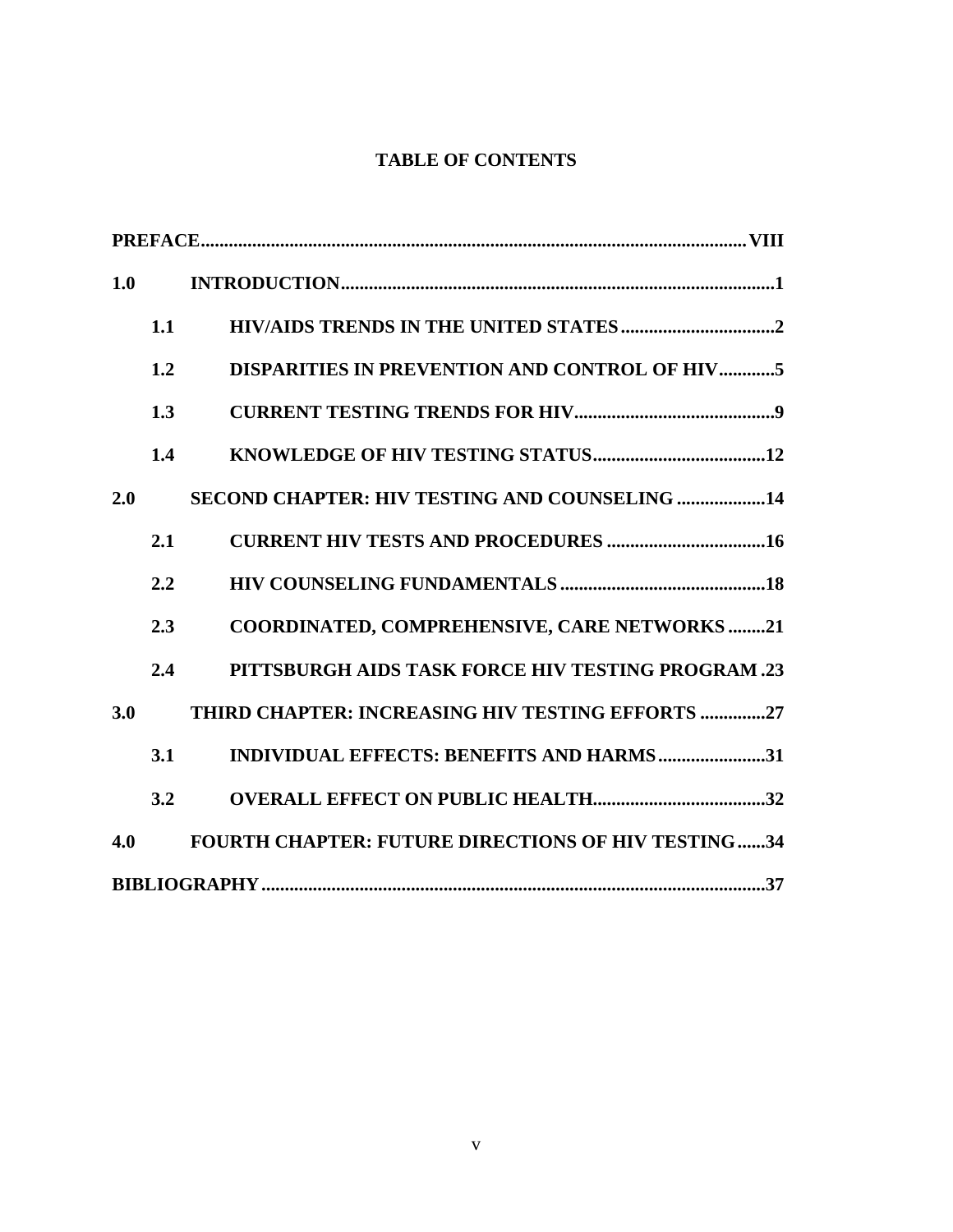# **TABLE OF CONTENTS**

| 1.0 |     |                                                            |  |
|-----|-----|------------------------------------------------------------|--|
|     | 1.1 |                                                            |  |
|     | 1.2 | <b>DISPARITIES IN PREVENTION AND CONTROL OF HIV5</b>       |  |
|     | 1.3 |                                                            |  |
|     | 1.4 |                                                            |  |
| 2.0 |     | SECOND CHAPTER: HIV TESTING AND COUNSELING 14              |  |
|     | 2.1 | <b>CURRENT HIV TESTS AND PROCEDURES 16</b>                 |  |
|     | 2.2 |                                                            |  |
|     | 2.3 | <b>COORDINATED, COMPREHENSIVE, CARE NETWORKS21</b>         |  |
|     | 2.4 | PITTSBURGH AIDS TASK FORCE HIV TESTING PROGRAM.23          |  |
| 3.0 |     | THIRD CHAPTER: INCREASING HIV TESTING EFFORTS 27           |  |
|     | 3.1 | INDIVIDUAL EFFECTS: BENEFITS AND HARMS31                   |  |
|     | 3.2 |                                                            |  |
| 4.0 |     | <b>FOURTH CHAPTER: FUTURE DIRECTIONS OF HIV TESTING 34</b> |  |
|     |     |                                                            |  |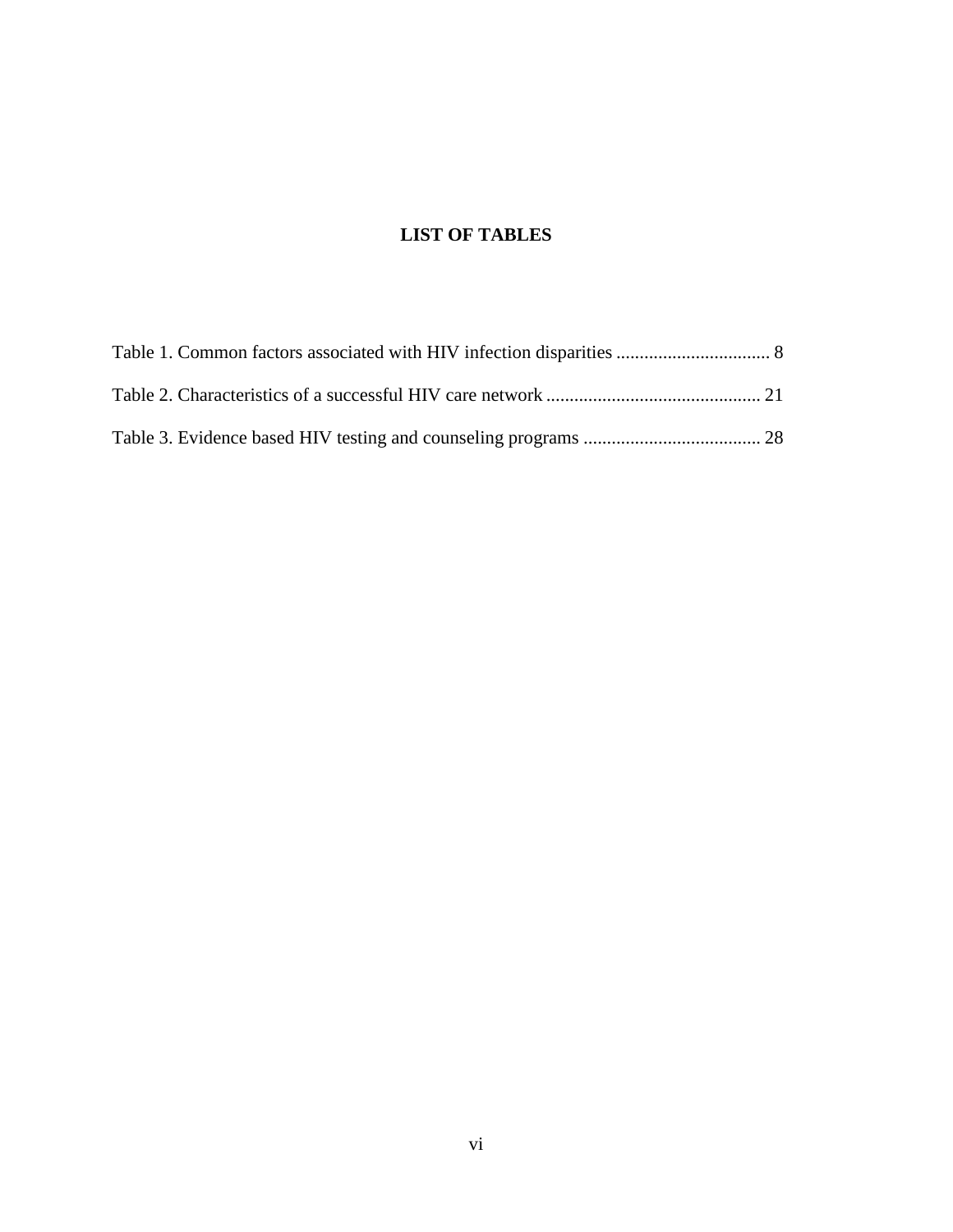# **LIST OF TABLES**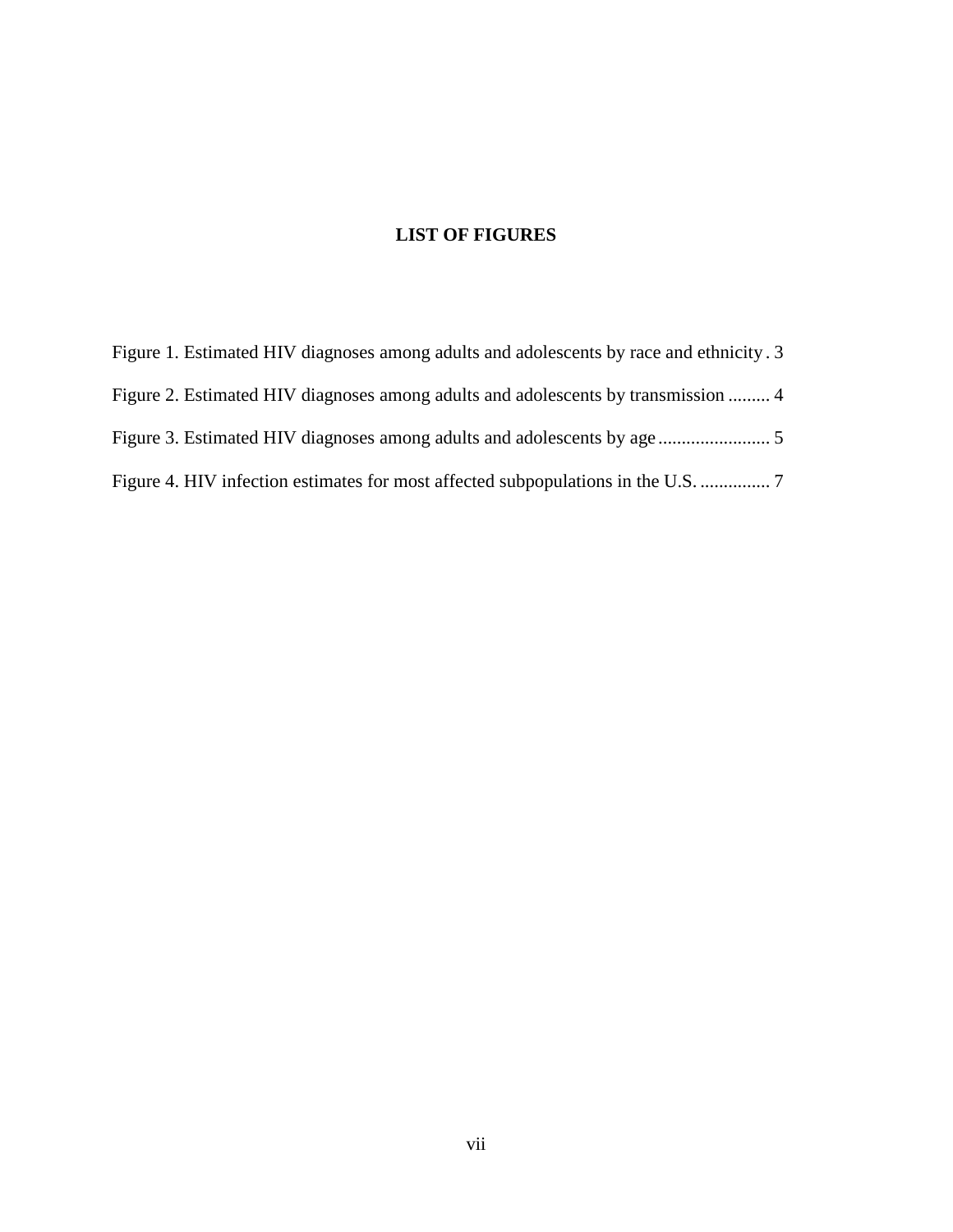# **LIST OF FIGURES**

[Figure 1. Estimated HIV diagnoses among adults and adolescents by race and ethnicity](#page-10-0) . 3 [Figure 2. Estimated HIV diagnoses among adults and adolescents by transmission](#page-11-0) ......... 4 [Figure 3. Estimated HIV diagnoses among adults and adolescents by age](#page-12-1) ........................ 5 [Figure 4. HIV infection estimates for most affected subpopulations in the U.S.](#page-14-0) ............... 7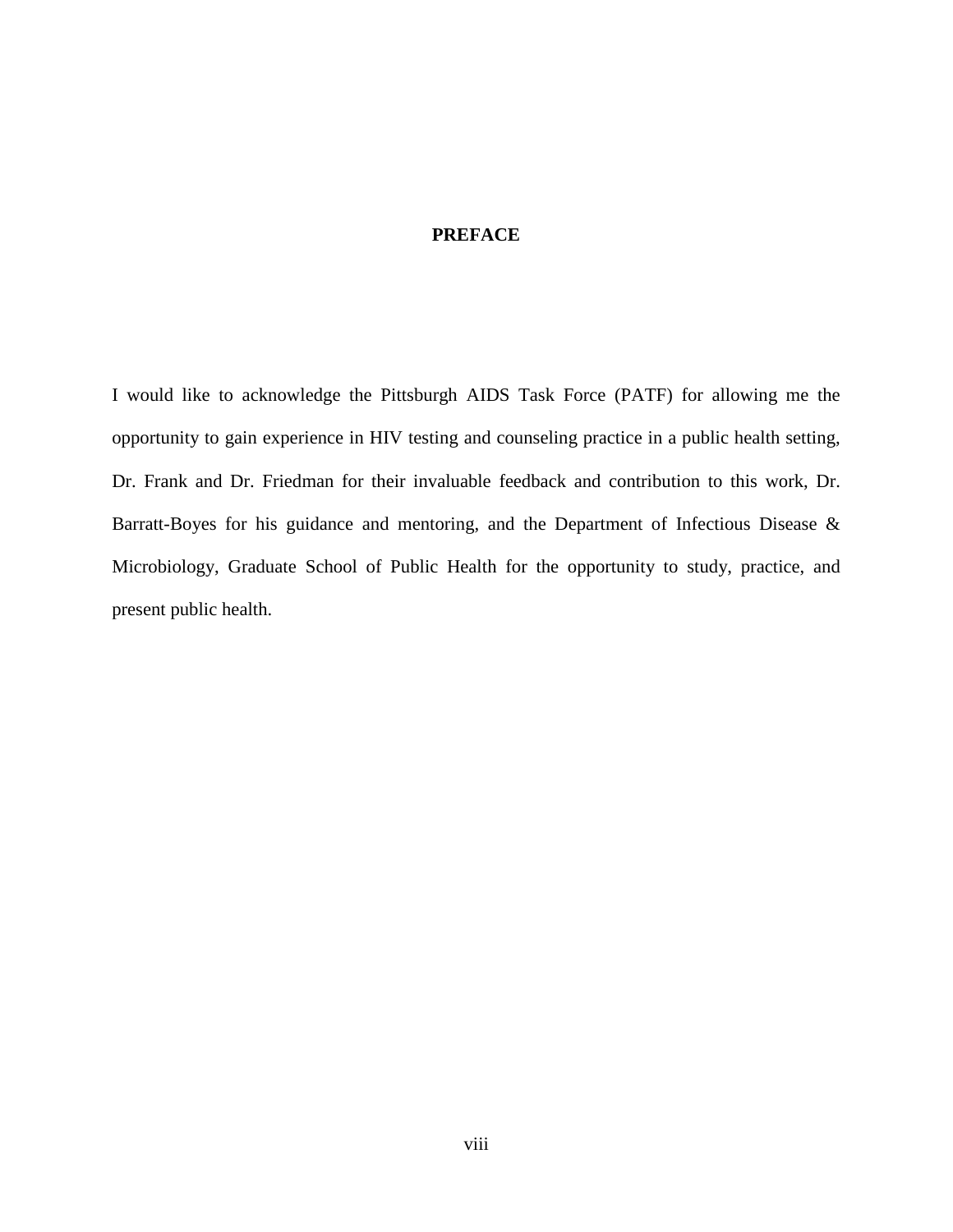# **PREFACE**

<span id="page-7-0"></span>I would like to acknowledge the Pittsburgh AIDS Task Force (PATF) for allowing me the opportunity to gain experience in HIV testing and counseling practice in a public health setting, Dr. Frank and Dr. Friedman for their invaluable feedback and contribution to this work, Dr. Barratt-Boyes for his guidance and mentoring, and the Department of Infectious Disease & Microbiology, Graduate School of Public Health for the opportunity to study, practice, and present public health.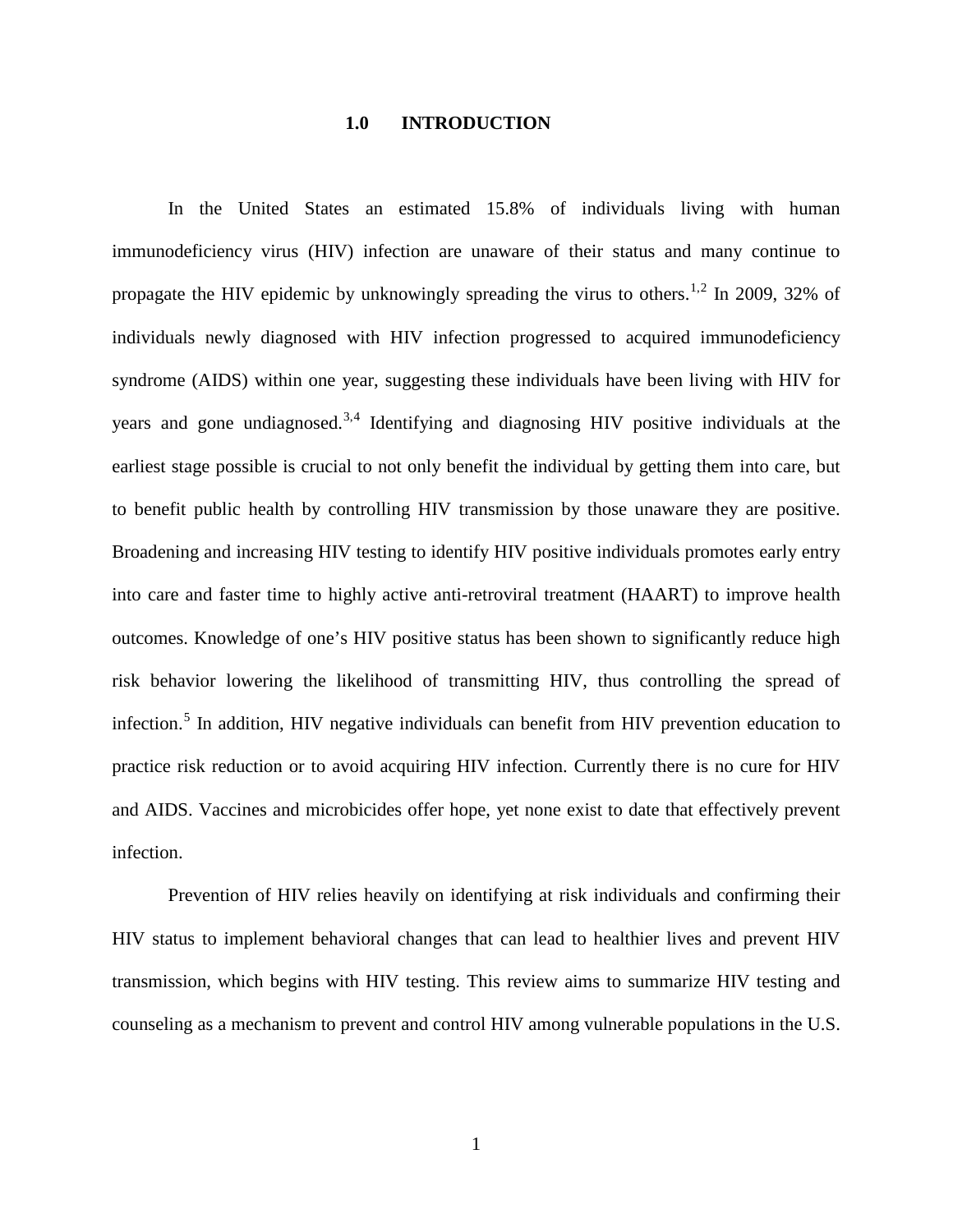#### <span id="page-8-3"></span><span id="page-8-2"></span><span id="page-8-1"></span>**1.0 INTRODUCTION**

<span id="page-8-0"></span>In the United States an estimated 15.8% of individuals living with human immunodeficiency virus (HIV) infection are unaware of their status and many continue to propagate the HIV epidemic by unknowingly spreading the virus to others.<sup>[1,](#page-45-0)[2](#page-45-1)</sup> In 2009, 32% of individuals newly diagnosed with HIV infection progressed to acquired immunodeficiency syndrome (AIDS) within one year, suggesting these individuals have been living with HIV for years and gone undiagnosed.<sup>[3,](#page-45-2)[4](#page-45-3)</sup> Identifying and diagnosing HIV positive individuals at the earliest stage possible is crucial to not only benefit the individual by getting them into care, but to benefit public health by controlling HIV transmission by those unaware they are positive. Broadening and increasing HIV testing to identify HIV positive individuals promotes early entry into care and faster time to highly active anti-retroviral treatment (HAART) to improve health outcomes. Knowledge of one's HIV positive status has been shown to significantly reduce high risk behavior lowering the likelihood of transmitting HIV, thus controlling the spread of infection.<sup>[5](#page-45-4)</sup> In addition, HIV negative individuals can benefit from HIV prevention education to practice risk reduction or to avoid acquiring HIV infection. Currently there is no cure for HIV and AIDS. Vaccines and microbicides offer hope, yet none exist to date that effectively prevent infection.

Prevention of HIV relies heavily on identifying at risk individuals and confirming their HIV status to implement behavioral changes that can lead to healthier lives and prevent HIV transmission, which begins with HIV testing. This review aims to summarize HIV testing and counseling as a mechanism to prevent and control HIV among vulnerable populations in the U.S.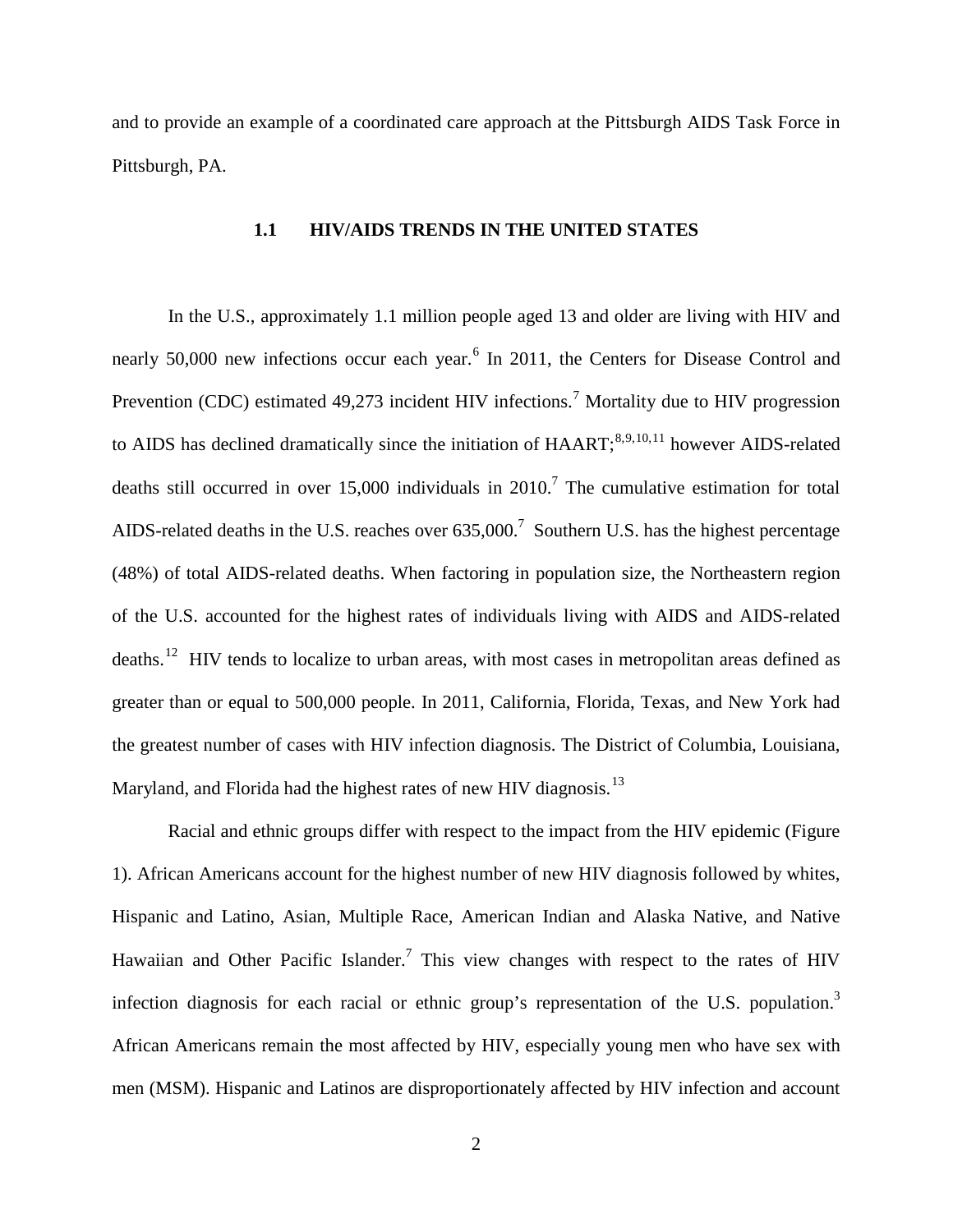and to provide an example of a coordinated care approach at the Pittsburgh AIDS Task Force in Pittsburgh, PA.

### <span id="page-9-6"></span><span id="page-9-5"></span><span id="page-9-4"></span><span id="page-9-3"></span><span id="page-9-2"></span><span id="page-9-1"></span>**1.1 HIV/AIDS TRENDS IN THE UNITED STATES**

<span id="page-9-0"></span>In the U.S., approximately 1.1 million people aged 13 and older are living with HIV and nearly 50,000 new infections occur each year.<sup>[6](#page-46-0)</sup> In 2011, the Centers for Disease Control and Prevention (CDC) estimated 49,2[7](#page-46-1)3 incident HIV infections.<sup>7</sup> Mortality due to HIV progression to AIDS has declined dramatically since the initiation of  $HAART$ ;  $8,9,10,11$  $8,9,10,11$  $8,9,10,11$  $8,9,10,11$  $8,9,10,11$  $8,9,10,11$  however AIDS-related deaths still occurred in over 15,000 individuals in 2010[.](#page-9-1)<sup>7</sup> The cumulative estimation for total AIDS-related deaths in the U.S. reaches over  $635,000$ .<sup>7</sup> Southern U.S. has the highest percentage (48%) of total AIDS-related deaths. When factoring in population size, the Northeastern region of the U.S. accounted for the highest rates of individuals living with AIDS and AIDS-related deaths.<sup>[12](#page-46-6)</sup> HIV tends to localize to urban areas, with most cases in metropolitan areas defined as greater than or equal to 500,000 people. In 2011, California, Florida, Texas, and New York had the greatest number of cases with HIV infection diagnosis. The District of Columbia, Louisiana, Maryland, and Florida had the highest rates of new HIV diagnosis.<sup>[13](#page-46-7)</sup>

Racial and ethnic groups differ with respect to the impact from the HIV epidemic (Figure 1). African Americans account for the highest number of new HIV diagnosis followed by whites, Hispanic and Latino, Asian, Multiple Race, American Indian and Alaska Native, and Native Hawaiian and Other Pacific Islander.<sup>7</sup> This view changes with respect to the rates of HIV infection diagnosis for each racial or ethnic group's representation of the U.S. population.<sup>3</sup> African Americans remain the most affected by HIV, especially young men who have sex with men (MSM). Hispanic and Latinos are disproportionately affected by HIV infection and account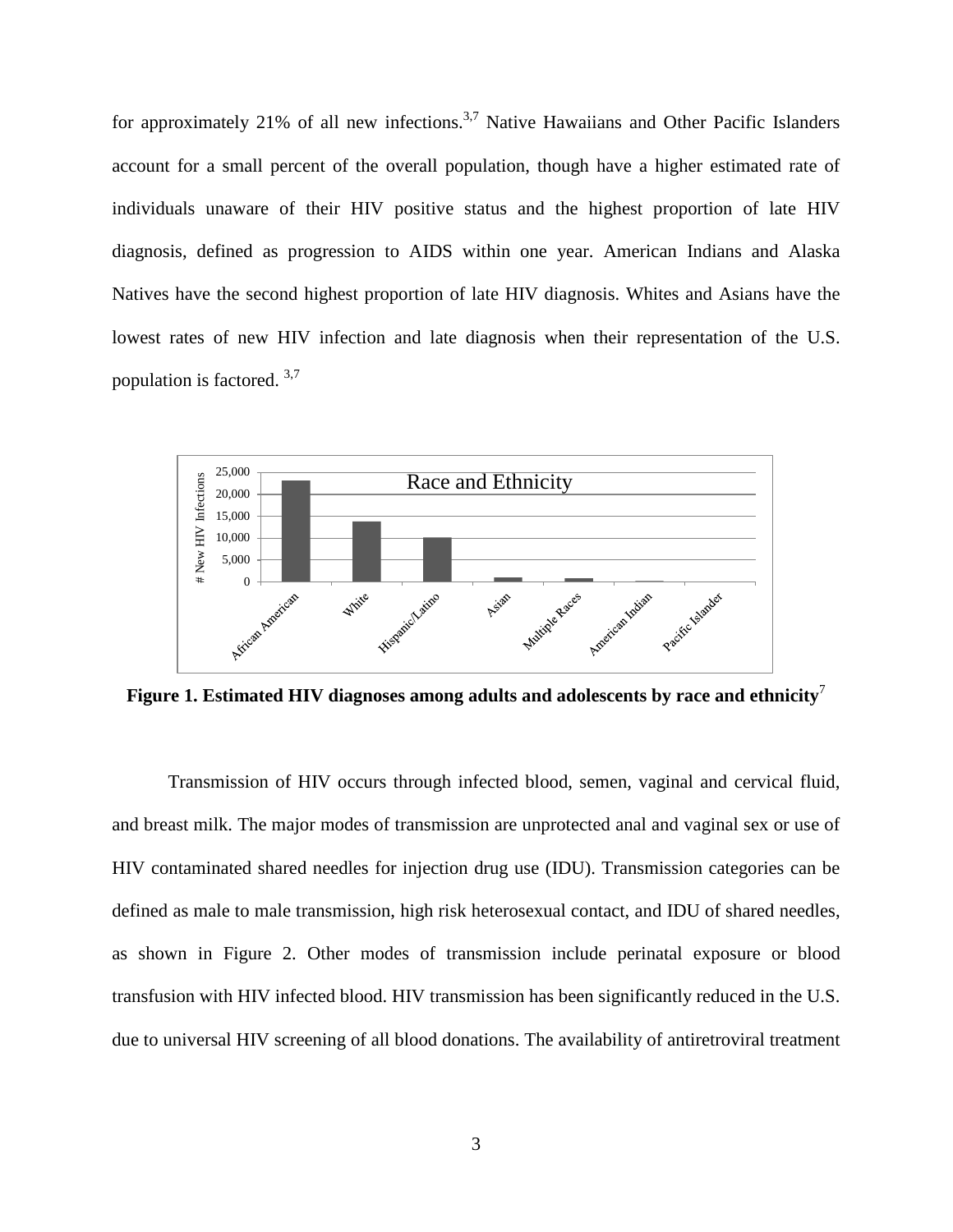for approximately 21% of all new infections.<sup>3,[7](#page-9-1)</sup> Native Hawaiians and Other Pacific Islanders account for a small percent of the overall population, though have a higher estimated rate of individuals unaware of their HIV positive status and the highest proportion of late HIV diagnosis, defined as progression to AIDS within one year. American Indians and Alaska Natives have the second highest proportion of late HIV diagnosis. Whites and Asians have the lowest rates of new HIV infection and late diagnosis when their representation of the U.S. population is factored. [3,](#page-8-1)[7](#page-9-1)



<span id="page-10-0"></span>**Figure 1. Estimated HIV diagnoses among adults and adolescents by race and ethnicit[y](#page-9-1)**<sup>7</sup>

Transmission of HIV occurs through infected blood, semen, vaginal and cervical fluid, and breast milk. The major modes of transmission are unprotected anal and vaginal sex or use of HIV contaminated shared needles for injection drug use (IDU). Transmission categories can be defined as male to male transmission, high risk heterosexual contact, and IDU of shared needles, as shown in Figure 2. Other modes of transmission include perinatal exposure or blood transfusion with HIV infected blood. HIV transmission has been significantly reduced in the U.S. due to universal HIV screening of all blood donations. The availability of antiretroviral treatment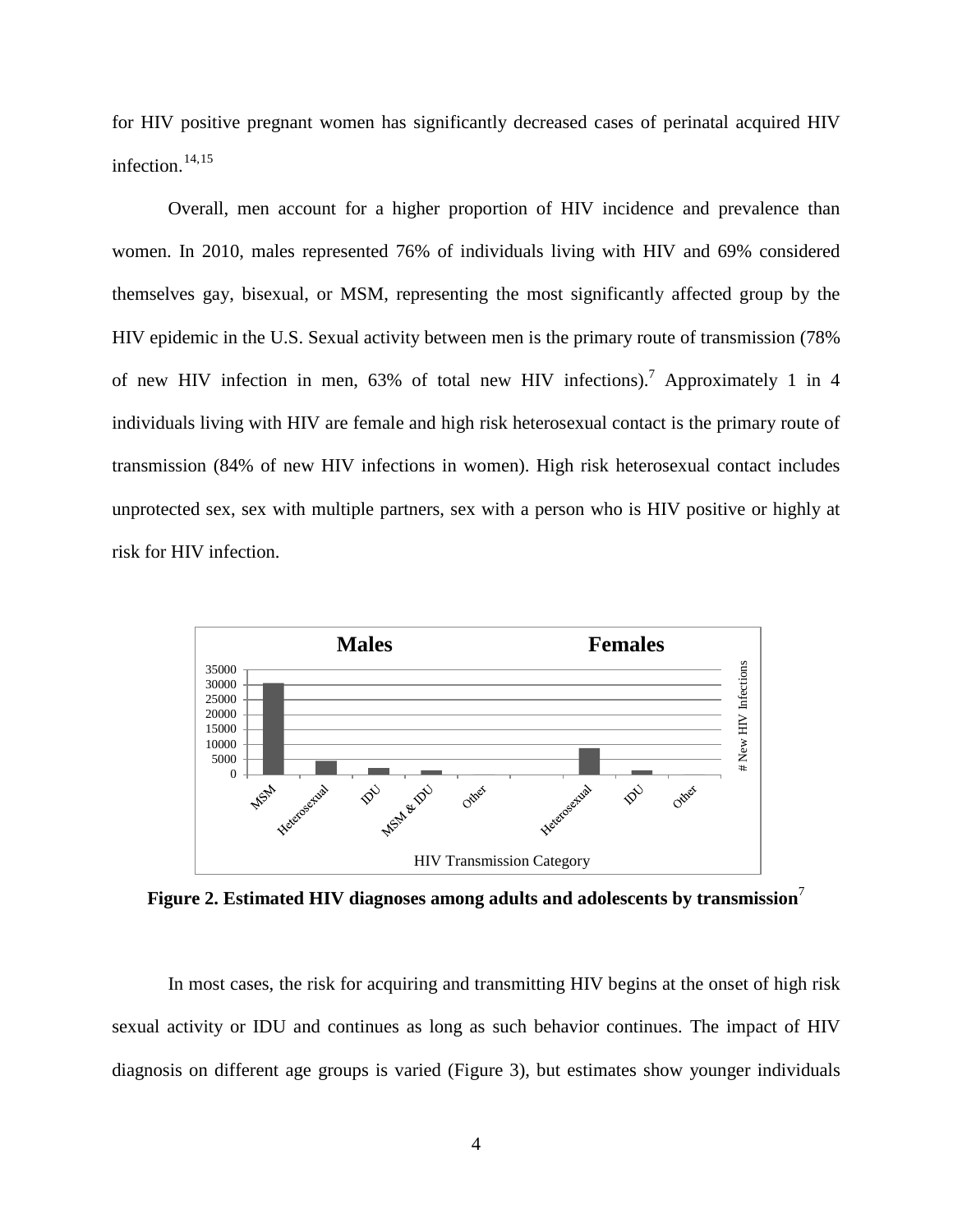<span id="page-11-1"></span>for HIV positive pregnant women has significantly decreased cases of perinatal acquired HIV infection. $14,15$  $14,15$  $14,15$ 

Overall, men account for a higher proportion of HIV incidence and prevalence than women. In 2010, males represented 76% of individuals living with HIV and 69% considered themselves gay, bisexual, or MSM, representing the most significantly affected group by the HIV epidemic in the U.S. Sexual activity between men is the primary route of transmission (78% of new HIV infection in men,  $63\%$  of total new HIV infections).<sup>[7](#page-9-1)</sup> Approximately 1 in 4 individuals living with HIV are female and high risk heterosexual contact is the primary route of transmission (84% of new HIV infections in women). High risk heterosexual contact includes unprotected sex, sex with multiple partners, sex with a person who is HIV positive or highly at risk for HIV infection.



<span id="page-11-0"></span>**Figure 2. Estimated HIV diagnoses among adults and adolescents by transmission**[7](#page-9-1)

In most cases, the risk for acquiring and transmitting HIV begins at the onset of high risk sexual activity or IDU and continues as long as such behavior continues. The impact of HIV diagnosis on different age groups is varied (Figure 3), but estimates show younger individuals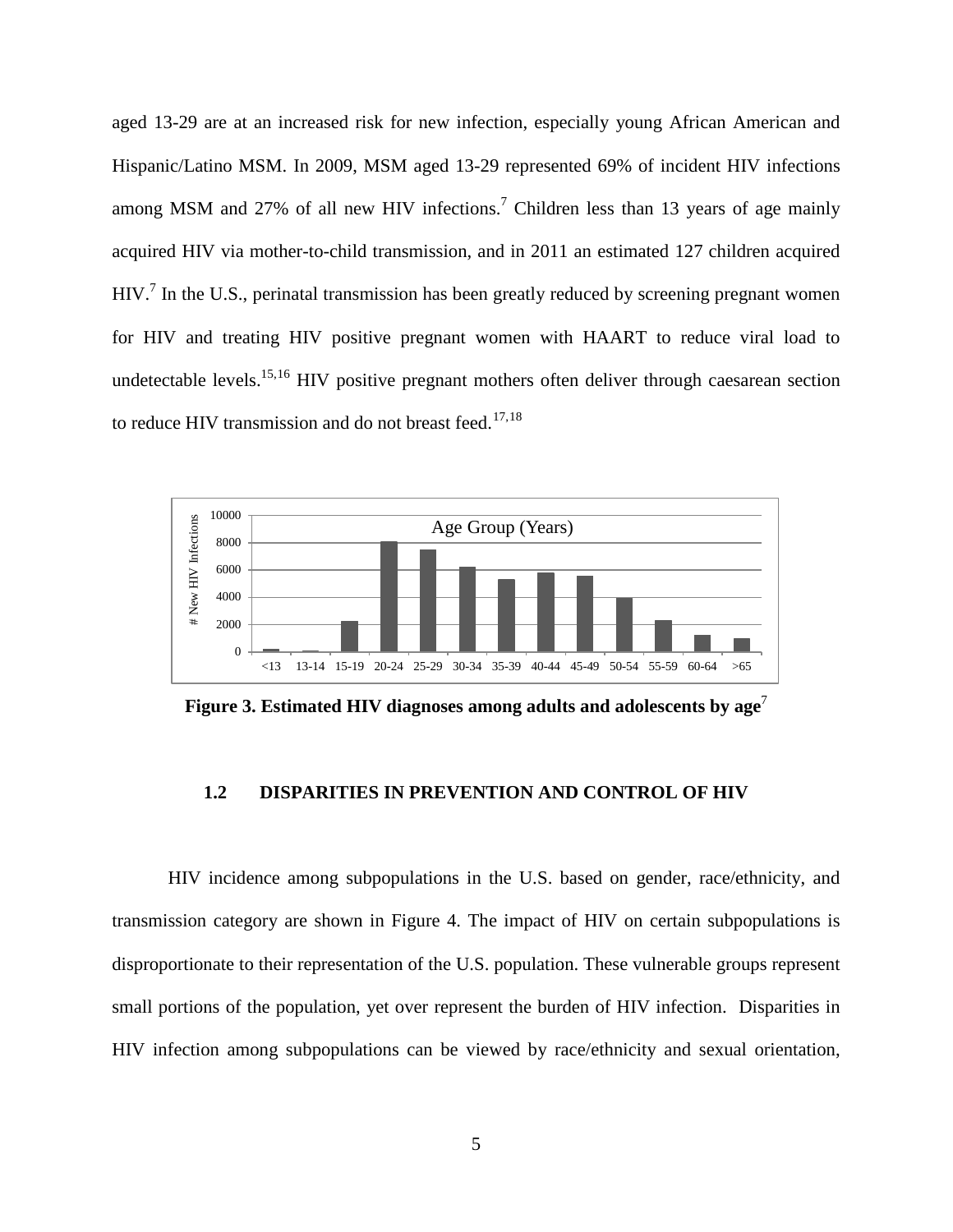aged 13-29 are at an increased risk for new infection, especially young African American and Hispanic/Latino MSM. In 2009, MSM aged 13-29 represented 69% of incident HIV infections among MSM and 27% of all new HIV infections.<sup>7</sup> Children less than 13 years of age mainly acquired HIV via mother-to-child transmission, and in 2011 an estimated 127 children acquired HIV.<sup>[7](#page-9-1)</sup> In the U.S., perinatal transmission has been greatly reduced by screening pregnant women for HIV and treating HIV positive pregnant women with HAART to reduce viral load to undetectable levels.<sup>15,[16](#page-47-2)</sup> HIV positive pregnant mothers often deliver through caesarean section to reduce HIV transmission and do not breast feed.<sup>[17,](#page-47-3)[18](#page-47-4)</sup>



<span id="page-12-1"></span>**Figure 3. Estimated HIV diagnoses among adults and adolescents by age**[7](#page-9-1)

#### **1.2 DISPARITIES IN PREVENTION AND CONTROL OF HIV**

<span id="page-12-0"></span>HIV incidence among subpopulations in the U.S. based on gender, race/ethnicity, and transmission category are shown in Figure 4. The impact of HIV on certain subpopulations is disproportionate to their representation of the U.S. population. These vulnerable groups represent small portions of the population, yet over represent the burden of HIV infection. Disparities in HIV infection among subpopulations can be viewed by race/ethnicity and sexual orientation,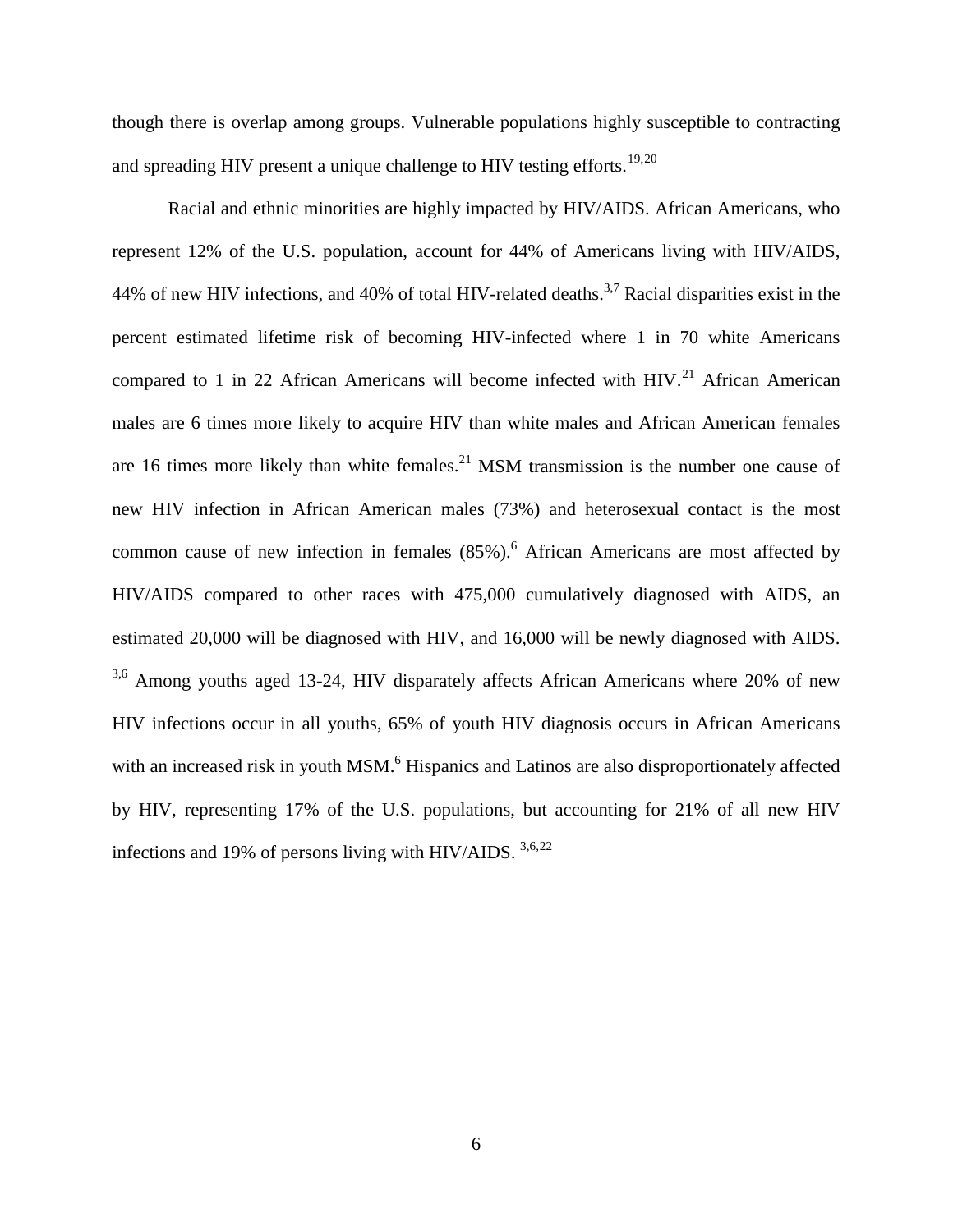though there is overlap among groups. Vulnerable populations highly susceptible to contracting and spreading HIV present a unique challenge to HIV testing efforts.<sup>[19,](#page-48-0)[20](#page-48-1)</sup>

<span id="page-13-0"></span>Racial and ethnic minorities are highly impacted by HIV/AIDS. African Americans, who represent 12% of the U.S. population, account for 44% of Americans living with HIV/AIDS, 44% of new HIV infections, and 40% of total HIV-related deaths.<sup>3[,7](#page-9-1)</sup> Racial disparities exist in the percent estimated lifetime risk of becoming HIV-infected where 1 in 70 white Americans compared to 1 in 22 African Americans will become infected with HIV.<sup>[21](#page-48-2)</sup> African American males are 6 times more likely to acquire HIV than white males and African American females are 16 times more likely than white females.<sup>21</sup> MSM transmission is the number one cause of new HIV infection in African American males (73%) and heterosexual contact is the most common cause of new infection in females  $(85\%)$ .<sup>6</sup> African Americans are most affected by HIV/AIDS compared to other races with 475,000 cumulatively diagnosed with AIDS, an estimated 20,000 will be diagnosed with HIV, and 16,000 will be newly diagnosed with AIDS. <sup>[3](#page-8-1)[,6](#page-9-2)</sup> Among youths aged 13-24, HIV disparately affects African Americans where 20% of new HIV infections occur in all youths, 65% of youth HIV diagnosis occurs in African Americans with an increased risk in youth MSM.<sup>6</sup> Hispanics and Latinos are also disproportionately affected by HIV, representing 17% of the U.S. populations, but accounting for 21% of all new HIV infections and 19% of persons living with HIV/AIDS.  $3,6,22$  $3,6,22$  $3,6,22$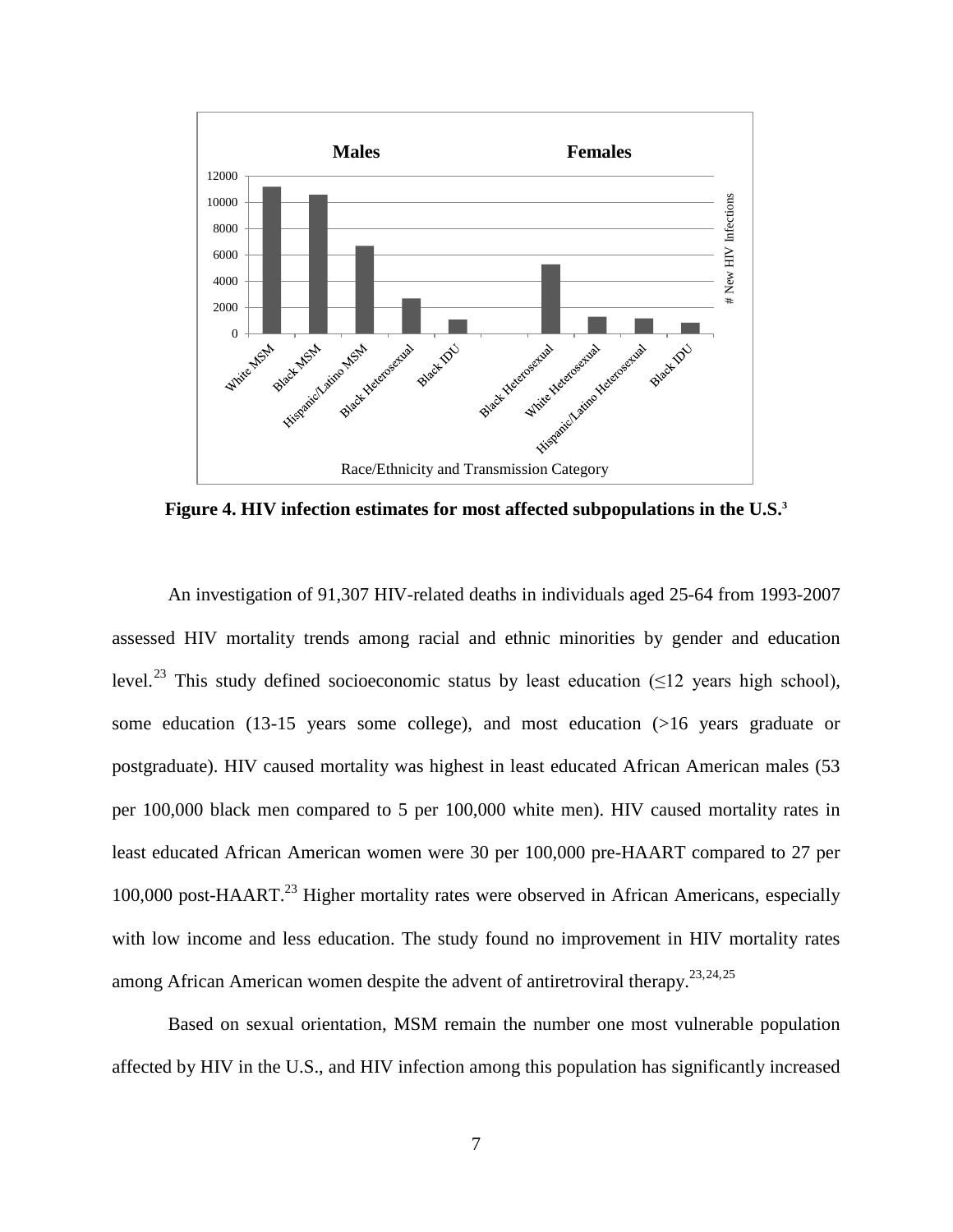

<span id="page-14-0"></span>**Figure 4. HIV infection estimates for most affected subpopulations in the U.S[.3](#page-8-1)**

<span id="page-14-1"></span>An investigation of 91,307 HIV-related deaths in individuals aged 25-64 from 1993-2007 assessed HIV mortality trends among racial and ethnic minorities by gender and education level.<sup>[23](#page-49-0)</sup> This study defined socioeconomic status by least education ( $\leq$ 12 years high school), some education (13-15 years some college), and most education (>16 years graduate or postgraduate). HIV caused mortality was highest in least educated African American males (53 per 100,000 black men compared to 5 per 100,000 white men). HIV caused mortality rates in least educated African American women were 30 per 100,000 pre-HAART compared to 27 per 100,000 post-HAART.<sup>23</sup> Higher mortality rates were observed in African Americans, especially with low income and less education. The study found no improvement in HIV mortality rates among African American women despite the advent of antiretroviral therapy.<sup>23,[24,](#page-49-1)[25](#page-49-2)</sup>

Based on sexual orientation, MSM remain the number one most vulnerable population affected by HIV in the U.S., and HIV infection among this population has significantly increased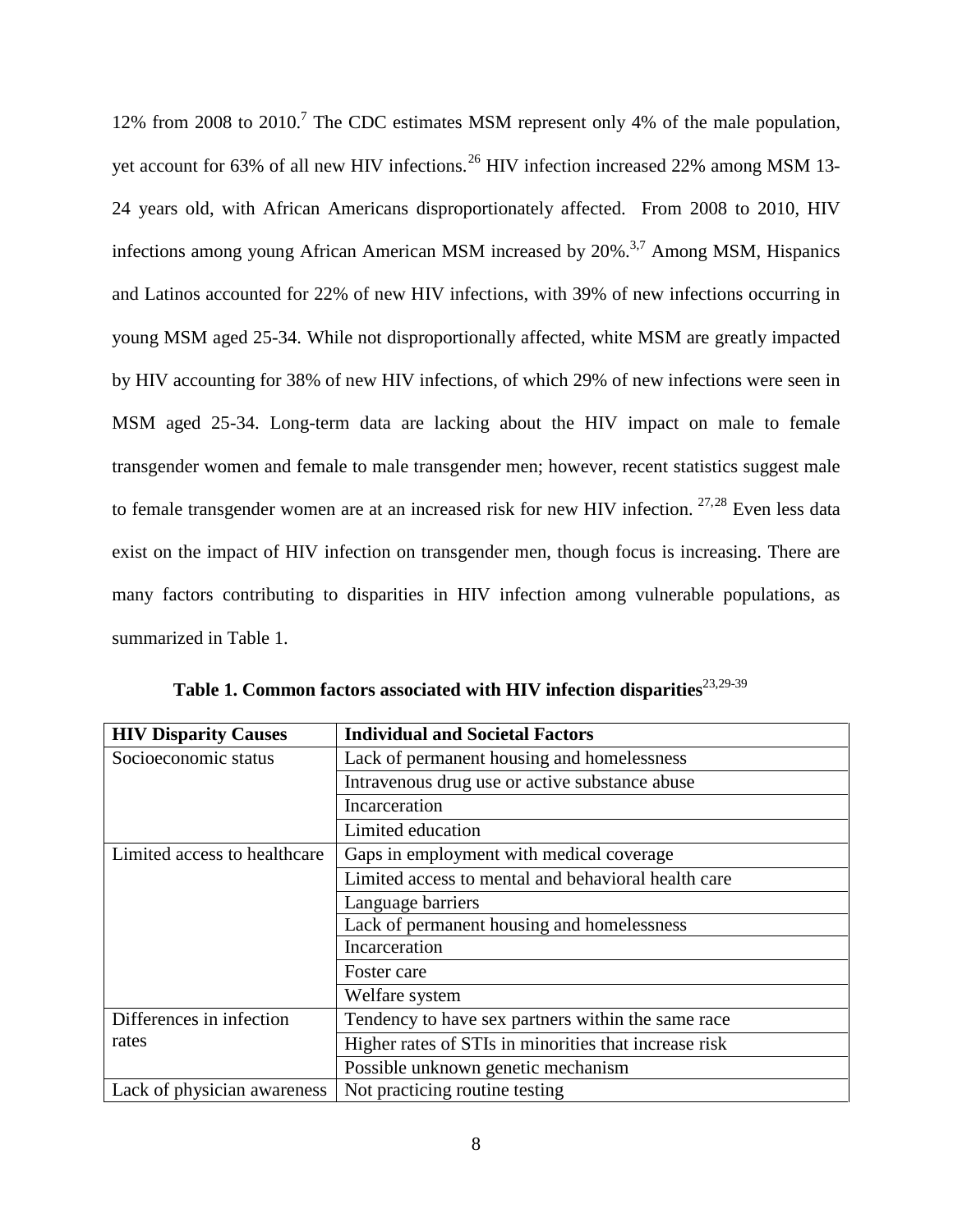12% from 2008 to 2010.<sup>7</sup> The CDC estimates MSM represent only 4% of the male population, yet account for 63% of all new HIV infections.<sup>[26](#page-50-0)</sup> HIV infection increased 22% among MSM 13-24 years old, with African Americans disproportionately affected. From 2008 to 2010, HIV infections among young African American MSM increased by  $20\%$ <sup>3,[7](#page-9-1)</sup> Among MSM, Hispanics and Latinos accounted for 22% of new HIV infections, with 39% of new infections occurring in young MSM aged 25-34. While not disproportionally affected, white MSM are greatly impacted by HIV accounting for 38% of new HIV infections, of which 29% of new infections were seen in MSM aged 25-34. Long-term data are lacking about the HIV impact on male to female transgender women and female to male transgender men; however, recent statistics suggest male to female transgender women are at an increased risk for new HIV infection.  $27.28$  $27.28$  Even less data exist on the impact of HIV infection on transgender men, though focus is increasing. There are many factors contributing to disparities in HIV infection among vulnerable populations, as summarized in Table 1.

<span id="page-15-0"></span>

| <b>HIV Disparity Causes</b>  | <b>Individual and Societal Factors</b>                |  |
|------------------------------|-------------------------------------------------------|--|
| Socioeconomic status         | Lack of permanent housing and homelessness            |  |
|                              | Intravenous drug use or active substance abuse        |  |
|                              | Incarceration                                         |  |
|                              | Limited education                                     |  |
| Limited access to healthcare | Gaps in employment with medical coverage              |  |
|                              | Limited access to mental and behavioral health care   |  |
|                              | Language barriers                                     |  |
|                              | Lack of permanent housing and homelessness            |  |
|                              | Incarceration                                         |  |
|                              | Foster care                                           |  |
|                              | Welfare system                                        |  |
| Differences in infection     | Tendency to have sex partners within the same race    |  |
| rates                        | Higher rates of STIs in minorities that increase risk |  |
|                              | Possible unknown genetic mechanism                    |  |
| Lack of physician awareness  | Not practicing routine testing                        |  |

Table 1. Common factors associated with HIV infection disparities<sup>[23,2](#page-14-1)9-[39](#page-50-13)</sup>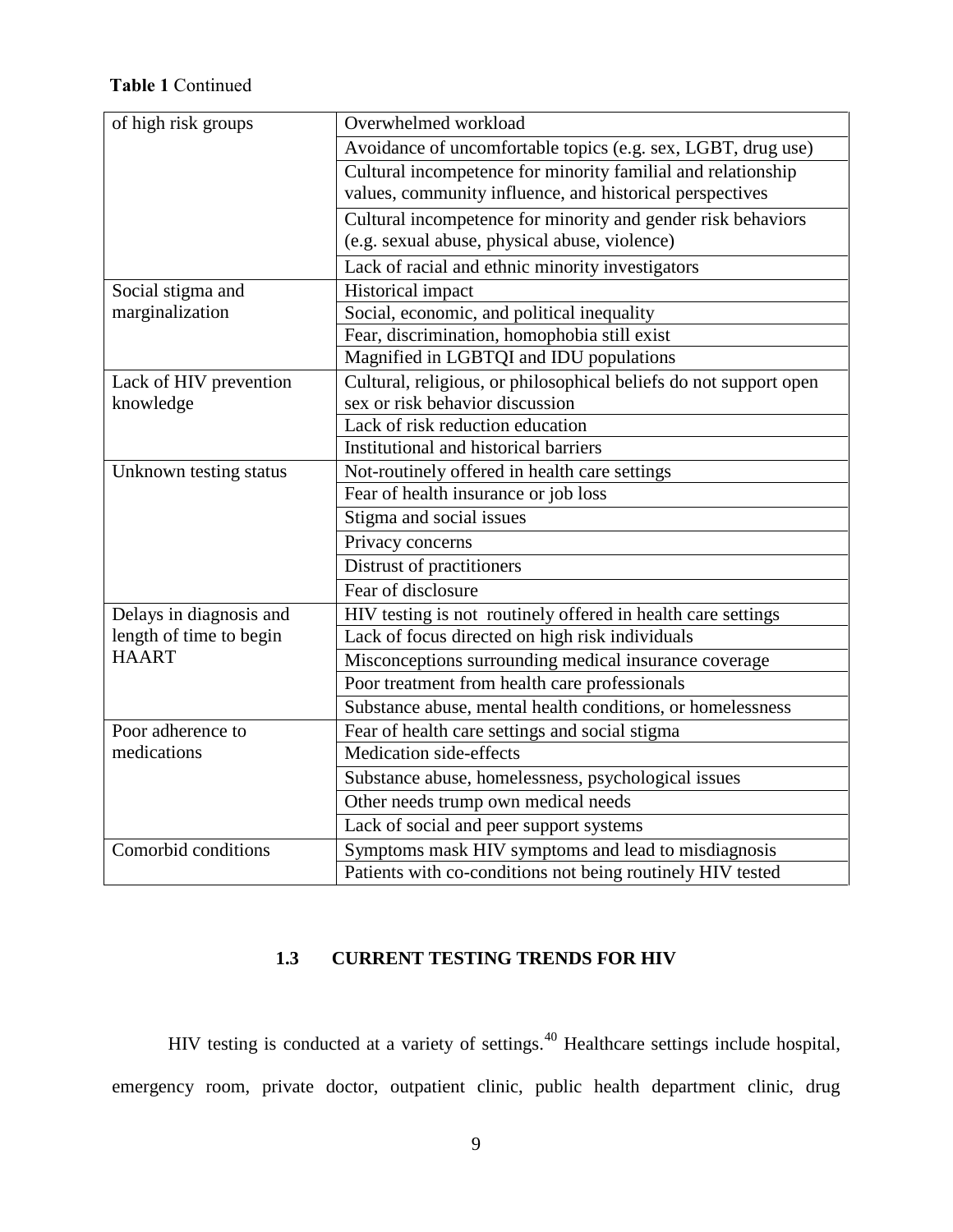# **Table 1** Continued

| of high risk groups                    | Overwhelmed workload                                              |  |  |
|----------------------------------------|-------------------------------------------------------------------|--|--|
|                                        | Avoidance of uncomfortable topics (e.g. sex, LGBT, drug use)      |  |  |
|                                        | Cultural incompetence for minority familial and relationship      |  |  |
|                                        | values, community influence, and historical perspectives          |  |  |
|                                        | Cultural incompetence for minority and gender risk behaviors      |  |  |
|                                        | (e.g. sexual abuse, physical abuse, violence)                     |  |  |
|                                        | Lack of racial and ethnic minority investigators                  |  |  |
| Historical impact<br>Social stigma and |                                                                   |  |  |
| marginalization                        | Social, economic, and political inequality                        |  |  |
|                                        | Fear, discrimination, homophobia still exist                      |  |  |
|                                        | Magnified in LGBTQI and IDU populations                           |  |  |
| Lack of HIV prevention                 | Cultural, religious, or philosophical beliefs do not support open |  |  |
| knowledge                              | sex or risk behavior discussion                                   |  |  |
|                                        | Lack of risk reduction education                                  |  |  |
|                                        | Institutional and historical barriers                             |  |  |
| Unknown testing status                 | Not-routinely offered in health care settings                     |  |  |
|                                        | Fear of health insurance or job loss                              |  |  |
|                                        | Stigma and social issues                                          |  |  |
|                                        | Privacy concerns                                                  |  |  |
|                                        | Distrust of practitioners                                         |  |  |
|                                        | Fear of disclosure                                                |  |  |
| Delays in diagnosis and                | HIV testing is not routinely offered in health care settings      |  |  |
| length of time to begin                | Lack of focus directed on high risk individuals                   |  |  |
| <b>HAART</b>                           | Misconceptions surrounding medical insurance coverage             |  |  |
|                                        | Poor treatment from health care professionals                     |  |  |
|                                        | Substance abuse, mental health conditions, or homelessness        |  |  |
| Poor adherence to                      | Fear of health care settings and social stigma                    |  |  |
| medications                            | Medication side-effects                                           |  |  |
|                                        | Substance abuse, homelessness, psychological issues               |  |  |
|                                        | Other needs trump own medical needs                               |  |  |
|                                        | Lack of social and peer support systems                           |  |  |
| Comorbid conditions                    | Symptoms mask HIV symptoms and lead to misdiagnosis               |  |  |
|                                        | Patients with co-conditions not being routinely HIV tested        |  |  |

# **1.3 CURRENT TESTING TRENDS FOR HIV**

<span id="page-16-0"></span>HIV testing is conducted at a variety of settings.[40](#page-50-14) Healthcare settings include hospital, emergency room, private doctor, outpatient clinic, public health department clinic, drug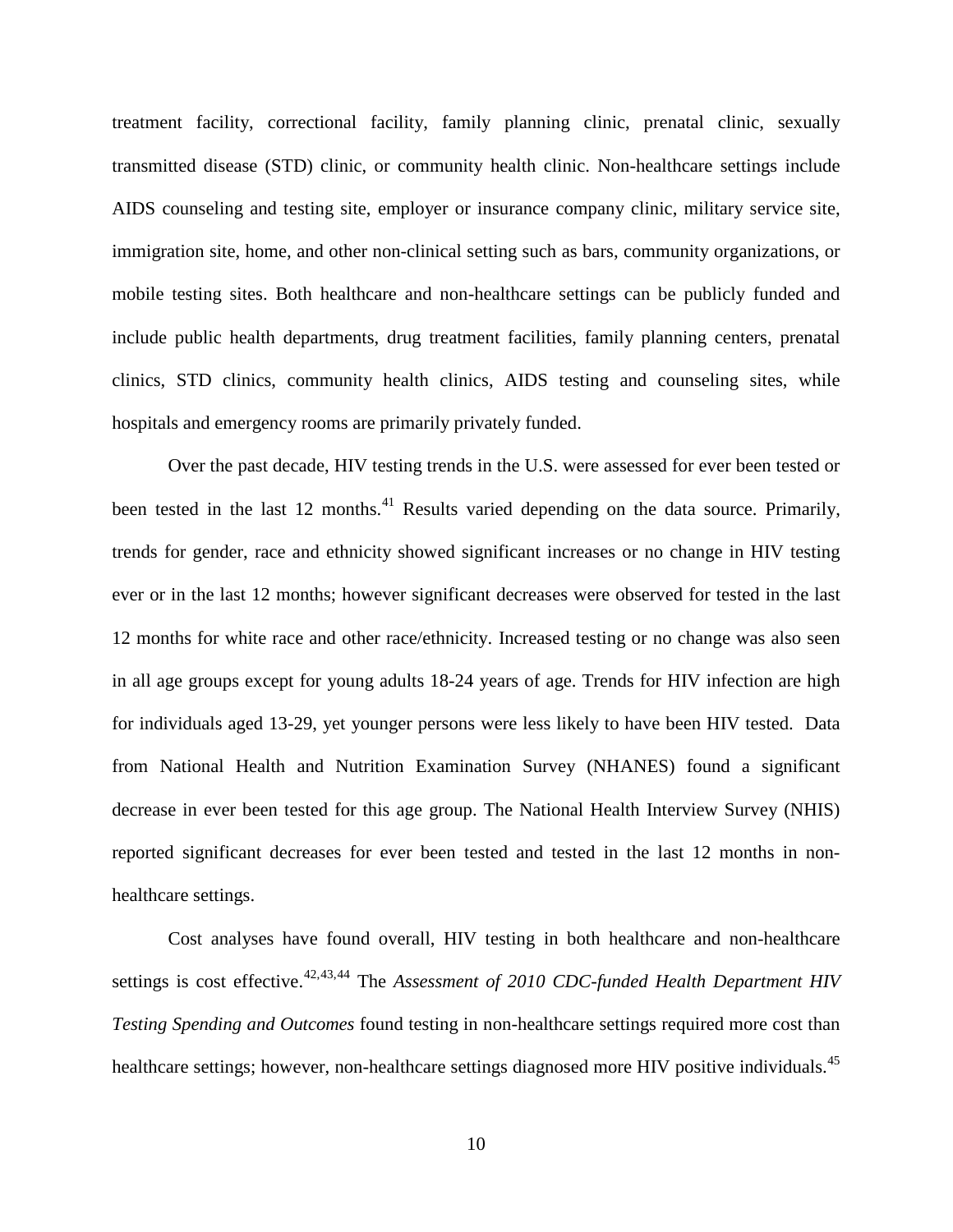treatment facility, correctional facility, family planning clinic, prenatal clinic, sexually transmitted disease (STD) clinic, or community health clinic. Non-healthcare settings include AIDS counseling and testing site, employer or insurance company clinic, military service site, immigration site, home, and other non-clinical setting such as bars, community organizations, or mobile testing sites. Both healthcare and non-healthcare settings can be publicly funded and include public health departments, drug treatment facilities, family planning centers, prenatal clinics, STD clinics, community health clinics, AIDS testing and counseling sites, while hospitals and emergency rooms are primarily privately funded.

Over the past decade, HIV testing trends in the U.S. were assessed for ever been tested or been tested in the last 12 months.<sup>[41](#page-51-0)</sup> Results varied depending on the data source. Primarily, trends for gender, race and ethnicity showed significant increases or no change in HIV testing ever or in the last 12 months; however significant decreases were observed for tested in the last 12 months for white race and other race/ethnicity. Increased testing or no change was also seen in all age groups except for young adults 18-24 years of age. Trends for HIV infection are high for individuals aged 13-29, yet younger persons were less likely to have been HIV tested. Data from National Health and Nutrition Examination Survey (NHANES) found a significant decrease in ever been tested for this age group. The National Health Interview Survey (NHIS) reported significant decreases for ever been tested and tested in the last 12 months in nonhealthcare settings.

<span id="page-17-0"></span>Cost analyses have found overall, HIV testing in both healthcare and non-healthcare settings is cost effective.<sup>[42,](#page-51-1)[43](#page-51-2),[44](#page-51-3)</sup> The *Assessment of 2010 CDC-funded Health Department HIV Testing Spending and Outcomes* found testing in non-healthcare settings required more cost than healthcare settings; however, non-healthcare settings diagnosed more HIV positive individuals.<sup>[45](#page-51-4)</sup>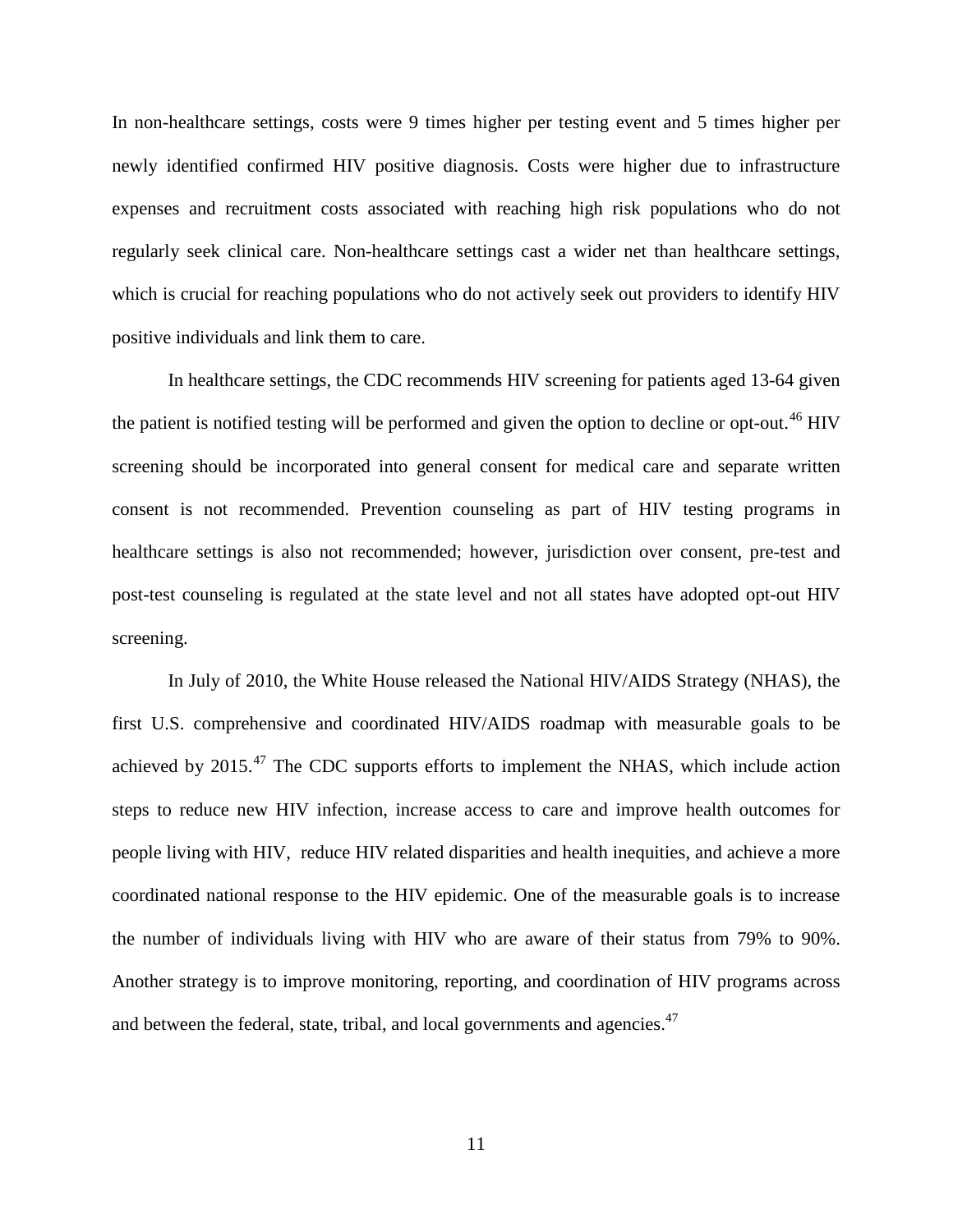In non-healthcare settings, costs were 9 times higher per testing event and 5 times higher per newly identified confirmed HIV positive diagnosis. Costs were higher due to infrastructure expenses and recruitment costs associated with reaching high risk populations who do not regularly seek clinical care. Non-healthcare settings cast a wider net than healthcare settings, which is crucial for reaching populations who do not actively seek out providers to identify HIV positive individuals and link them to care.

<span id="page-18-1"></span>In healthcare settings, the CDC recommends HIV screening for patients aged 13-64 given the patient is notified testing will be performed and given the option to decline or opt-out.<sup>[46](#page-52-0)</sup> HIV screening should be incorporated into general consent for medical care and separate written consent is not recommended. Prevention counseling as part of HIV testing programs in healthcare settings is also not recommended; however, jurisdiction over consent, pre-test and post-test counseling is regulated at the state level and not all states have adopted opt-out HIV screening.

<span id="page-18-0"></span>In July of 2010, the White House released the National HIV/AIDS Strategy (NHAS), the first U.S. comprehensive and coordinated HIV/AIDS roadmap with measurable goals to be achieved by  $2015.^{47}$  $2015.^{47}$  $2015.^{47}$  The CDC supports efforts to implement the NHAS, which include action steps to reduce new HIV infection, increase access to care and improve health outcomes for people living with HIV, reduce HIV related disparities and health inequities, and achieve a more coordinated national response to the HIV epidemic. One of the measurable goals is to increase the number of individuals living with HIV who are aware of their status from 79% to 90%. Another strategy is to improve monitoring, reporting, and coordination of HIV programs across and between the federal, state, tribal, and local governments and agencies.<sup>47</sup>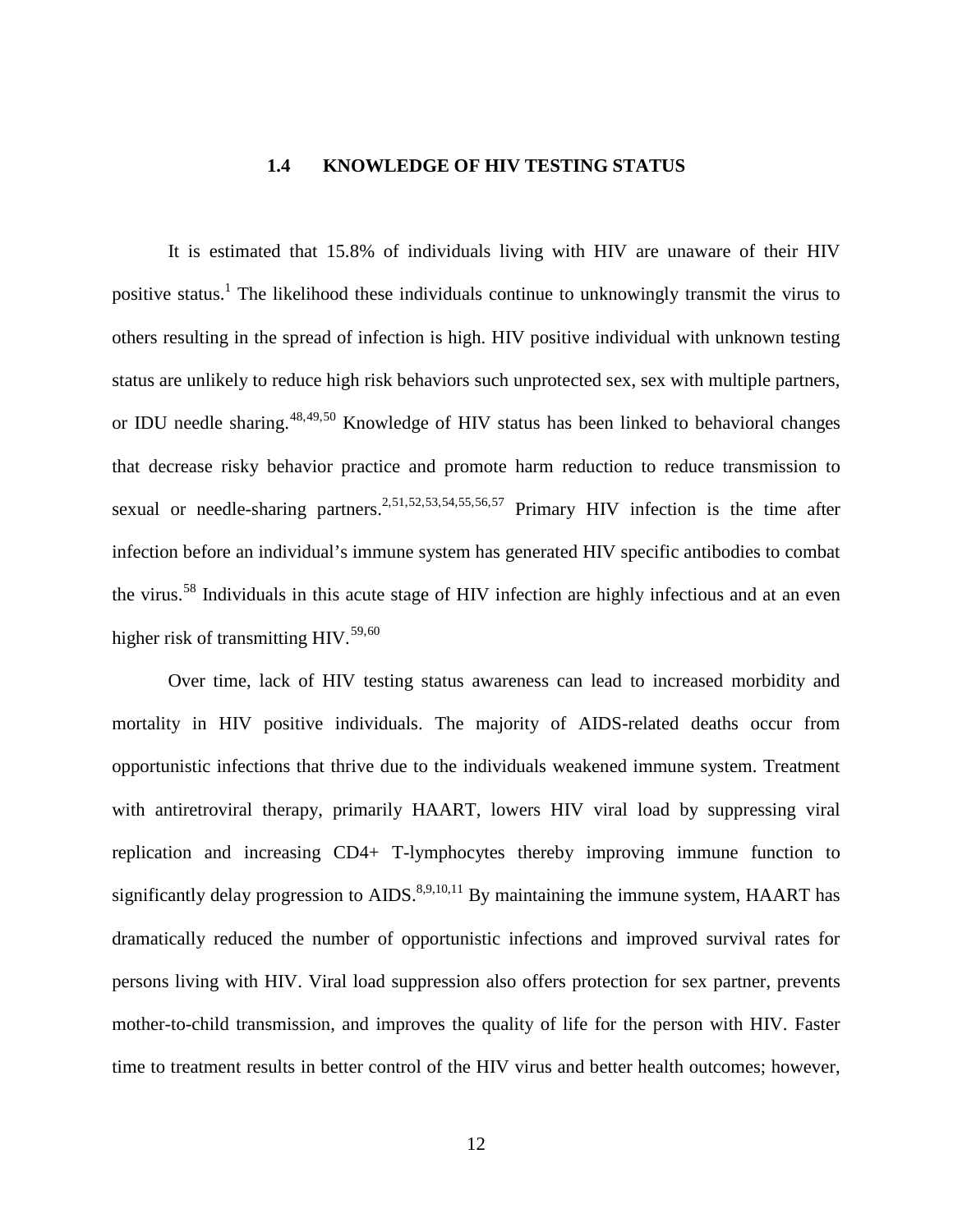#### <span id="page-19-7"></span><span id="page-19-6"></span>**1.4 KNOWLEDGE OF HIV TESTING STATUS**

<span id="page-19-0"></span>It is estimated that 15.8% of individuals living with HIV are unaware of their HIV positive status.<sup>[1](#page-8-2)</sup> The likelihood these individuals continue to unknowingly transmit the virus to others resulting in the spread of infection is high. HIV positive individual with unknown testing status are unlikely to reduce high risk behaviors such unprotected sex, sex with multiple partners, or IDU needle sharing.<sup>[48,](#page-53-0)[49](#page-53-1),[50](#page-53-2)</sup> Knowledge of HIV status has been linked to behavioral changes that decrease risky behavior practice and promote harm reduction to reduce transmission to sexual or needle-sharing partners.<sup>2,[51](#page-53-3),[52,](#page-53-4)[53,](#page-53-5)[54](#page-53-6),[55,](#page-53-7)[56,](#page-53-8)[57](#page-53-9)</sup> Primary HIV infection is the time after infection before an individual's immune system has generated HIV specific antibodies to combat the virus.[58](#page-53-10) Individuals in this acute stage of HIV infection are highly infectious and at an even higher risk of transmitting HIV.<sup>[59,](#page-53-0)[60](#page-53-11)</sup>

<span id="page-19-5"></span><span id="page-19-4"></span><span id="page-19-3"></span><span id="page-19-2"></span><span id="page-19-1"></span>Over time, lack of HIV testing status awareness can lead to increased morbidity and mortality in HIV positive individuals. The majority of AIDS-related deaths occur from opportunistic infections that thrive due to the individuals weakened immune system. Treatment with antiretroviral therapy, primarily HAART, lowers HIV viral load by suppressing viral replication and increasing CD4+ T-lymphocytes thereby improving immune function to significantly delay progression to  $AIDS$ .<sup>8,[9,](#page-9-4)[10,](#page-9-5)[11](#page-9-6)</sup> By maintaining the immune system, HAART has dramatically reduced the number of opportunistic infections and improved survival rates for persons living with HIV. Viral load suppression also offers protection for sex partner, prevents mother-to-child transmission, and improves the quality of life for the person with HIV. Faster time to treatment results in better control of the HIV virus and better health outcomes; however,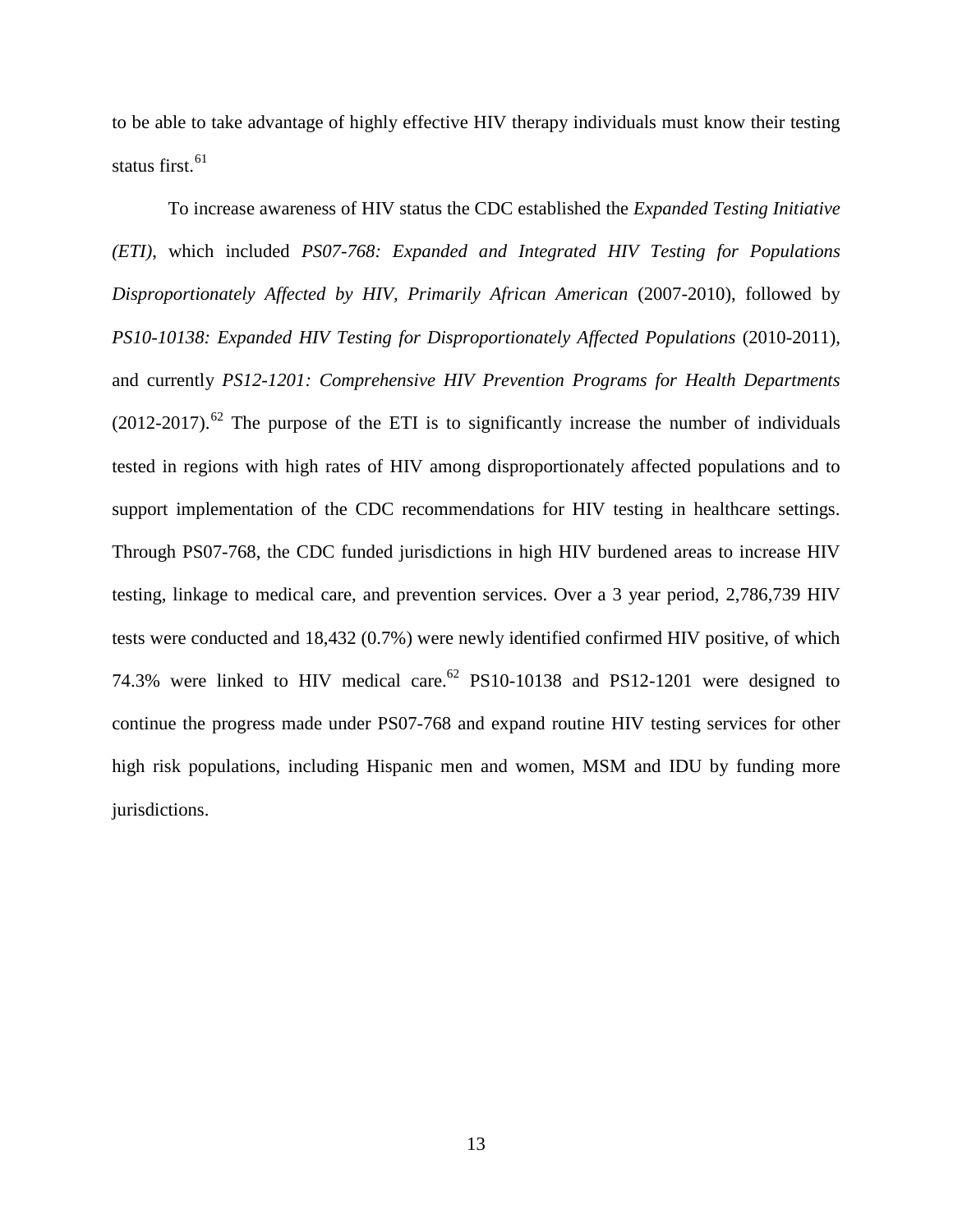to be able to take advantage of highly effective HIV therapy individuals must know their testing status first. $61$ 

<span id="page-20-0"></span>To increase awareness of HIV status the CDC established the *Expanded Testing Initiative (ETI)*, which included *PS07-768: Expanded and Integrated HIV Testing for Populations Disproportionately Affected by HIV, Primarily African American* (2007-2010), followed by *PS10-10138: Expanded HIV Testing for Disproportionately Affected Populations* (2010-2011), and currently *PS12-1201: Comprehensive HIV Prevention Programs for Health Departments*  $(2012-2017)$ .<sup>[62](#page-54-1)</sup> The purpose of the ETI is to significantly increase the number of individuals tested in regions with high rates of HIV among disproportionately affected populations and to support implementation of the CDC recommendations for HIV testing in healthcare settings. Through PS07-768, the CDC funded jurisdictions in high HIV burdened areas to increase HIV testing, linkage to medical care, and prevention services. Over a 3 year period, 2,786,739 HIV tests were conducted and 18,432 (0.7%) were newly identified confirmed HIV positive, of which 74.3% were linked to HIV medical care.<sup>62</sup> PS10-10138 and PS12-1201 were designed to continue the progress made under PS07-768 and expand routine HIV testing services for other high risk populations, including Hispanic men and women, MSM and IDU by funding more jurisdictions.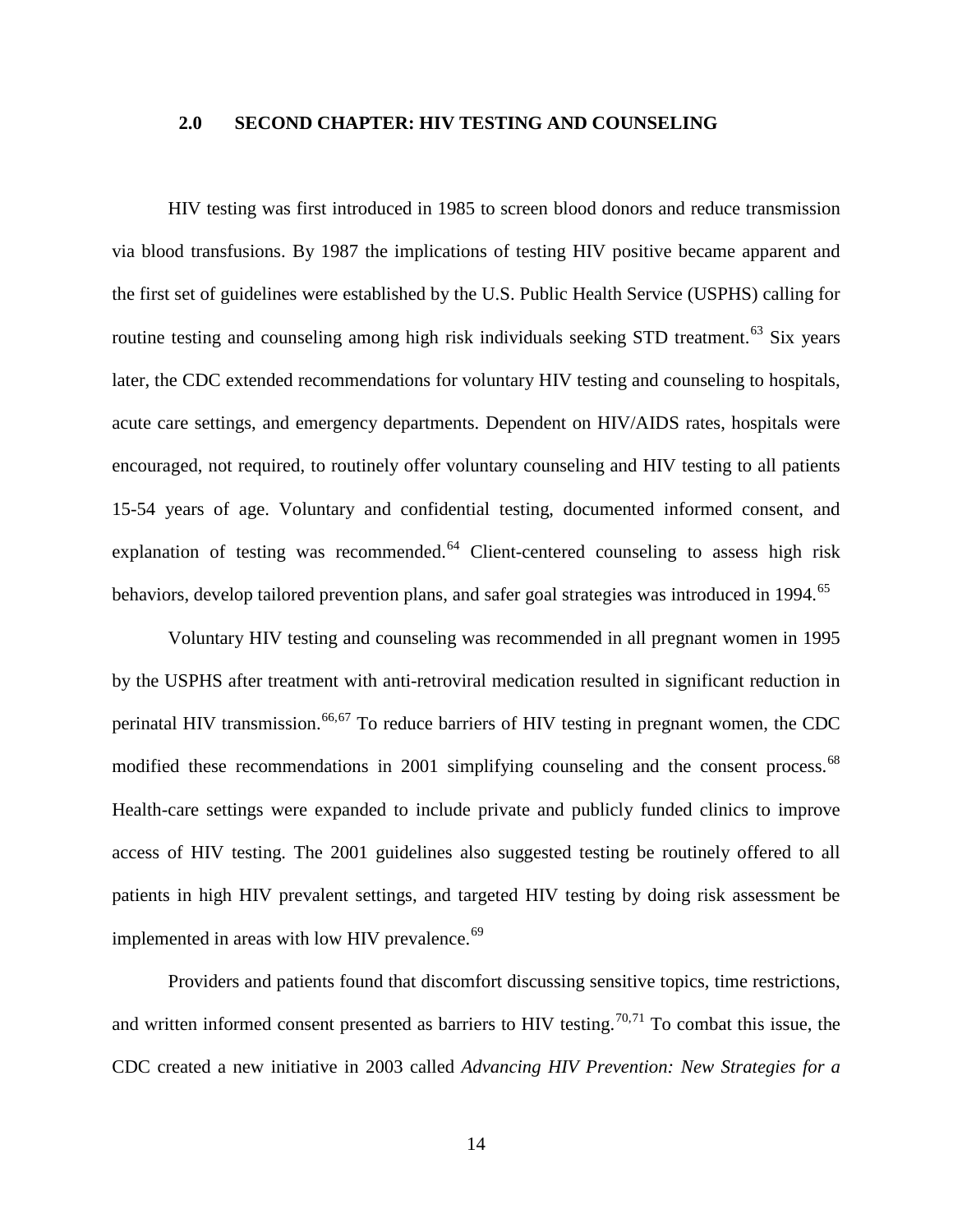#### <span id="page-21-0"></span>**2.0 SECOND CHAPTER: HIV TESTING AND COUNSELING**

HIV testing was first introduced in 1985 to screen blood donors and reduce transmission via blood transfusions. By 1987 the implications of testing HIV positive became apparent and the first set of guidelines were established by the U.S. Public Health Service (USPHS) calling for routine testing and counseling among high risk individuals seeking STD treatment.<sup>[63](#page-55-0)</sup> Six years later, the CDC extended recommendations for voluntary HIV testing and counseling to hospitals, acute care settings, and emergency departments. Dependent on HIV/AIDS rates, hospitals were encouraged, not required, to routinely offer voluntary counseling and HIV testing to all patients 15-54 years of age. Voluntary and confidential testing, documented informed consent, and explanation of testing was recommended. $64$  Client-centered counseling to assess high risk behaviors, develop tailored prevention plans, and safer goal strategies was introduced in 1994.<sup>65</sup>

<span id="page-21-1"></span>Voluntary HIV testing and counseling was recommended in all pregnant women in 1995 by the USPHS after treatment with anti-retroviral medication resulted in significant reduction in perinatal HIV transmission.<sup>[66,](#page-55-3)[67](#page-55-4)</sup> To reduce barriers of HIV testing in pregnant women, the CDC modified these recommendations in 2001 simplifying counseling and the consent process.<sup>[68](#page-55-5)</sup> Health-care settings were expanded to include private and publicly funded clinics to improve access of HIV testing. The 2001 guidelines also suggested testing be routinely offered to all patients in high HIV prevalent settings, and targeted HIV testing by doing risk assessment be implemented in areas with low HIV prevalence.<sup>[69](#page-55-6)</sup>

<span id="page-21-2"></span>Providers and patients found that discomfort discussing sensitive topics, time restrictions, and written informed consent presented as barriers to HIV testing.<sup>[70,](#page-55-7)[71](#page-55-8)</sup> To combat this issue, the CDC created a new initiative in 2003 called *Advancing HIV Prevention: New Strategies for a*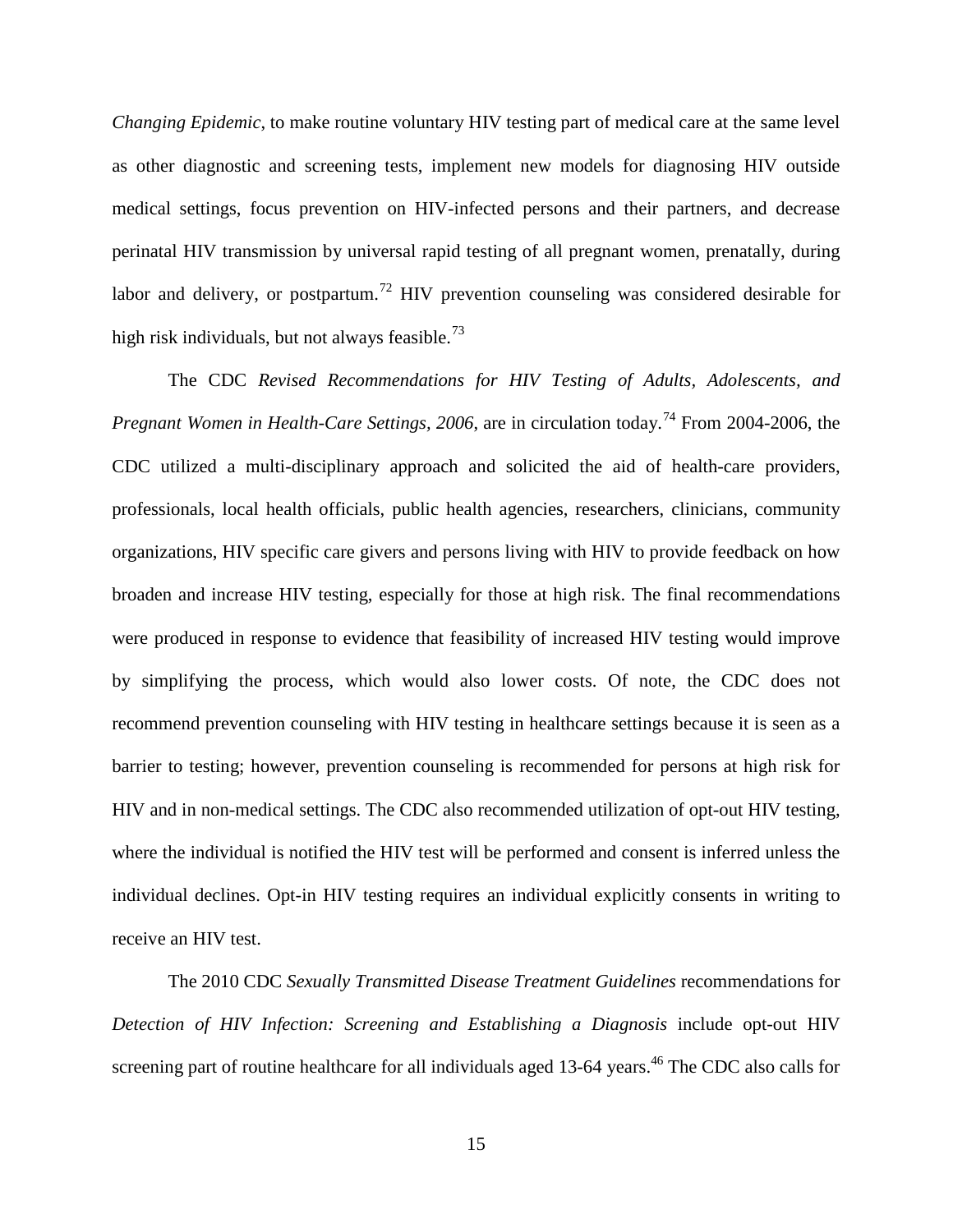*Changing Epidemic*, to make routine voluntary HIV testing part of medical care at the same level as other diagnostic and screening tests, implement new models for diagnosing HIV outside medical settings, focus prevention on HIV-infected persons and their partners, and decrease perinatal HIV transmission by universal rapid testing of all pregnant women, prenatally, during labor and delivery, or postpartum.<sup>[72](#page-56-0)</sup> HIV prevention counseling was considered desirable for high risk individuals, but not always feasible.<sup>[73](#page-56-1)</sup>

<span id="page-22-0"></span>The CDC *Revised Recommendations for HIV Testing of Adults, Adolescents, and Pregnant Women in Health-Care Settings, 2006, are in circulation today.*<sup>[74](#page-56-2)</sup> From 2004-2006, the CDC utilized a multi-disciplinary approach and solicited the aid of health-care providers, professionals, local health officials, public health agencies, researchers, clinicians, community organizations, HIV specific care givers and persons living with HIV to provide feedback on how broaden and increase HIV testing, especially for those at high risk. The final recommendations were produced in response to evidence that feasibility of increased HIV testing would improve by simplifying the process, which would also lower costs. Of note, the CDC does not recommend prevention counseling with HIV testing in healthcare settings because it is seen as a barrier to testing; however, prevention counseling is recommended for persons at high risk for HIV and in non-medical settings. The CDC also recommended utilization of opt-out HIV testing, where the individual is notified the HIV test will be performed and consent is inferred unless the individual declines. Opt-in HIV testing requires an individual explicitly consents in writing to receive an HIV test.

The 2010 CDC *Sexually Transmitted Disease Treatment Guidelines* recommendations for *Detection of HIV Infection: Screening and Establishing a Diagnosis* include opt-out HIV screening part of routine healthcare for all individuals aged 13-64 years.<sup>46</sup> The CDC also calls for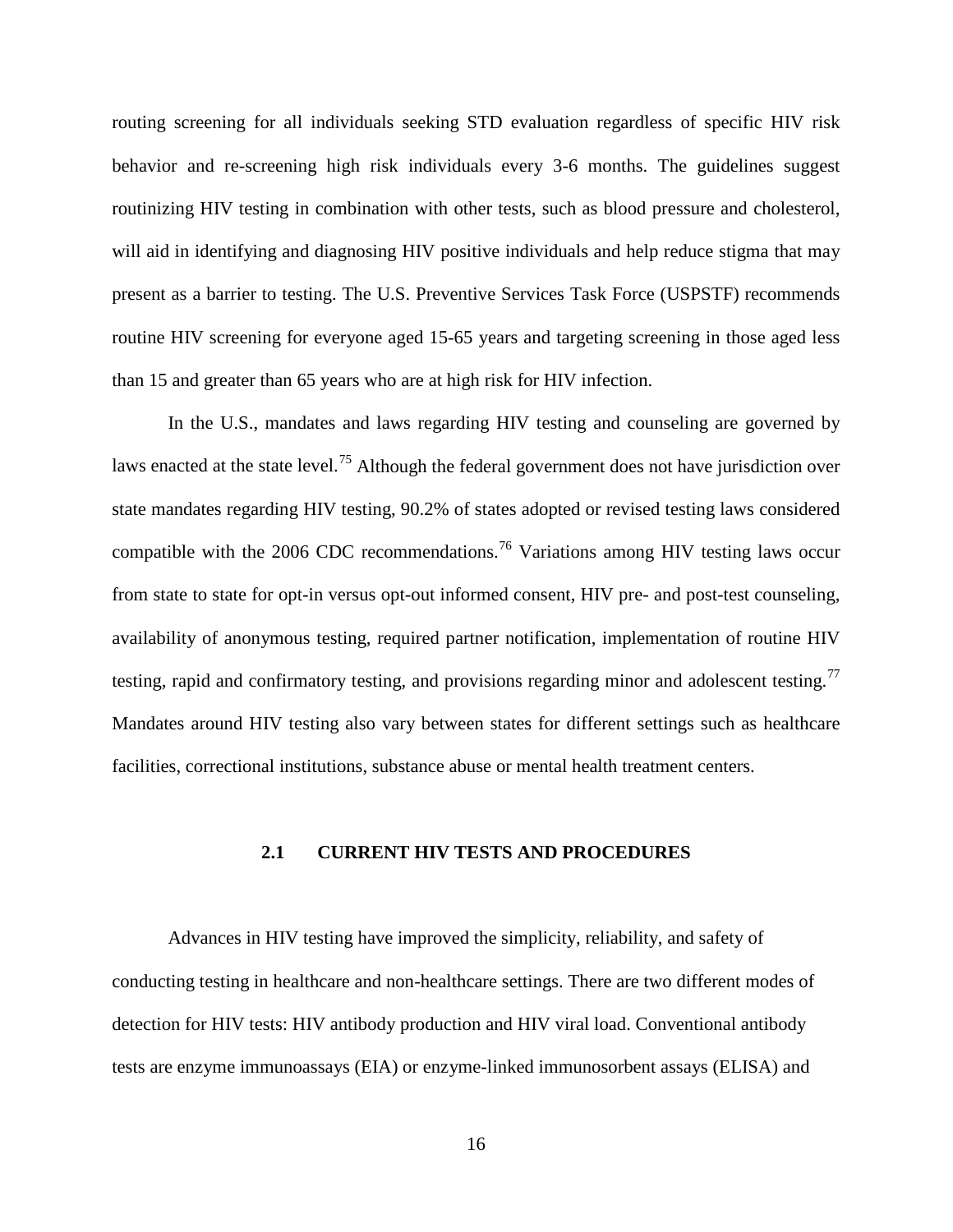routing screening for all individuals seeking STD evaluation regardless of specific HIV risk behavior and re-screening high risk individuals every 3-6 months. The guidelines suggest routinizing HIV testing in combination with other tests, such as blood pressure and cholesterol, will aid in identifying and diagnosing HIV positive individuals and help reduce stigma that may present as a barrier to testing. The U.S. Preventive Services Task Force (USPSTF) recommends routine HIV screening for everyone aged 15-65 years and targeting screening in those aged less than 15 and greater than 65 years who are at high risk for HIV infection.

In the U.S., mandates and laws regarding HIV testing and counseling are governed by laws enacted at the state level.<sup>[75](#page-56-3)</sup> Although the federal government does not have jurisdiction over state mandates regarding HIV testing, 90.2% of states adopted or revised testing laws considered compatible with the 2006 CDC recommendations.<sup>[76](#page-56-4)</sup> Variations among HIV testing laws occur from state to state for opt-in versus opt-out informed consent, HIV pre- and post-test counseling, availability of anonymous testing, required partner notification, implementation of routine HIV testing, rapid and confirmatory testing, and provisions regarding minor and adolescent testing.<sup>[77](#page-56-5)</sup> Mandates around HIV testing also vary between states for different settings such as healthcare facilities, correctional institutions, substance abuse or mental health treatment centers.

#### **2.1 CURRENT HIV TESTS AND PROCEDURES**

<span id="page-23-0"></span>Advances in HIV testing have improved the simplicity, reliability, and safety of conducting testing in healthcare and non-healthcare settings. There are two different modes of detection for HIV tests: HIV antibody production and HIV viral load. Conventional antibody tests are enzyme immunoassays (EIA) or enzyme-linked immunosorbent assays (ELISA) and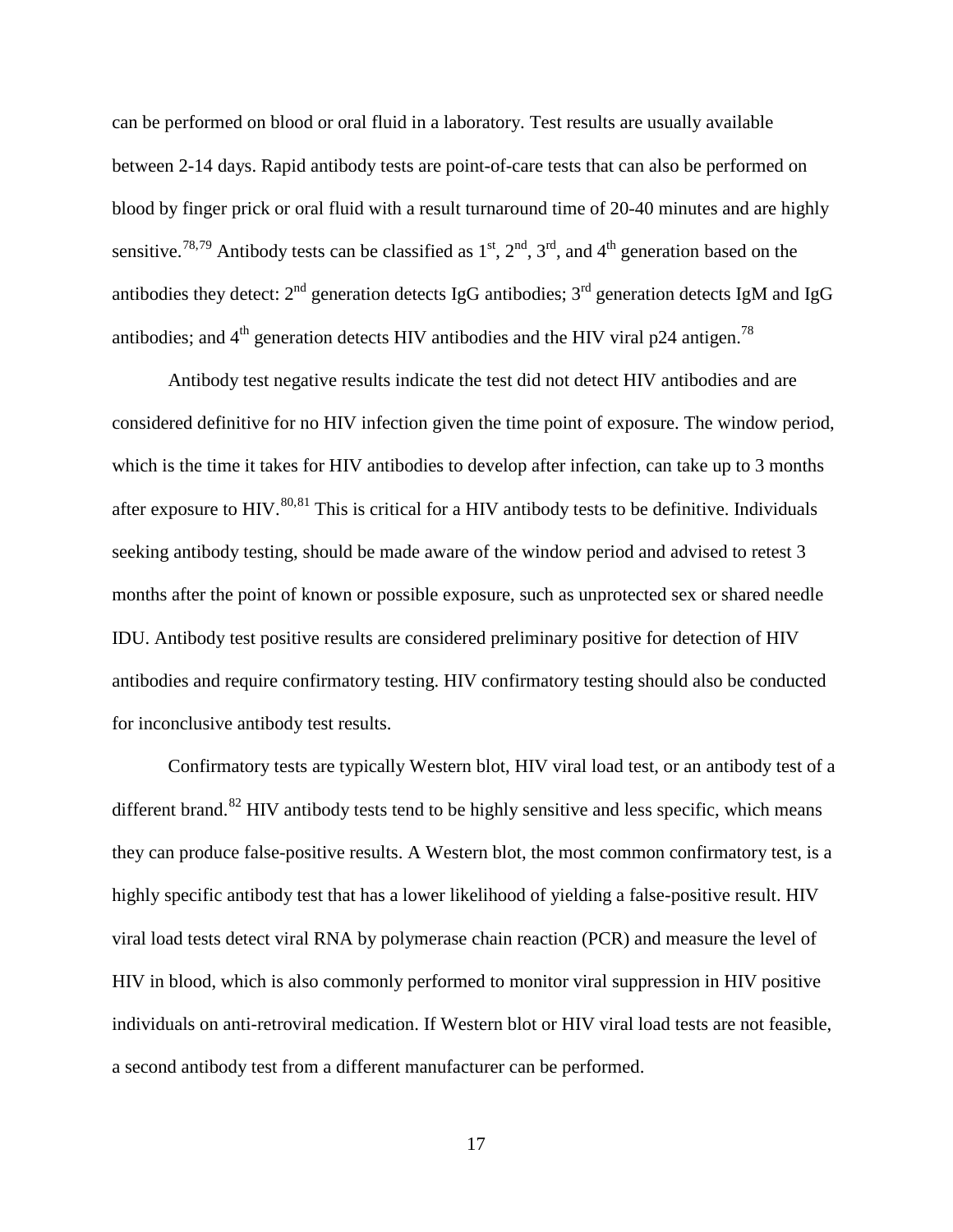<span id="page-24-0"></span>can be performed on blood or oral fluid in a laboratory. Test results are usually available between 2-14 days. Rapid antibody tests are point-of-care tests that can also be performed on blood by finger prick or oral fluid with a result turnaround time of 20-40 minutes and are highly sensitive.<sup>[78,](#page-57-0)[79](#page-57-1)</sup> Antibody tests can be classified as  $1<sup>st</sup>$ ,  $2<sup>nd</sup>$ ,  $3<sup>rd</sup>$ , and  $4<sup>th</sup>$  generation based on the antibodies they detect:  $2<sup>nd</sup>$  generation detects IgG antibodies;  $3<sup>rd</sup>$  generation detects IgM and IgG antibodies; and  $4<sup>th</sup>$  generation detects HIV antibodies and the HIV viral p24 antigen.<sup>78</sup>

Antibody test negative results indicate the test did not detect HIV antibodies and are considered definitive for no HIV infection given the time point of exposure. The window period, which is the time it takes for HIV antibodies to develop after infection, can take up to 3 months after exposure to HIV. $^{80,81}$  $^{80,81}$  $^{80,81}$  $^{80,81}$  This is critical for a HIV antibody tests to be definitive. Individuals seeking antibody testing, should be made aware of the window period and advised to retest 3 months after the point of known or possible exposure, such as unprotected sex or shared needle IDU. Antibody test positive results are considered preliminary positive for detection of HIV antibodies and require confirmatory testing. HIV confirmatory testing should also be conducted for inconclusive antibody test results.

Confirmatory tests are typically Western blot, HIV viral load test, or an antibody test of a different brand.<sup>[82](#page-57-4)</sup> HIV antibody tests tend to be highly sensitive and less specific, which means they can produce false-positive results. A Western blot, the most common confirmatory test, is a highly specific antibody test that has a lower likelihood of yielding a false-positive result. HIV viral load tests detect viral RNA by polymerase chain reaction (PCR) and measure the level of HIV in blood, which is also commonly performed to monitor viral suppression in HIV positive individuals on anti-retroviral medication. If Western blot or HIV viral load tests are not feasible, a second antibody test from a different manufacturer can be performed.

17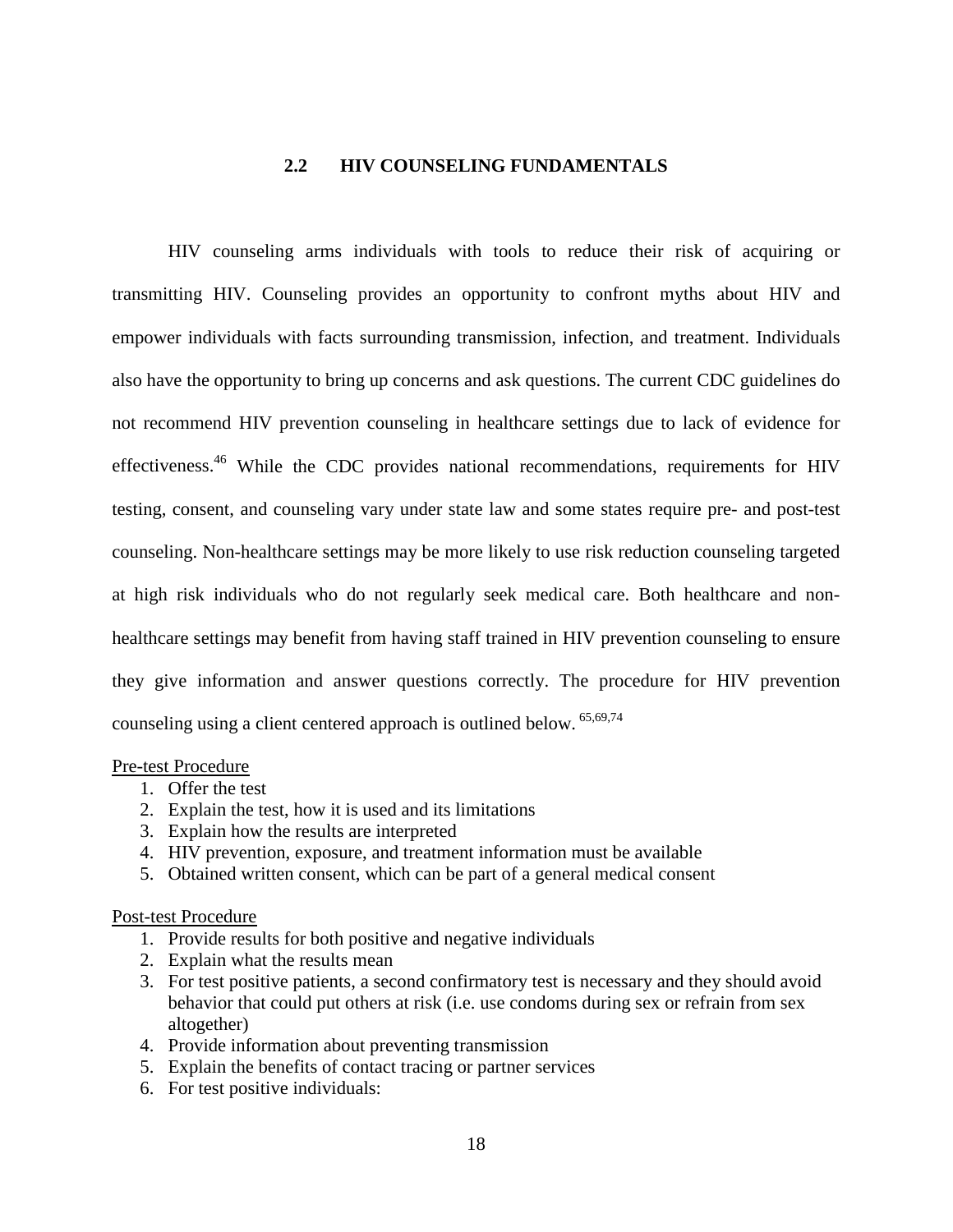#### **2.2 HIV COUNSELING FUNDAMENTALS**

<span id="page-25-0"></span>HIV counseling arms individuals with tools to reduce their risk of acquiring or transmitting HIV. Counseling provides an opportunity to confront myths about HIV and empower individuals with facts surrounding transmission, infection, and treatment. Individuals also have the opportunity to bring up concerns and ask questions. The current CDC guidelines do not recommend HIV prevention counseling in healthcare settings due to lack of evidence for effectiveness.[46](#page-18-1) While the CDC provides national recommendations, requirements for HIV testing, consent, and counseling vary under state law and some states require pre- and post-test counseling. Non-healthcare settings may be more likely to use risk reduction counseling targeted at high risk individuals who do not regularly seek medical care. Both healthcare and nonhealthcare settings may benefit from having staff trained in HIV prevention counseling to ensure they give information and answer questions correctly. The procedure for HIV prevention counseling using a client centered approach is outlined below. <sup>[65](#page-21-1)[,69](#page-21-2)[,74](#page-22-0)</sup>

#### Pre-test Procedure

- 1. Offer the test
- 2. Explain the test, how it is used and its limitations
- 3. Explain how the results are interpreted
- 4. HIV prevention, exposure, and treatment information must be available
- 5. Obtained written consent, which can be part of a general medical consent

#### Post-test Procedure

- 1. Provide results for both positive and negative individuals
- 2. Explain what the results mean
- 3. For test positive patients, a second confirmatory test is necessary and they should avoid behavior that could put others at risk (i.e. use condoms during sex or refrain from sex altogether)
- 4. Provide information about preventing transmission
- 5. Explain the benefits of contact tracing or partner services
- 6. For test positive individuals: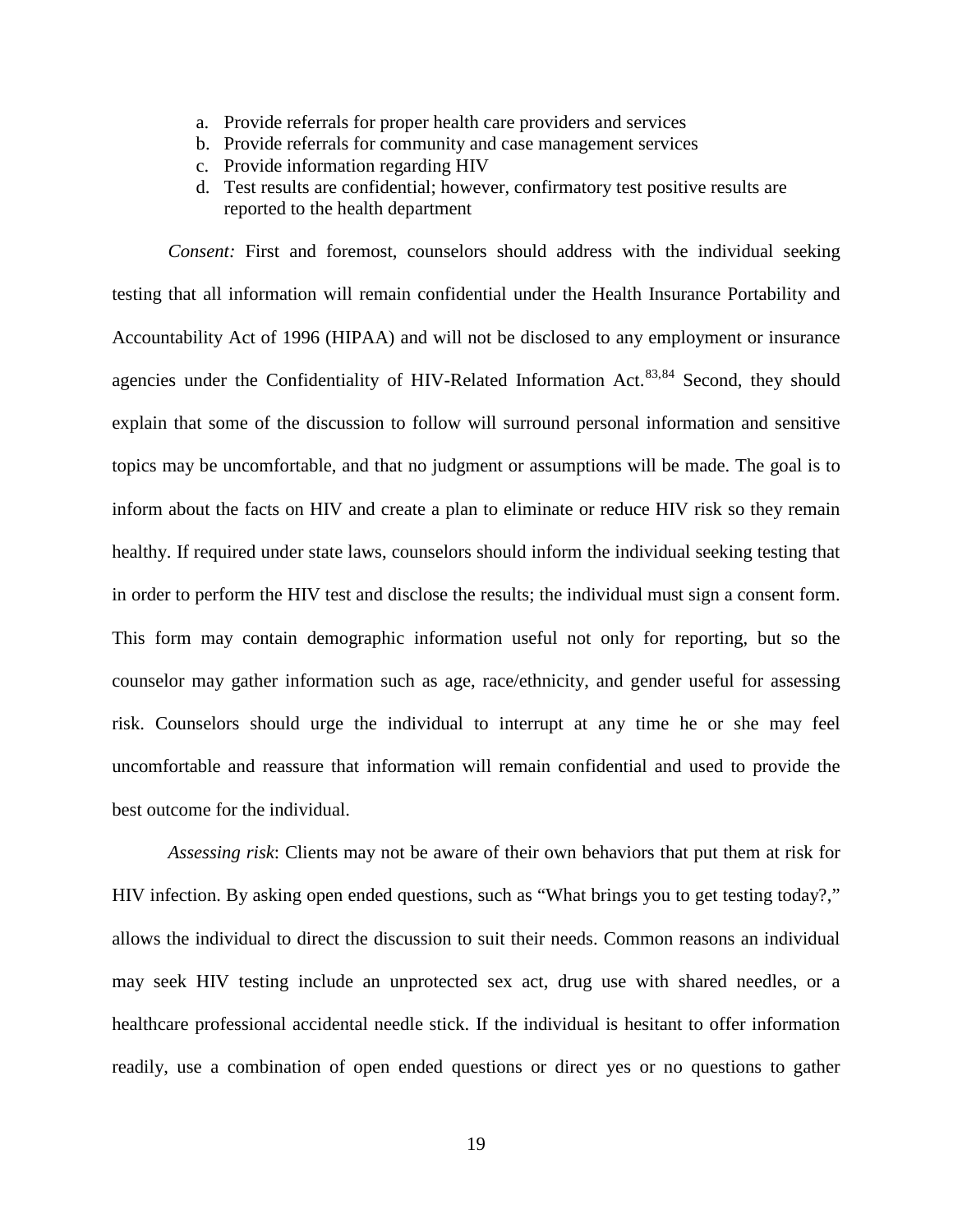- a. Provide referrals for proper health care providers and services
- b. Provide referrals for community and case management services
- c. Provide information regarding HIV
- <span id="page-26-1"></span><span id="page-26-0"></span>d. Test results are confidential; however, confirmatory test positive results are reported to the health department

*Consent:* First and foremost, counselors should address with the individual seeking testing that all information will remain confidential under the Health Insurance Portability and Accountability Act of 1996 (HIPAA) and will not be disclosed to any employment or insurance agencies under the Confidentiality of HIV-Related Information Act.<sup>[83](#page-57-5),[84](#page-57-6)</sup> Second, they should explain that some of the discussion to follow will surround personal information and sensitive topics may be uncomfortable, and that no judgment or assumptions will be made. The goal is to inform about the facts on HIV and create a plan to eliminate or reduce HIV risk so they remain healthy. If required under state laws, counselors should inform the individual seeking testing that in order to perform the HIV test and disclose the results; the individual must sign a consent form. This form may contain demographic information useful not only for reporting, but so the counselor may gather information such as age, race/ethnicity, and gender useful for assessing risk. Counselors should urge the individual to interrupt at any time he or she may feel uncomfortable and reassure that information will remain confidential and used to provide the best outcome for the individual.

*Assessing risk*: Clients may not be aware of their own behaviors that put them at risk for HIV infection. By asking open ended questions, such as "What brings you to get testing today?," allows the individual to direct the discussion to suit their needs. Common reasons an individual may seek HIV testing include an unprotected sex act, drug use with shared needles, or a healthcare professional accidental needle stick. If the individual is hesitant to offer information readily, use a combination of open ended questions or direct yes or no questions to gather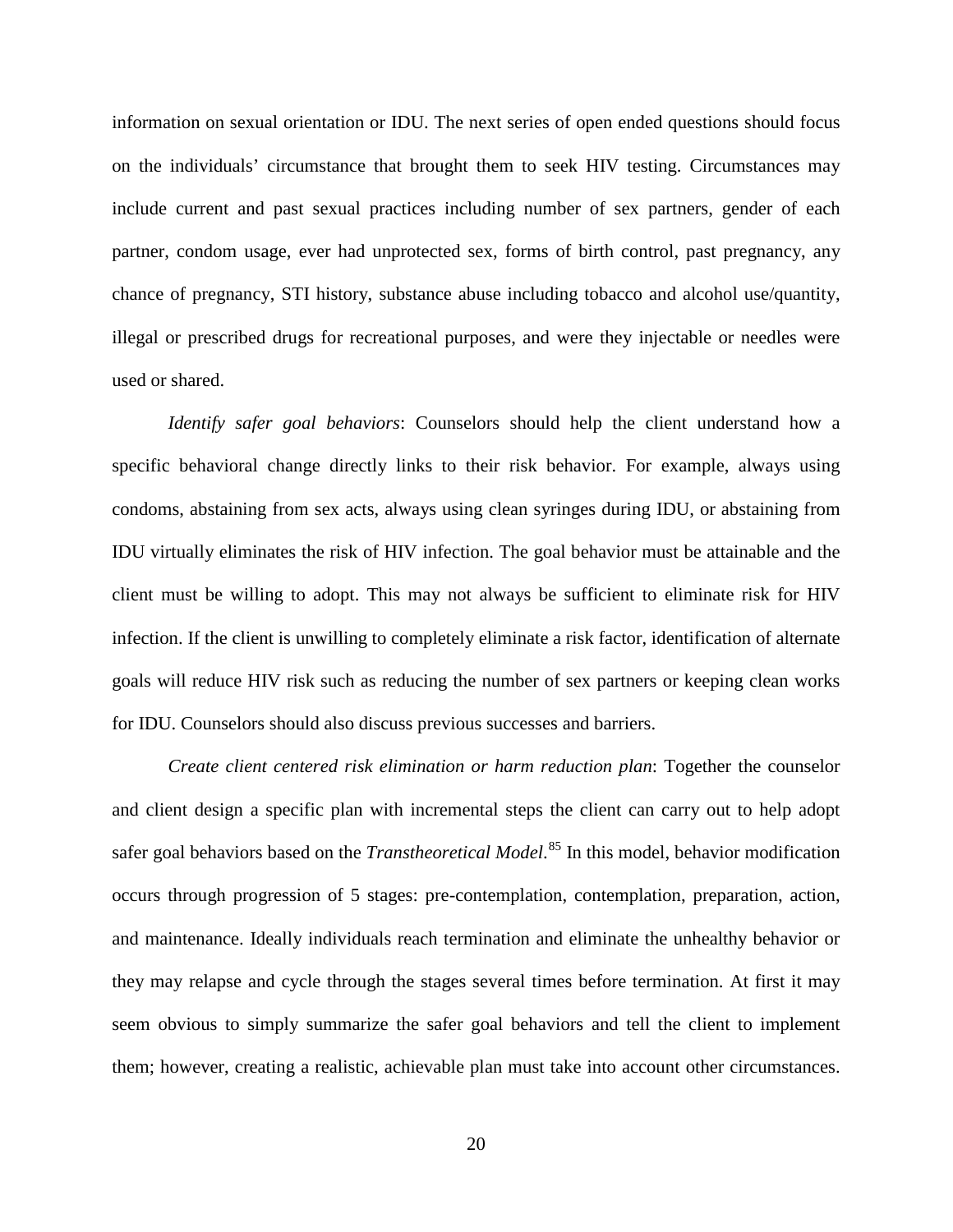information on sexual orientation or IDU. The next series of open ended questions should focus on the individuals' circumstance that brought them to seek HIV testing. Circumstances may include current and past sexual practices including number of sex partners, gender of each partner, condom usage, ever had unprotected sex, forms of birth control, past pregnancy, any chance of pregnancy, STI history, substance abuse including tobacco and alcohol use/quantity, illegal or prescribed drugs for recreational purposes, and were they injectable or needles were used or shared.

*Identify safer goal behaviors*: Counselors should help the client understand how a specific behavioral change directly links to their risk behavior. For example, always using condoms, abstaining from sex acts, always using clean syringes during IDU, or abstaining from IDU virtually eliminates the risk of HIV infection. The goal behavior must be attainable and the client must be willing to adopt. This may not always be sufficient to eliminate risk for HIV infection. If the client is unwilling to completely eliminate a risk factor, identification of alternate goals will reduce HIV risk such as reducing the number of sex partners or keeping clean works for IDU. Counselors should also discuss previous successes and barriers.

*Create client centered risk elimination or harm reduction plan*: Together the counselor and client design a specific plan with incremental steps the client can carry out to help adopt safer goal behaviors based on the *Transtheoretical Model*. [85](#page-57-7) In this model, behavior modification occurs through progression of 5 stages: pre-contemplation, contemplation, preparation, action, and maintenance. Ideally individuals reach termination and eliminate the unhealthy behavior or they may relapse and cycle through the stages several times before termination. At first it may seem obvious to simply summarize the safer goal behaviors and tell the client to implement them; however, creating a realistic, achievable plan must take into account other circumstances.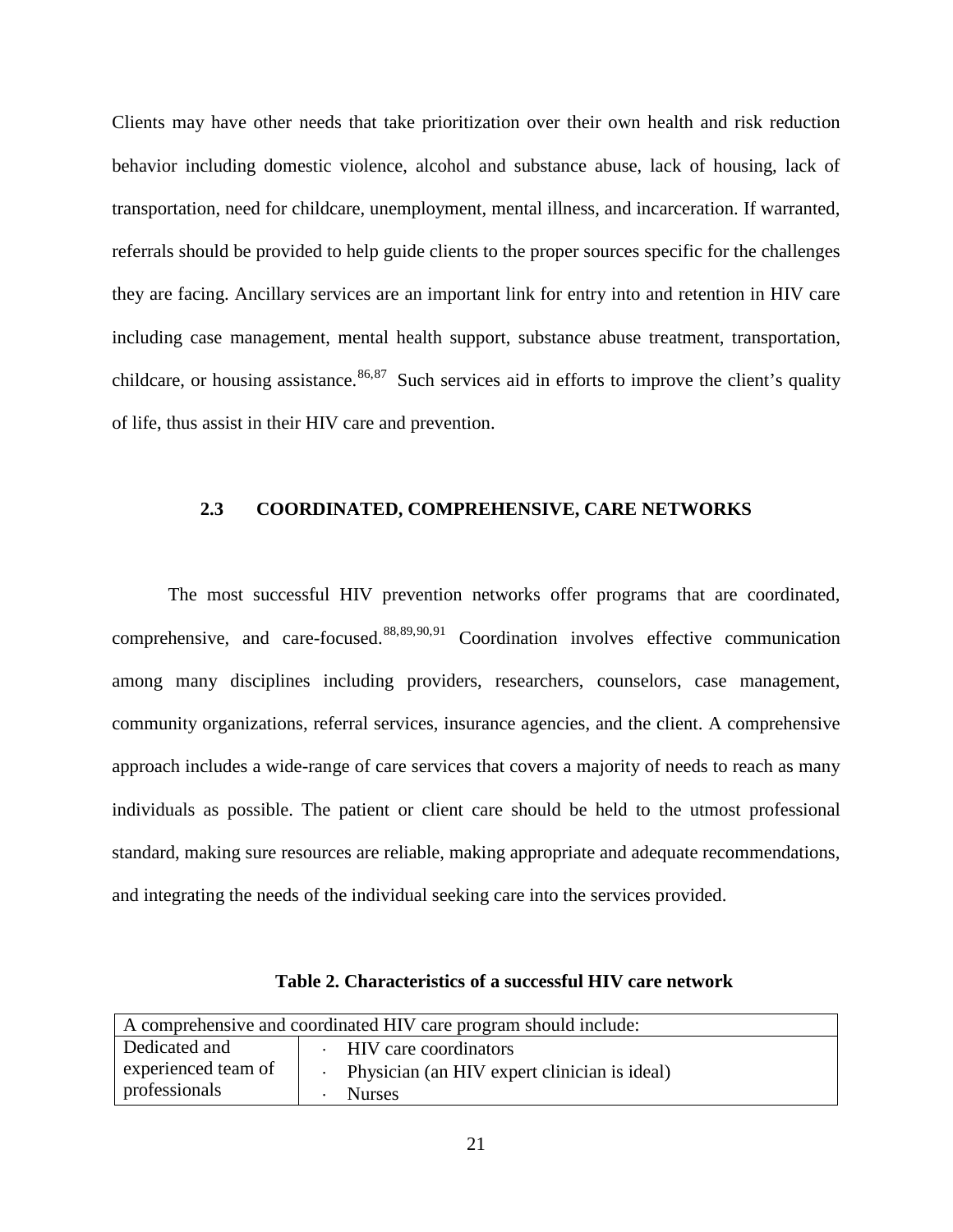Clients may have other needs that take prioritization over their own health and risk reduction behavior including domestic violence, alcohol and substance abuse, lack of housing, lack of transportation, need for childcare, unemployment, mental illness, and incarceration. If warranted, referrals should be provided to help guide clients to the proper sources specific for the challenges they are facing. Ancillary services are an important link for entry into and retention in HIV care including case management, mental health support, substance abuse treatment, transportation, childcare, or housing assistance.<sup>[86](#page-57-8),[87](#page-57-9)</sup> Such services aid in efforts to improve the client's quality of life, thus assist in their HIV care and prevention.

# **2.3 COORDINATED, COMPREHENSIVE, CARE NETWORKS**

<span id="page-28-0"></span>The most successful HIV prevention networks offer programs that are coordinated, comprehensive, and care-focused. $88,89,90,91$  $88,89,90,91$  $88,89,90,91$  $88,89,90,91$  $88,89,90,91$  Coordination involves effective communication among many disciplines including providers, researchers, counselors, case management, community organizations, referral services, insurance agencies, and the client. A comprehensive approach includes a wide-range of care services that covers a majority of needs to reach as many individuals as possible. The patient or client care should be held to the utmost professional standard, making sure resources are reliable, making appropriate and adequate recommendations, and integrating the needs of the individual seeking care into the services provided.

<span id="page-28-1"></span>

| A comprehensive and coordinated HIV care program should include: |  |                                                |  |
|------------------------------------------------------------------|--|------------------------------------------------|--|
| Dedicated and                                                    |  | · HIV care coordinators                        |  |
| experienced team of                                              |  | · Physician (an HIV expert clinician is ideal) |  |
| professionals                                                    |  | <b>Nurses</b>                                  |  |

**Table 2. Characteristics of a successful HIV care network**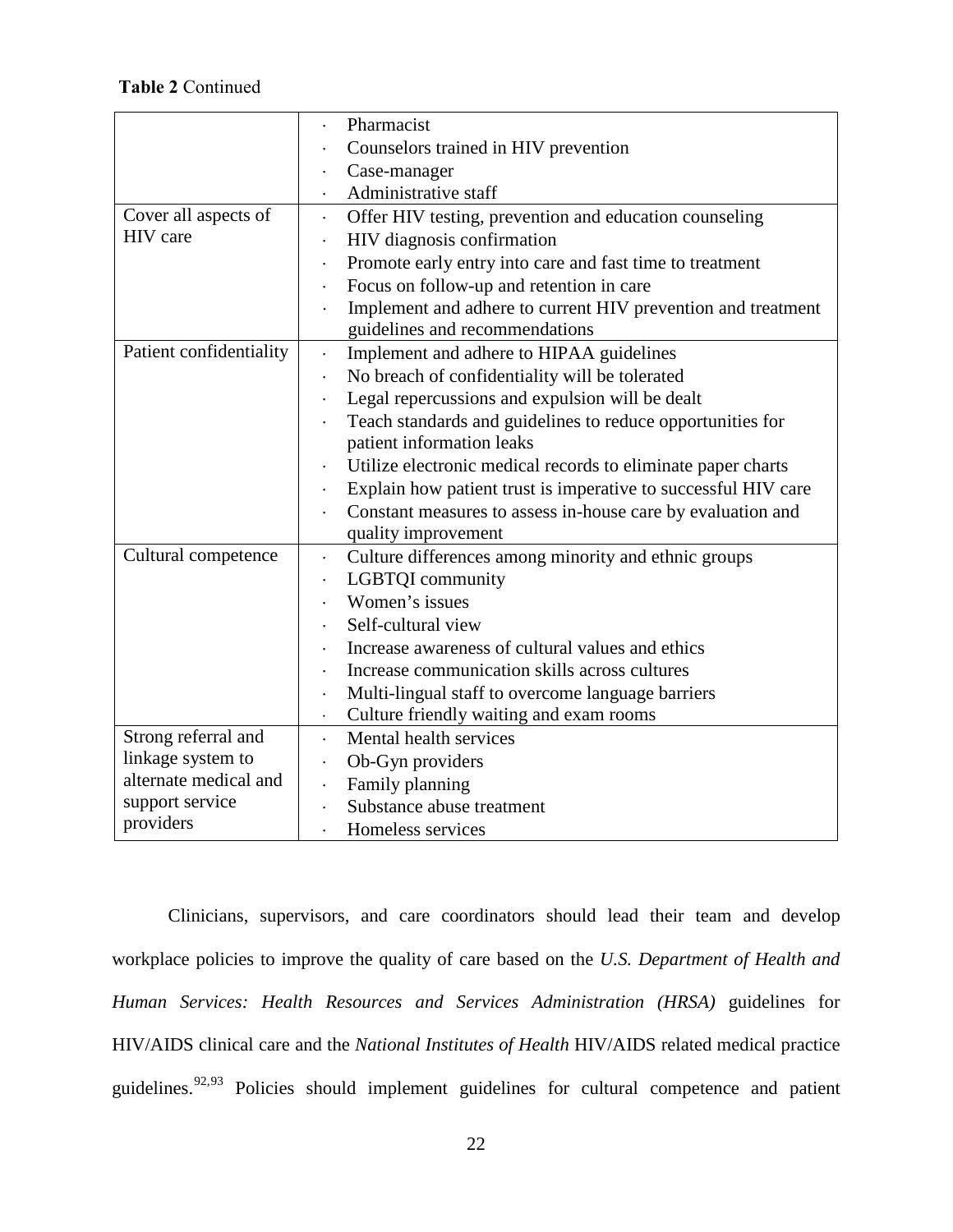# **Table 2** Continued

|                         | Pharmacist                                                          |  |  |
|-------------------------|---------------------------------------------------------------------|--|--|
|                         | Counselors trained in HIV prevention                                |  |  |
|                         | Case-manager                                                        |  |  |
|                         | Administrative staff<br>$\bullet$                                   |  |  |
| Cover all aspects of    | Offer HIV testing, prevention and education counseling<br>$\bullet$ |  |  |
| HIV care                | HIV diagnosis confirmation                                          |  |  |
|                         | Promote early entry into care and fast time to treatment            |  |  |
|                         | Focus on follow-up and retention in care                            |  |  |
|                         | Implement and adhere to current HIV prevention and treatment        |  |  |
|                         | guidelines and recommendations                                      |  |  |
| Patient confidentiality | Implement and adhere to HIPAA guidelines<br>$\bullet$               |  |  |
|                         | No breach of confidentiality will be tolerated                      |  |  |
|                         | Legal repercussions and expulsion will be dealt                     |  |  |
|                         | Teach standards and guidelines to reduce opportunities for          |  |  |
|                         | patient information leaks                                           |  |  |
|                         | Utilize electronic medical records to eliminate paper charts        |  |  |
|                         | Explain how patient trust is imperative to successful HIV care      |  |  |
|                         | Constant measures to assess in-house care by evaluation and         |  |  |
|                         | quality improvement                                                 |  |  |
| Cultural competence     | Culture differences among minority and ethnic groups<br>$\bullet$   |  |  |
|                         | LGBTQI community<br>$\bullet$                                       |  |  |
|                         | Women's issues                                                      |  |  |
|                         | Self-cultural view                                                  |  |  |
|                         | Increase awareness of cultural values and ethics                    |  |  |
|                         | Increase communication skills across cultures                       |  |  |
|                         | Multi-lingual staff to overcome language barriers                   |  |  |
|                         | Culture friendly waiting and exam rooms<br>$\bullet$                |  |  |
| Strong referral and     | Mental health services<br>$\bullet$                                 |  |  |
| linkage system to       | Ob-Gyn providers                                                    |  |  |
| alternate medical and   | Family planning                                                     |  |  |
| support service         | Substance abuse treatment                                           |  |  |
| providers               | Homeless services                                                   |  |  |

Clinicians, supervisors, and care coordinators should lead their team and develop workplace policies to improve the quality of care based on the *U.S. Department of Health and Human Services: Health Resources and Services Administration (HRSA)* guidelines for HIV/AIDS clinical care and the *National Institutes of Health* HIV/AIDS related medical practice guidelines.<sup>[92,](#page-57-13)93</sup> Policies should implement guidelines for cultural competence and patient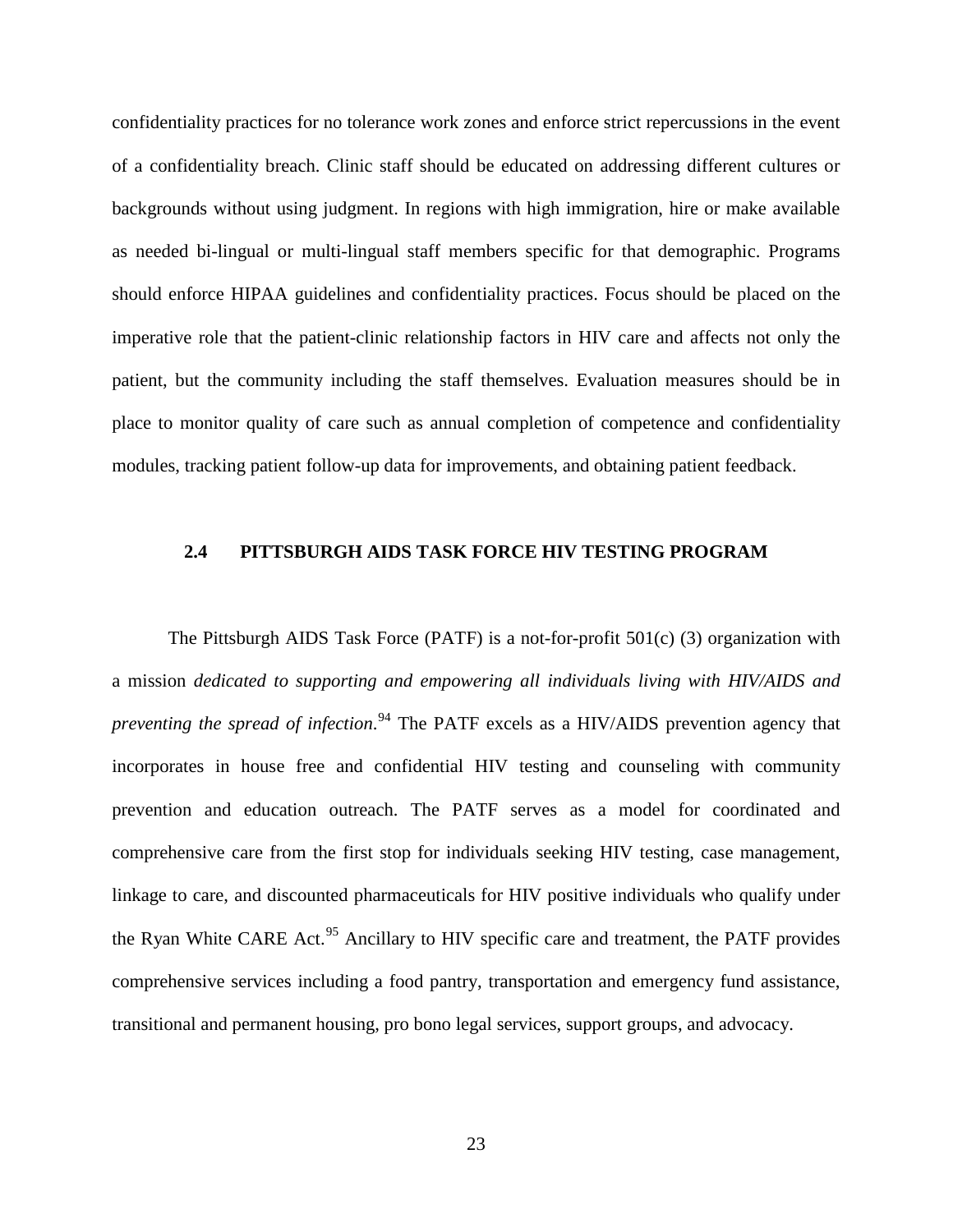confidentiality practices for no tolerance work zones and enforce strict repercussions in the event of a confidentiality breach. Clinic staff should be educated on addressing different cultures or backgrounds without using judgment. In regions with high immigration, hire or make available as needed bi-lingual or multi-lingual staff members specific for that demographic. Programs should enforce HIPAA guidelines and confidentiality practices. Focus should be placed on the imperative role that the patient-clinic relationship factors in HIV care and affects not only the patient, but the community including the staff themselves. Evaluation measures should be in place to monitor quality of care such as annual completion of competence and confidentiality modules, tracking patient follow-up data for improvements, and obtaining patient feedback.

#### <span id="page-30-0"></span>**2.4 PITTSBURGH AIDS TASK FORCE HIV TESTING PROGRAM**

The Pittsburgh AIDS Task Force (PATF) is a not-for-profit 501(c) (3) organization with a mission *dedicated to supporting and empowering all individuals living with HIV/AIDS and preventing the spread of infection*. [94](#page-57-4) The PATF excels as a HIV/AIDS prevention agency that incorporates in house free and confidential HIV testing and counseling with community prevention and education outreach. The PATF serves as a model for coordinated and comprehensive care from the first stop for individuals seeking HIV testing, case management, linkage to care, and discounted pharmaceuticals for HIV positive individuals who qualify under the Ryan White CARE Act.<sup>[95](#page-57-15)</sup> Ancillary to HIV specific care and treatment, the PATF provides comprehensive services including a food pantry, transportation and emergency fund assistance, transitional and permanent housing, pro bono legal services, support groups, and advocacy.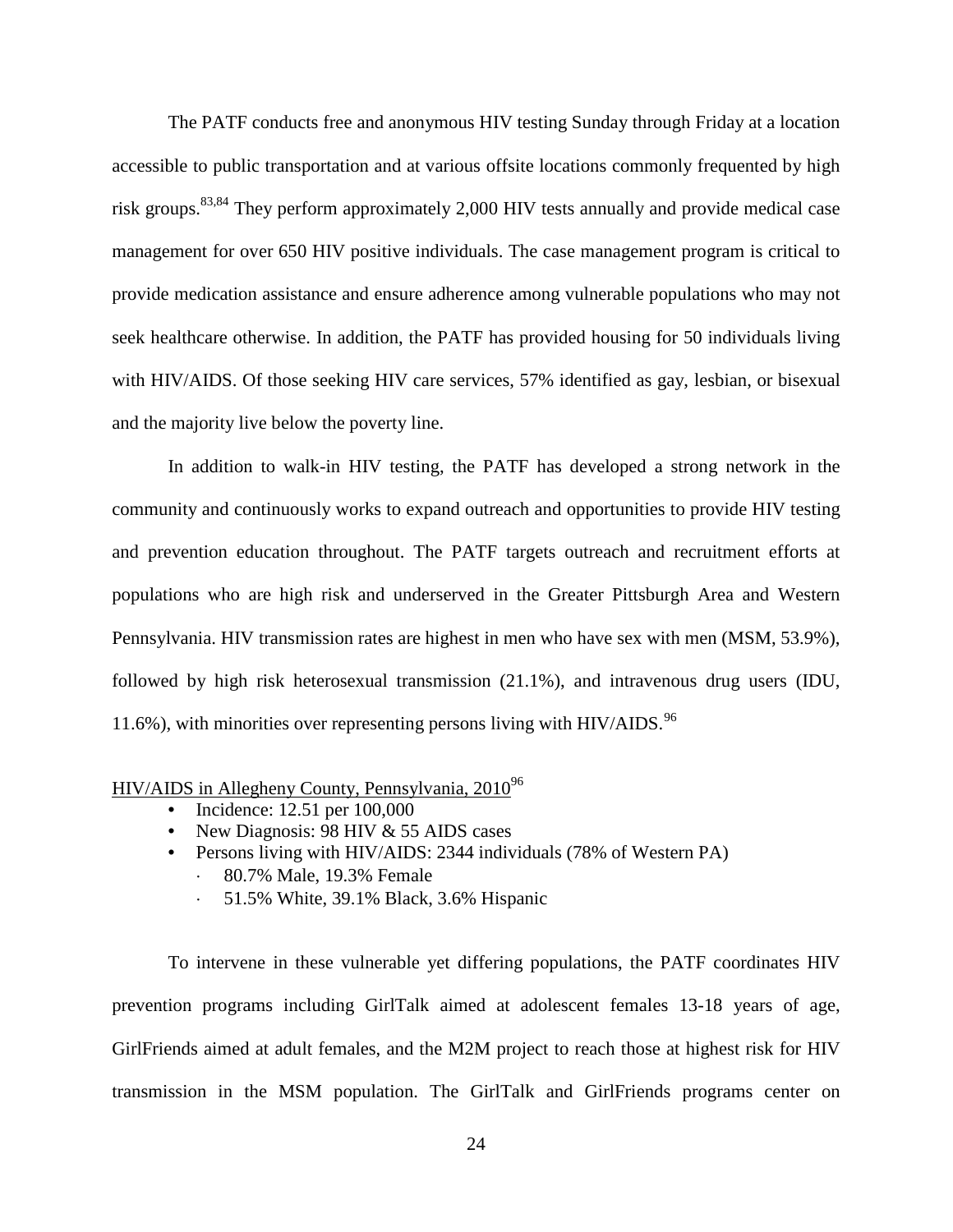The PATF conducts free and anonymous HIV testing Sunday through Friday at a location accessible to public transportation and at various offsite locations commonly frequented by high risk groups.<sup>[83](#page-26-0)[,84](#page-26-1)</sup> They perform approximately 2,000 HIV tests annually and provide medical case management for over 650 HIV positive individuals. The case management program is critical to provide medication assistance and ensure adherence among vulnerable populations who may not seek healthcare otherwise. In addition, the PATF has provided housing for 50 individuals living with HIV/AIDS. Of those seeking HIV care services, 57% identified as gay, lesbian, or bisexual and the majority live below the poverty line.

In addition to walk-in HIV testing, the PATF has developed a strong network in the community and continuously works to expand outreach and opportunities to provide HIV testing and prevention education throughout. The PATF targets outreach and recruitment efforts at populations who are high risk and underserved in the Greater Pittsburgh Area and Western Pennsylvania. HIV transmission rates are highest in men who have sex with men (MSM, 53.9%), followed by high risk heterosexual transmission (21.1%), and intravenous drug users (IDU, 11.6%), with minorities over representing persons living with HIV/AIDS.<sup>[96](#page-57-16)</sup>

# HIV/AIDS in Allegheny County, Pennsylvania, 2010<sup>96</sup>

- <span id="page-31-0"></span>• Incidence: 12.51 per 100,000
- New Diagnosis: 98 HIV & 55 AIDS cases
- Persons living with HIV/AIDS: 2344 individuals (78% of Western PA)
	- ⋅ 80.7% Male, 19.3% Female
	- ⋅ 51.5% White, 39.1% Black, 3.6% Hispanic

To intervene in these vulnerable yet differing populations, the PATF coordinates HIV prevention programs including GirlTalk aimed at adolescent females 13-18 years of age, GirlFriends aimed at adult females, and the M2M project to reach those at highest risk for HIV transmission in the MSM population. The GirlTalk and GirlFriends programs center on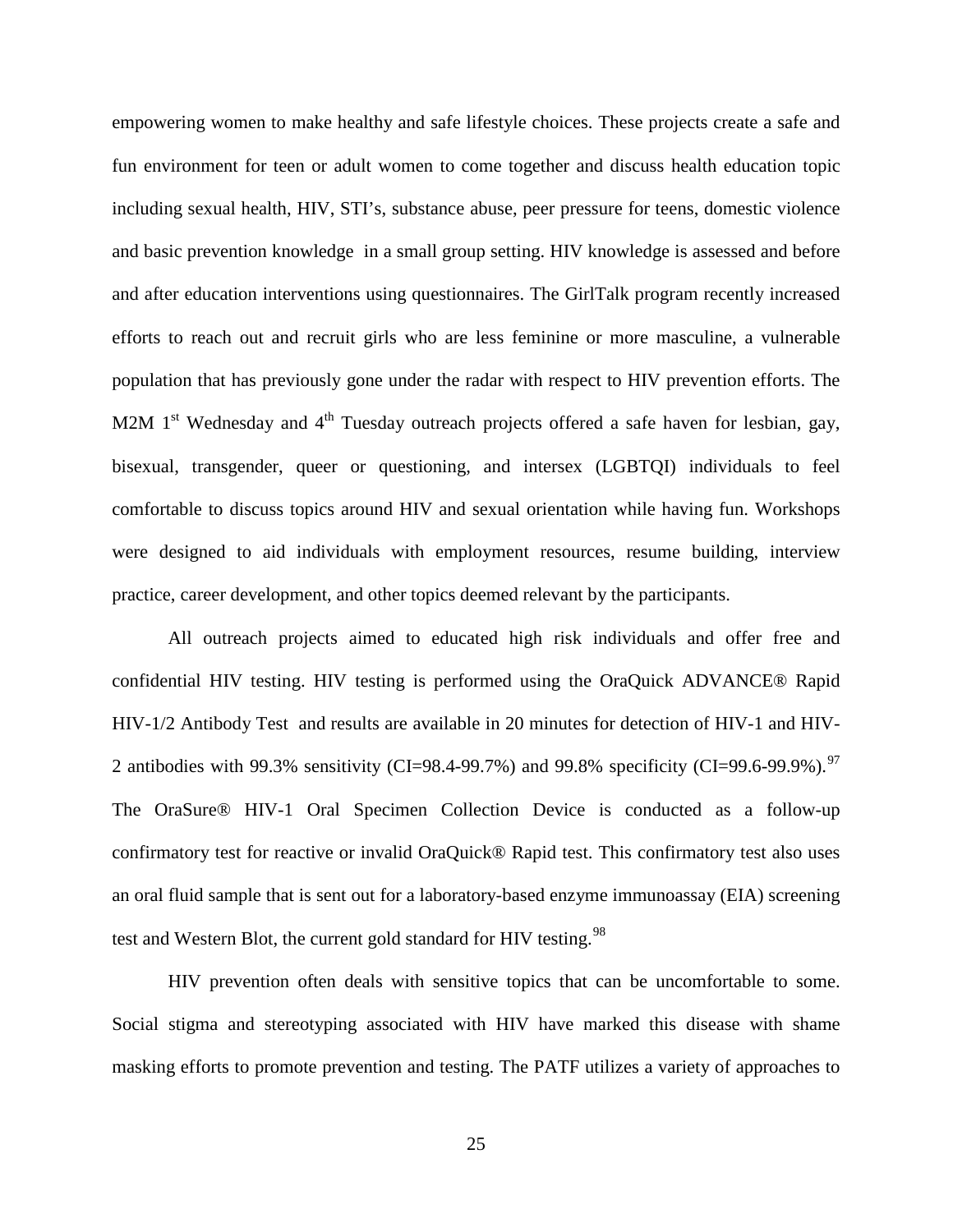empowering women to make healthy and safe lifestyle choices. These projects create a safe and fun environment for teen or adult women to come together and discuss health education topic including sexual health, HIV, STI's, substance abuse, peer pressure for teens, domestic violence and basic prevention knowledge in a small group setting. HIV knowledge is assessed and before and after education interventions using questionnaires. The GirlTalk program recently increased efforts to reach out and recruit girls who are less feminine or more masculine, a vulnerable population that has previously gone under the radar with respect to HIV prevention efforts. The M2M  $1<sup>st</sup>$  Wednesday and  $4<sup>th</sup>$  Tuesday outreach projects offered a safe haven for lesbian, gay, bisexual, transgender, queer or questioning, and intersex (LGBTQI) individuals to feel comfortable to discuss topics around HIV and sexual orientation while having fun. Workshops were designed to aid individuals with employment resources, resume building, interview practice, career development, and other topics deemed relevant by the participants.

All outreach projects aimed to educated high risk individuals and offer free and confidential HIV testing. HIV testing is performed using the OraQuick ADVANCE® Rapid HIV-1/2 Antibody Test and results are available in 20 minutes for detection of HIV-1 and HIV-2 antibodies with 99.3% sensitivity (CI=98.4-99.7%) and 99.8% specificity (CI=99.6-99.9%).<sup>[97](#page-57-17)</sup> The OraSure® HIV-1 Oral Specimen Collection Device is conducted as a follow-up confirmatory test for reactive or invalid OraQuick® Rapid test. This confirmatory test also uses an oral fluid sample that is sent out for a laboratory-based enzyme immunoassay (EIA) screening test and Western Blot, the current gold standard for HIV testing.<sup>[98](#page-57-18)</sup>

HIV prevention often deals with sensitive topics that can be uncomfortable to some. Social stigma and stereotyping associated with HIV have marked this disease with shame masking efforts to promote prevention and testing. The PATF utilizes a variety of approaches to

25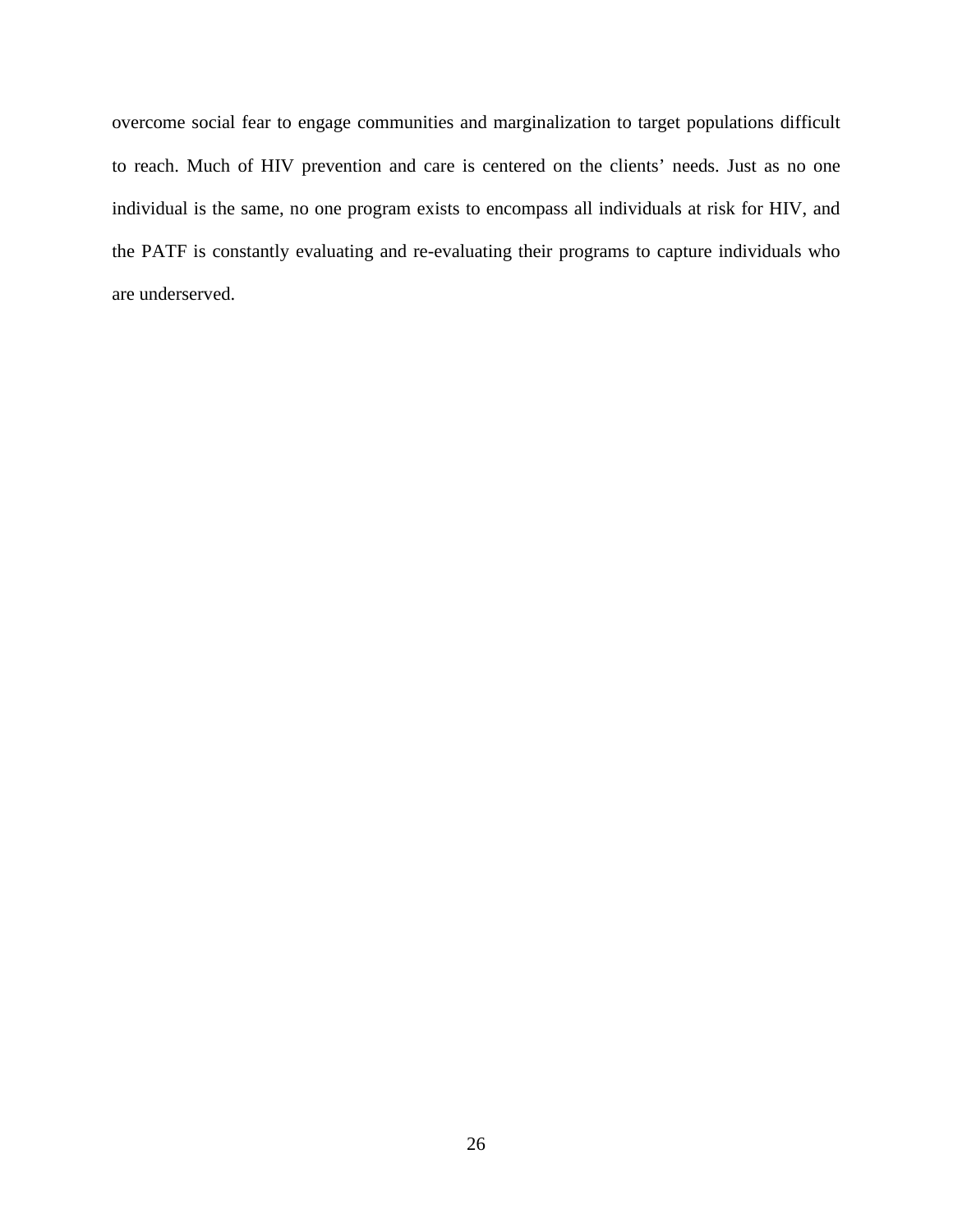overcome social fear to engage communities and marginalization to target populations difficult to reach. Much of HIV prevention and care is centered on the clients' needs. Just as no one individual is the same, no one program exists to encompass all individuals at risk for HIV, and the PATF is constantly evaluating and re-evaluating their programs to capture individuals who are underserved.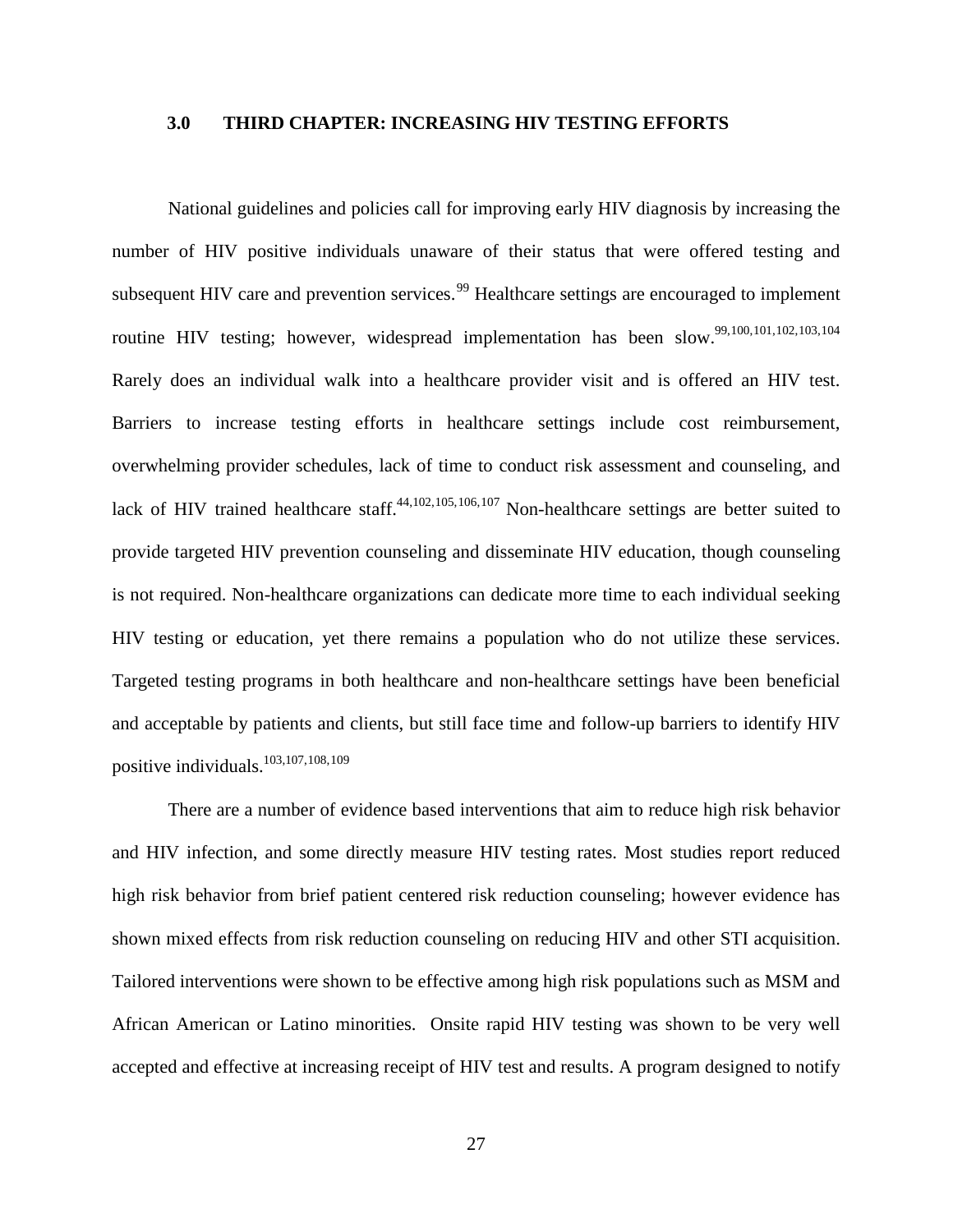#### <span id="page-34-5"></span><span id="page-34-3"></span><span id="page-34-2"></span><span id="page-34-1"></span><span id="page-34-0"></span>**3.0 THIRD CHAPTER: INCREASING HIV TESTING EFFORTS**

<span id="page-34-8"></span><span id="page-34-4"></span>National guidelines and policies call for improving early HIV diagnosis by increasing the number of HIV positive individuals unaware of their status that were offered testing and subsequent HIV care and prevention services.<sup>[99](#page-57-19)</sup> Healthcare settings are encouraged to implement routine HIV testing; however, widespread implementation has been slow.<sup>99,[100,](#page-57-20)[101](#page-57-21),[102,](#page-57-22)[103](#page-57-23),[104](#page-57-1)</sup> Rarely does an individual walk into a healthcare provider visit and is offered an HIV test. Barriers to increase testing efforts in healthcare settings include cost reimbursement, overwhelming provider schedules, lack of time to conduct risk assessment and counseling, and lack of HIV trained healthcare staff. $44,102,105,106,107$  $44,102,105,106,107$  $44,102,105,106,107$  $44,102,105,106,107$  $44,102,105,106,107$  Non-healthcare settings are better suited to provide targeted HIV prevention counseling and disseminate HIV education, though counseling is not required. Non-healthcare organizations can dedicate more time to each individual seeking HIV testing or education, yet there remains a population who do not utilize these services. Targeted testing programs in both healthcare and non-healthcare settings have been beneficial and acceptable by patients and clients, but still face time and follow-up barriers to identify HIV positive individuals[.103,](#page-34-3)[107,](#page-34-4)[108](#page-57-5),[109](#page-57-6)

<span id="page-34-7"></span><span id="page-34-6"></span>There are a number of evidence based interventions that aim to reduce high risk behavior and HIV infection, and some directly measure HIV testing rates. Most studies report reduced high risk behavior from brief patient centered risk reduction counseling; however evidence has shown mixed effects from risk reduction counseling on reducing HIV and other STI acquisition. Tailored interventions were shown to be effective among high risk populations such as MSM and African American or Latino minorities. Onsite rapid HIV testing was shown to be very well accepted and effective at increasing receipt of HIV test and results. A program designed to notify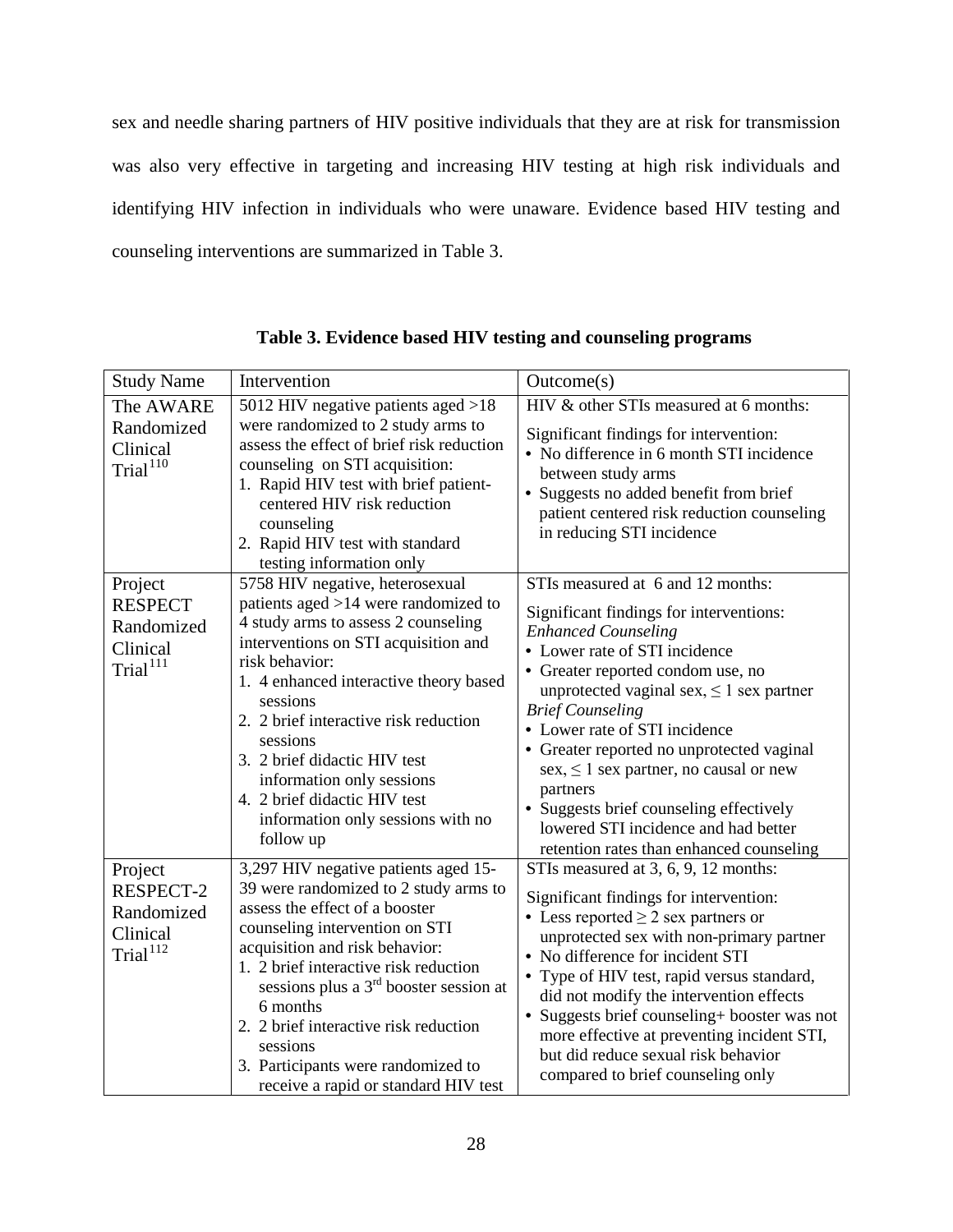sex and needle sharing partners of HIV positive individuals that they are at risk for transmission was also very effective in targeting and increasing HIV testing at high risk individuals and identifying HIV infection in individuals who were unaware. Evidence based HIV testing and counseling interventions are summarized in Table 3.

<span id="page-35-1"></span><span id="page-35-0"></span>

| <b>Study Name</b>                                                           | Intervention                                                                                                                                                                                                                                                                                                                                                                                                                       | Outcome(s)                                                                                                                                                                                                                                                                                                                                                                                                                                                                                                                           |
|-----------------------------------------------------------------------------|------------------------------------------------------------------------------------------------------------------------------------------------------------------------------------------------------------------------------------------------------------------------------------------------------------------------------------------------------------------------------------------------------------------------------------|--------------------------------------------------------------------------------------------------------------------------------------------------------------------------------------------------------------------------------------------------------------------------------------------------------------------------------------------------------------------------------------------------------------------------------------------------------------------------------------------------------------------------------------|
| The AWARE<br>Randomized<br>Clinical<br>Trial <sup>110</sup>                 | 5012 HIV negative patients aged >18<br>were randomized to 2 study arms to<br>assess the effect of brief risk reduction<br>counseling on STI acquisition:<br>1. Rapid HIV test with brief patient-<br>centered HIV risk reduction<br>counseling<br>2. Rapid HIV test with standard<br>testing information only                                                                                                                      | HIV & other STIs measured at 6 months:<br>Significant findings for intervention:<br>• No difference in 6 month STI incidence<br>between study arms<br>· Suggests no added benefit from brief<br>patient centered risk reduction counseling<br>in reducing STI incidence                                                                                                                                                                                                                                                              |
| Project<br><b>RESPECT</b><br>Randomized<br>Clinical<br>Trial <sup>111</sup> | 5758 HIV negative, heterosexual<br>patients aged >14 were randomized to<br>4 study arms to assess 2 counseling<br>interventions on STI acquisition and<br>risk behavior:<br>1. 4 enhanced interactive theory based<br>sessions<br>2. 2 brief interactive risk reduction<br>sessions<br>3. 2 brief didactic HIV test<br>information only sessions<br>4. 2 brief didactic HIV test<br>information only sessions with no<br>follow up | STIs measured at 6 and 12 months:<br>Significant findings for interventions:<br><b>Enhanced Counseling</b><br>• Lower rate of STI incidence<br>• Greater reported condom use, no<br>unprotected vaginal sex, $\leq 1$ sex partner<br><b>Brief Counseling</b><br>• Lower rate of STI incidence<br>• Greater reported no unprotected vaginal<br>$sex, \leq 1$ sex partner, no causal or new<br>partners<br>• Suggests brief counseling effectively<br>lowered STI incidence and had better<br>retention rates than enhanced counseling |
| Project<br>RESPECT-2<br>Randomized<br>Clinical<br>Trial <sup>112</sup>      | 3,297 HIV negative patients aged 15-<br>39 were randomized to 2 study arms to<br>assess the effect of a booster<br>counseling intervention on STI<br>acquisition and risk behavior:<br>1. 2 brief interactive risk reduction<br>sessions plus a $3rd$ booster session at<br>6 months<br>2. 2 brief interactive risk reduction<br>sessions<br>3. Participants were randomized to<br>receive a rapid or standard HIV test            | STIs measured at 3, 6, 9, 12 months:<br>Significant findings for intervention:<br>• Less reported $\geq$ 2 sex partners or<br>unprotected sex with non-primary partner<br>• No difference for incident STI<br>• Type of HIV test, rapid versus standard,<br>did not modify the intervention effects<br>• Suggests brief counseling+ booster was not<br>more effective at preventing incident STI,<br>but did reduce sexual risk behavior<br>compared to brief counseling only                                                        |

**Table 3. Evidence based HIV testing and counseling programs**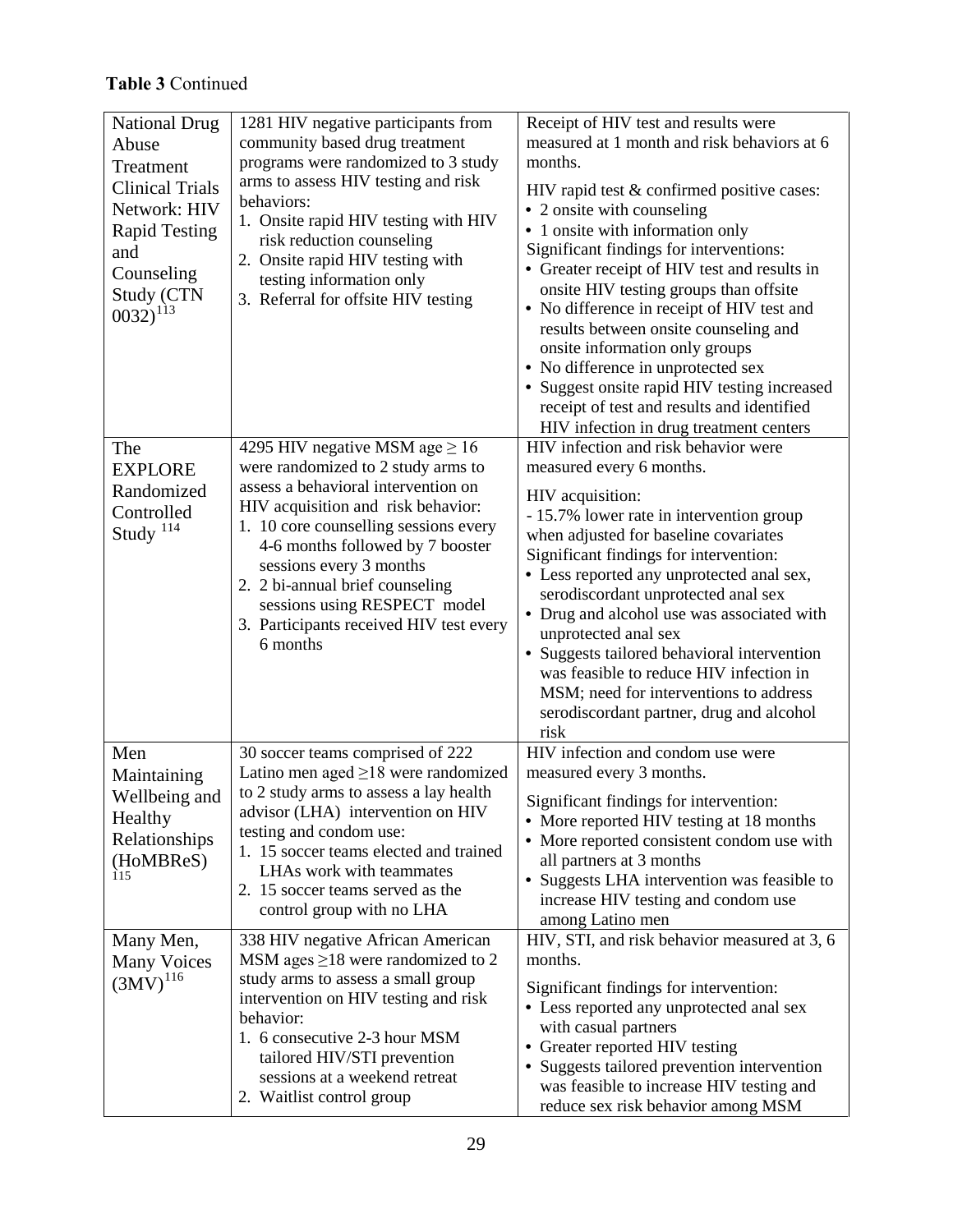# **Table 3** Continued

<span id="page-36-0"></span>

| <b>National Drug</b><br>Abuse<br>Treatment<br><b>Clinical Trials</b><br>Network: HIV<br><b>Rapid Testing</b><br>and<br>Counseling<br>Study (CTN<br>$0032)^{113}$ | 1281 HIV negative participants from<br>community based drug treatment<br>programs were randomized to 3 study<br>arms to assess HIV testing and risk<br>behaviors:<br>1. Onsite rapid HIV testing with HIV<br>risk reduction counseling<br>2. Onsite rapid HIV testing with<br>testing information only<br>3. Referral for offsite HIV testing                                            | Receipt of HIV test and results were<br>measured at 1 month and risk behaviors at 6<br>months.<br>HIV rapid test & confirmed positive cases:<br>• 2 onsite with counseling<br>• 1 onsite with information only<br>Significant findings for interventions:<br>• Greater receipt of HIV test and results in<br>onsite HIV testing groups than offsite<br>• No difference in receipt of HIV test and<br>results between onsite counseling and<br>onsite information only groups<br>• No difference in unprotected sex<br>• Suggest onsite rapid HIV testing increased<br>receipt of test and results and identified<br>HIV infection in drug treatment centers |
|------------------------------------------------------------------------------------------------------------------------------------------------------------------|------------------------------------------------------------------------------------------------------------------------------------------------------------------------------------------------------------------------------------------------------------------------------------------------------------------------------------------------------------------------------------------|-------------------------------------------------------------------------------------------------------------------------------------------------------------------------------------------------------------------------------------------------------------------------------------------------------------------------------------------------------------------------------------------------------------------------------------------------------------------------------------------------------------------------------------------------------------------------------------------------------------------------------------------------------------|
| The<br><b>EXPLORE</b><br>Randomized<br>Controlled<br>Study <sup>114</sup>                                                                                        | 4295 HIV negative MSM age $\geq 16$<br>were randomized to 2 study arms to<br>assess a behavioral intervention on<br>HIV acquisition and risk behavior:<br>1. 10 core counselling sessions every<br>4-6 months followed by 7 booster<br>sessions every 3 months<br>2. 2 bi-annual brief counseling<br>sessions using RESPECT model<br>3. Participants received HIV test every<br>6 months | HIV infection and risk behavior were<br>measured every 6 months.<br>HIV acquisition:<br>- 15.7% lower rate in intervention group<br>when adjusted for baseline covariates<br>Significant findings for intervention:<br>• Less reported any unprotected anal sex,<br>serodiscordant unprotected anal sex<br>• Drug and alcohol use was associated with<br>unprotected anal sex<br>• Suggests tailored behavioral intervention<br>was feasible to reduce HIV infection in<br>MSM; need for interventions to address<br>serodiscordant partner, drug and alcohol<br>risk                                                                                       |
| Men<br>Maintaining<br>Wellbeing and<br>Healthy<br>Relationships<br>(HoMBReS)<br>115                                                                              | 30 soccer teams comprised of 222<br>Latino men aged $\geq$ 18 were randomized<br>to 2 study arms to assess a lay health<br>advisor (LHA) intervention on HIV<br>testing and condom use:<br>1. 15 soccer teams elected and trained<br>LHAs work with teammates<br>2. 15 soccer teams served as the<br>control group with no LHA                                                           | HIV infection and condom use were<br>measured every 3 months.<br>Significant findings for intervention:<br>• More reported HIV testing at 18 months<br>• More reported consistent condom use with<br>all partners at 3 months<br>• Suggests LHA intervention was feasible to<br>increase HIV testing and condom use<br>among Latino men                                                                                                                                                                                                                                                                                                                     |
| Many Men,<br><b>Many Voices</b><br>$(3MV)^{116}$                                                                                                                 | 338 HIV negative African American<br>MSM ages $\geq$ 18 were randomized to 2<br>study arms to assess a small group<br>intervention on HIV testing and risk<br>behavior:<br>1. 6 consecutive 2-3 hour MSM<br>tailored HIV/STI prevention<br>sessions at a weekend retreat<br>2. Waitlist control group                                                                                    | HIV, STI, and risk behavior measured at 3, 6<br>months.<br>Significant findings for intervention:<br>• Less reported any unprotected anal sex<br>with casual partners<br>• Greater reported HIV testing<br>• Suggests tailored prevention intervention<br>was feasible to increase HIV testing and<br>reduce sex risk behavior among MSM                                                                                                                                                                                                                                                                                                                    |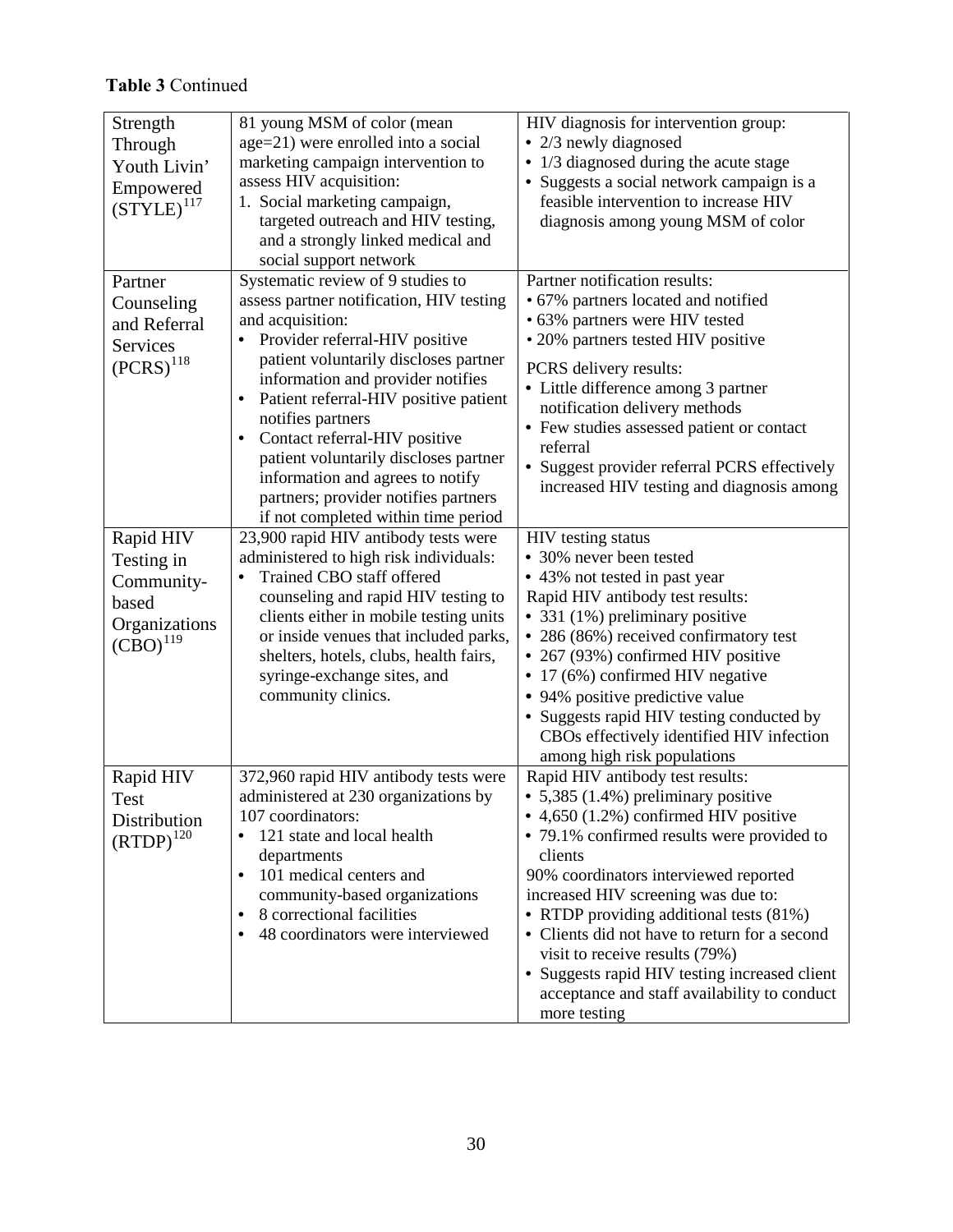# **Table 3** Continued

| Strength               | 81 young MSM of color (mean                        | HIV diagnosis for intervention group:                    |
|------------------------|----------------------------------------------------|----------------------------------------------------------|
| Through                | age=21) were enrolled into a social                | • 2/3 newly diagnosed                                    |
| Youth Livin'           | marketing campaign intervention to                 | 1/3 diagnosed during the acute stage                     |
| Empowered              | assess HIV acquisition:                            | Suggests a social network campaign is a                  |
| $(STYLE)^{117}$        | 1. Social marketing campaign,                      | feasible intervention to increase HIV                    |
|                        | targeted outreach and HIV testing,                 | diagnosis among young MSM of color                       |
|                        | and a strongly linked medical and                  |                                                          |
|                        | social support network                             |                                                          |
| Partner                | Systematic review of 9 studies to                  | Partner notification results:                            |
| Counseling             | assess partner notification, HIV testing           | • 67% partners located and notified                      |
| and Referral           | and acquisition:                                   | • 63% partners were HIV tested                           |
| Services               | Provider referral-HIV positive                     | • 20% partners tested HIV positive                       |
| $(PCRS)^{118}$         | patient voluntarily discloses partner              | PCRS delivery results:                                   |
|                        | information and provider notifies                  | • Little difference among 3 partner                      |
|                        | Patient referral-HIV positive patient<br>$\bullet$ | notification delivery methods                            |
|                        | notifies partners                                  | • Few studies assessed patient or contact                |
|                        | Contact referral-HIV positive<br>$\bullet$         | referral                                                 |
|                        | patient voluntarily discloses partner              | • Suggest provider referral PCRS effectively             |
|                        | information and agrees to notify                   | increased HIV testing and diagnosis among                |
|                        | partners; provider notifies partners               |                                                          |
|                        | if not completed within time period                |                                                          |
| Rapid HIV              | 23,900 rapid HIV antibody tests were               | HIV testing status                                       |
| Testing in             | administered to high risk individuals:             | • 30% never been tested                                  |
| Community-             | Trained CBO staff offered                          | • 43% not tested in past year                            |
| based                  | counseling and rapid HIV testing to                | Rapid HIV antibody test results:                         |
| Organizations          | clients either in mobile testing units             | • 331 (1%) preliminary positive                          |
| $(CBO)$ <sup>119</sup> | or inside venues that included parks,              | • 286 (86%) received confirmatory test                   |
|                        | shelters, hotels, clubs, health fairs,             | • 267 (93%) confirmed HIV positive                       |
|                        | syringe-exchange sites, and                        | 17 (6%) confirmed HIV negative                           |
|                        | community clinics.                                 | • 94% positive predictive value                          |
|                        |                                                    | Suggests rapid HIV testing conducted by                  |
|                        |                                                    | CBOs effectively identified HIV infection                |
|                        |                                                    | among high risk populations                              |
| Rapid HIV              | 372,960 rapid HIV antibody tests were              | Rapid HIV antibody test results:                         |
| Test                   | administered at 230 organizations by               | • 5,385 (1.4%) preliminary positive                      |
| Distribution           | 107 coordinators:                                  | $\bullet$ 4,650 (1.2%) confirmed HIV positive            |
| $(RTDP)^{120}$         | 121 state and local health                         | • 79.1% confirmed results were provided to               |
|                        | departments                                        | clients                                                  |
|                        | 101 medical centers and<br>$\bullet$               | 90% coordinators interviewed reported                    |
|                        | community-based organizations                      | increased HIV screening was due to:                      |
|                        | 8 correctional facilities<br>$\bullet$             | • RTDP providing additional tests (81%)                  |
|                        | 48 coordinators were interviewed                   | • Clients did not have to return for a second            |
|                        |                                                    | visit to receive results (79%)                           |
|                        |                                                    | Suggests rapid HIV testing increased client<br>$\bullet$ |
|                        |                                                    | acceptance and staff availability to conduct             |
|                        |                                                    | more testing                                             |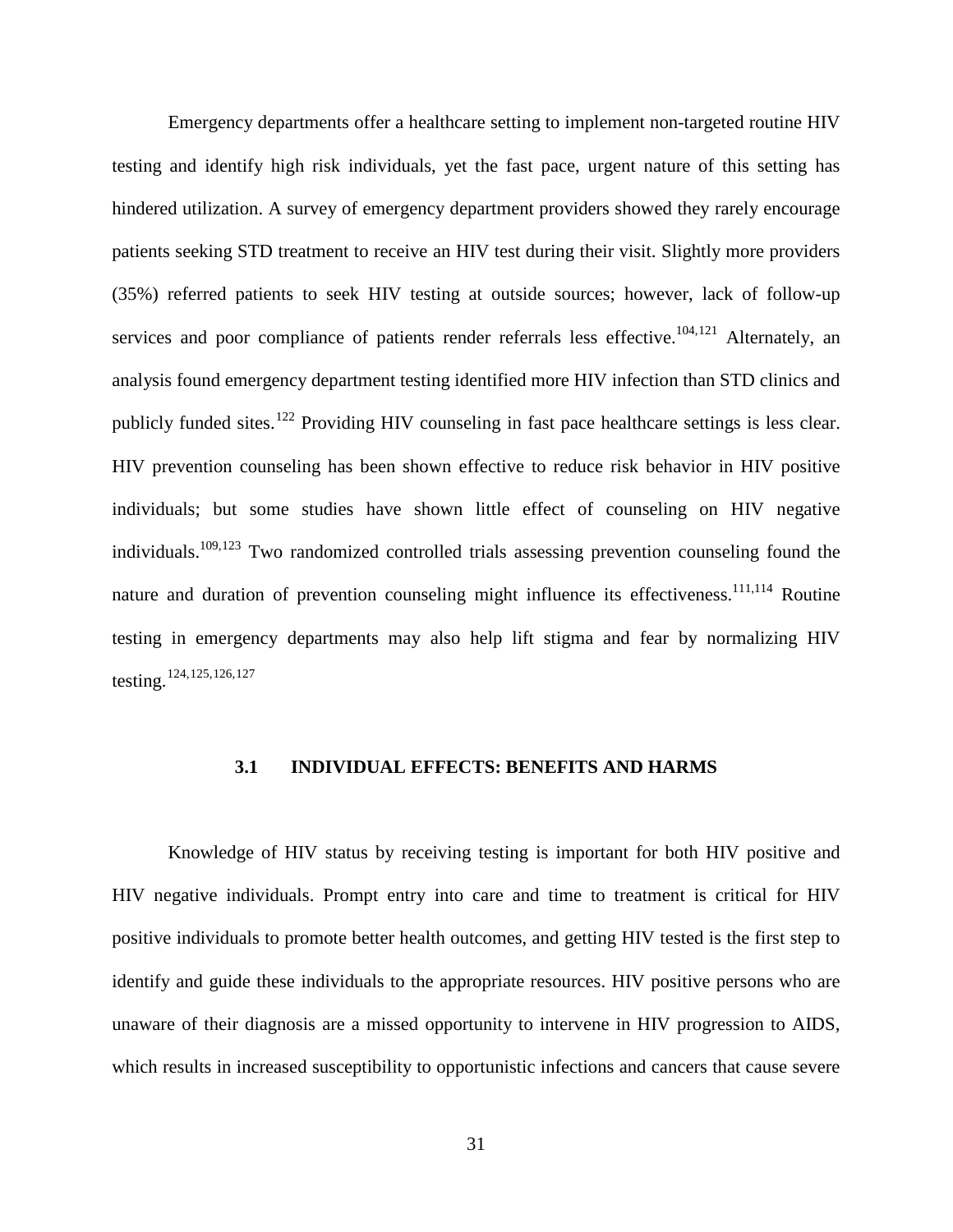Emergency departments offer a healthcare setting to implement non-targeted routine HIV testing and identify high risk individuals, yet the fast pace, urgent nature of this setting has hindered utilization. A survey of emergency department providers showed they rarely encourage patients seeking STD treatment to receive an HIV test during their visit. Slightly more providers (35%) referred patients to seek HIV testing at outside sources; however, lack of follow-up services and poor compliance of patients render referrals less effective.<sup>[104,](#page-34-5)[121](#page-57-34)</sup> Alternately, an analysis found emergency department testing identified more HIV infection than STD clinics and publicly funded sites.<sup>[122](#page-57-35)</sup> Providing HIV counseling in fast pace healthcare settings is less clear. HIV prevention counseling has been shown effective to reduce risk behavior in HIV positive individuals; but some studies have shown little effect of counseling on HIV negative individuals.<sup>[109,](#page-34-6)[123](#page-57-36)</sup> Two randomized controlled trials assessing prevention counseling found the nature and duration of prevention counseling might influence its effectiveness.<sup>[111,](#page-35-1)[114](#page-36-0)</sup> Routine testing in emergency departments may also help lift stigma and fear by normalizing HIV testing.[124,](#page-57-1)[125,](#page-57-2)[126](#page-57-37),[127](#page-57-38)

#### <span id="page-38-4"></span><span id="page-38-3"></span><span id="page-38-2"></span><span id="page-38-1"></span>**3.1 INDIVIDUAL EFFECTS: BENEFITS AND HARMS**

<span id="page-38-0"></span>Knowledge of HIV status by receiving testing is important for both HIV positive and HIV negative individuals. Prompt entry into care and time to treatment is critical for HIV positive individuals to promote better health outcomes, and getting HIV tested is the first step to identify and guide these individuals to the appropriate resources. HIV positive persons who are unaware of their diagnosis are a missed opportunity to intervene in HIV progression to AIDS, which results in increased susceptibility to opportunistic infections and cancers that cause severe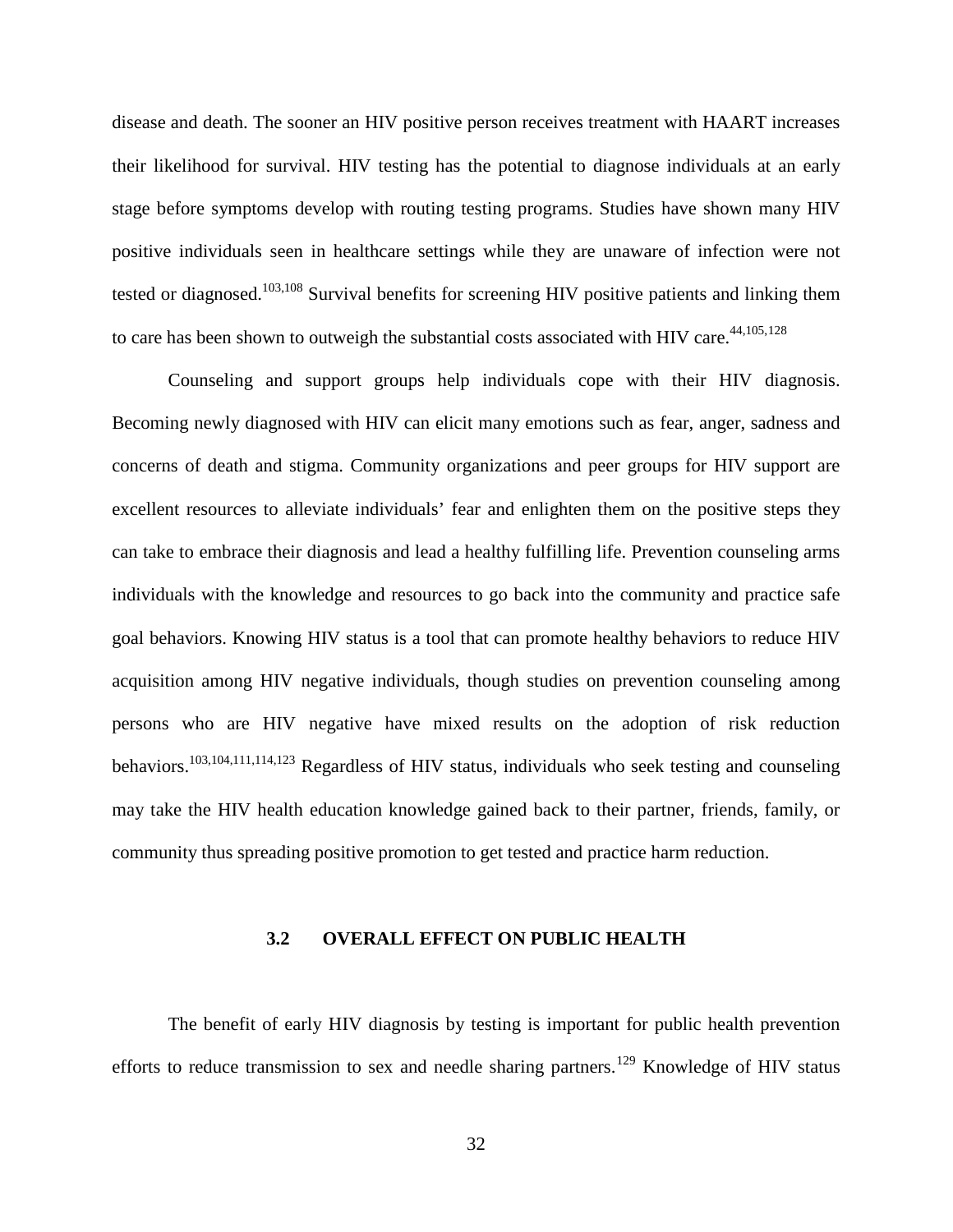disease and death. The sooner an HIV positive person receives treatment with HAART increases their likelihood for survival. HIV testing has the potential to diagnose individuals at an early stage before symptoms develop with routing testing programs. Studies have shown many HIV positive individuals seen in healthcare settings while they are unaware of infection were not tested or diagnosed.<sup>[103,](#page-34-3)[108](#page-34-7)</sup> Survival benefits for screening HIV positive patients and linking them to care has been shown to outweigh the substantial costs associated with HIV care.<sup>[44](#page-17-0)[,105,](#page-34-8)[128](#page-57-5)</sup>

Counseling and support groups help individuals cope with their HIV diagnosis. Becoming newly diagnosed with HIV can elicit many emotions such as fear, anger, sadness and concerns of death and stigma. Community organizations and peer groups for HIV support are excellent resources to alleviate individuals' fear and enlighten them on the positive steps they can take to embrace their diagnosis and lead a healthy fulfilling life. Prevention counseling arms individuals with the knowledge and resources to go back into the community and practice safe goal behaviors. Knowing HIV status is a tool that can promote healthy behaviors to reduce HIV acquisition among HIV negative individuals, though studies on prevention counseling among persons who are HIV negative have mixed results on the adoption of risk reduction behaviors[.103,](#page-34-3)[104,](#page-34-5)[111,](#page-35-1)[114,](#page-36-0)[123](#page-38-1) Regardless of HIV status, individuals who seek testing and counseling may take the HIV health education knowledge gained back to their partner, friends, family, or community thus spreading positive promotion to get tested and practice harm reduction.

#### **3.2 OVERALL EFFECT ON PUBLIC HEALTH**

<span id="page-39-0"></span>The benefit of early HIV diagnosis by testing is important for public health prevention efforts to reduce transmission to sex and needle sharing partners.<sup>[129](#page-57-6)</sup> Knowledge of HIV status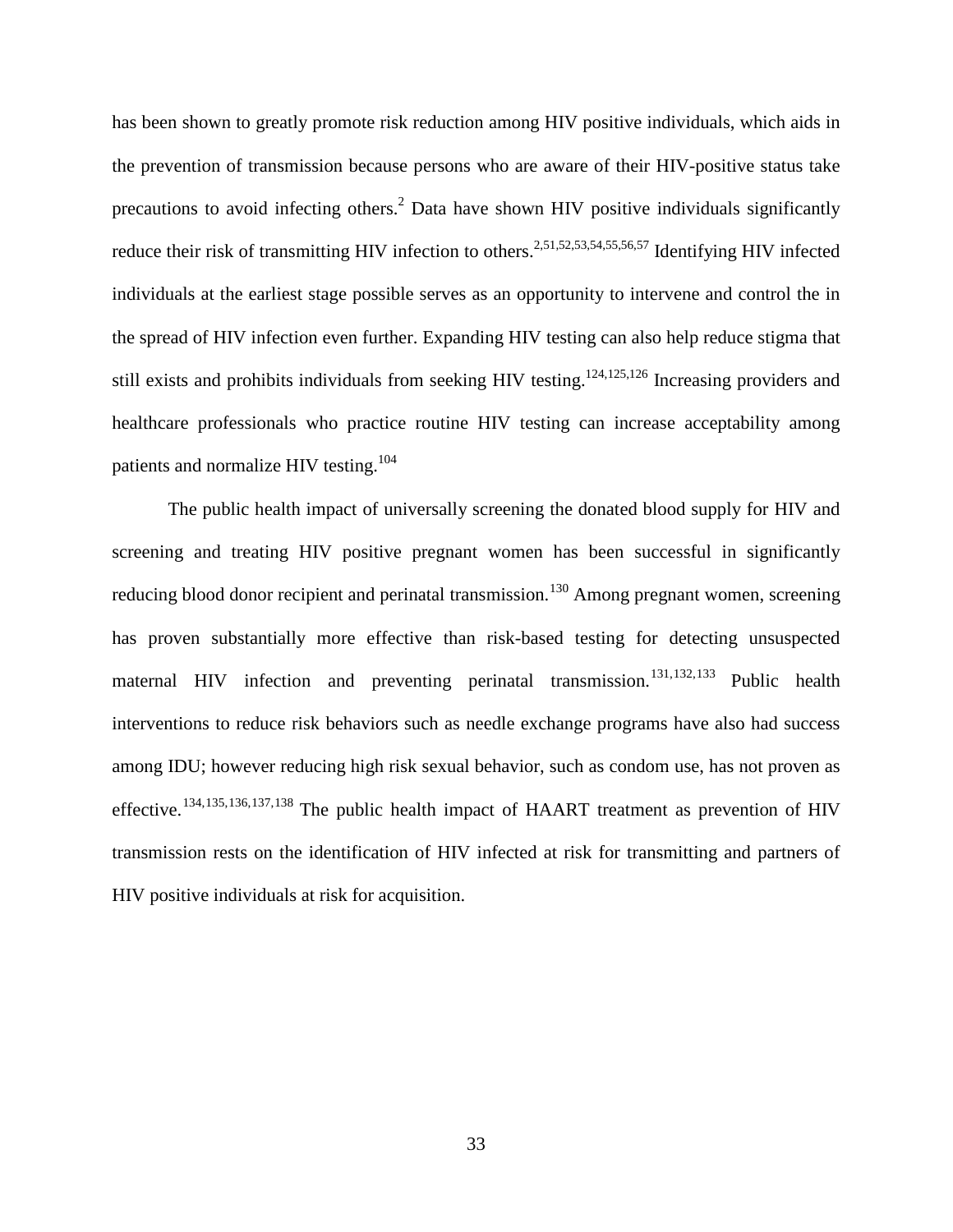has been shown to greatly promote risk reduction among HIV positive individuals, which aids in the prevention of transmission because persons who are aware of their HIV-positive status take precautions to avoid infecting others.<sup>[2](#page-8-3)</sup> Data have shown HIV positive individuals significantly reduce their risk of transmitting HIV infection to others.<sup>2[,51](#page-19-1)[,52](#page-19-2)[,53](#page-19-3)[,54](#page-19-4)[,55](#page-19-5)[,56](#page-19-6)[,57](#page-19-7)</sup> Identifying HIV infected individuals at the earliest stage possible serves as an opportunity to intervene and control the in the spread of HIV infection even further. Expanding HIV testing can also help reduce stigma that still exists and prohibits individuals from seeking HIV testing.<sup>124,[125,](#page-38-3)[126](#page-38-4)</sup> Increasing providers and healthcare professionals who practice routine HIV testing can increase acceptability among patients and normalize HIV testing.<sup>[104](#page-34-5)</sup>

The public health impact of universally screening the donated blood supply for HIV and screening and treating HIV positive pregnant women has been successful in significantly reducing blood donor recipient and perinatal transmission.<sup>[130](#page-57-24)</sup> Among pregnant women, screening has proven substantially more effective than risk-based testing for detecting unsuspected maternal HIV infection and preventing perinatal transmission.<sup>[131](#page-57-39),[132](#page-57-40),[133](#page-57-41)</sup> Public health interventions to reduce risk behaviors such as needle exchange programs have also had success among IDU; however reducing high risk sexual behavior, such as condom use, has not proven as effective.[134,](#page-57-42)[135](#page-57-1),[136](#page-57-13),[137,](#page-57-14)[138](#page-57-43) The public health impact of HAART treatment as prevention of HIV transmission rests on the identification of HIV infected at risk for transmitting and partners of HIV positive individuals at risk for acquisition.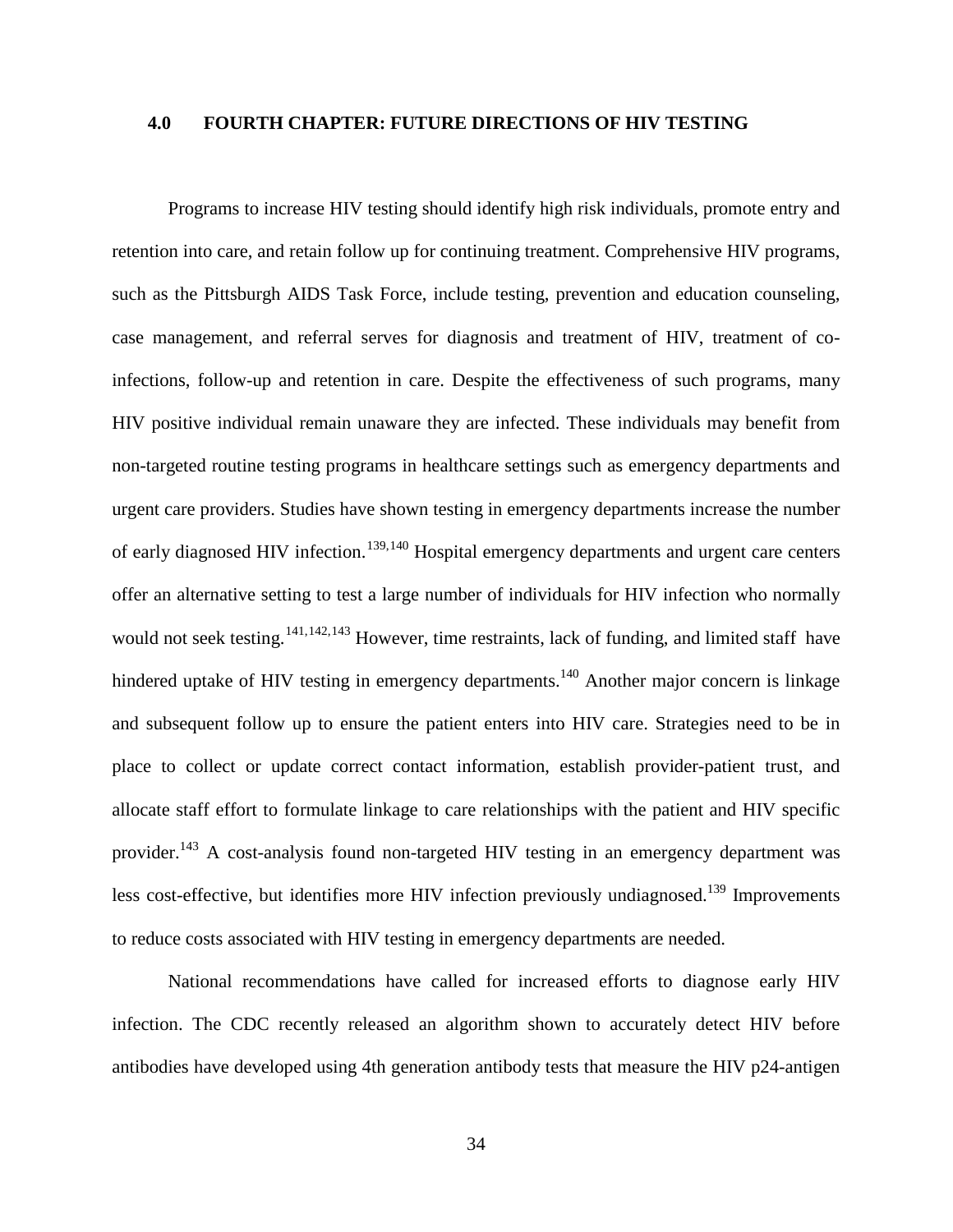### <span id="page-41-0"></span>**4.0 FOURTH CHAPTER: FUTURE DIRECTIONS OF HIV TESTING**

<span id="page-41-3"></span><span id="page-41-1"></span>Programs to increase HIV testing should identify high risk individuals, promote entry and retention into care, and retain follow up for continuing treatment. Comprehensive HIV programs, such as the Pittsburgh AIDS Task Force, include testing, prevention and education counseling, case management, and referral serves for diagnosis and treatment of HIV, treatment of coinfections, follow-up and retention in care. Despite the effectiveness of such programs, many HIV positive individual remain unaware they are infected. These individuals may benefit from non-targeted routine testing programs in healthcare settings such as emergency departments and urgent care providers. Studies have shown testing in emergency departments increase the number of early diagnosed HIV infection.<sup>[139](#page-57-15),[140](#page-57-6)</sup> Hospital emergency departments and urgent care centers offer an alternative setting to test a large number of individuals for HIV infection who normally would not seek testing.<sup>[141,](#page-57-24)[142,](#page-57-44)[143](#page-57-45)</sup> However, time restraints, lack of funding, and limited staff have hindered uptake of HIV testing in emergency departments.<sup>140</sup> Another major concern is linkage and subsequent follow up to ensure the patient enters into HIV care. Strategies need to be in place to collect or update correct contact information, establish provider-patient trust, and allocate staff effort to formulate linkage to care relationships with the patient and HIV specific provider.<sup>[143](#page-41-2)</sup> A cost-analysis found non-targeted HIV testing in an emergency department was less cost-effective, but identifies more HIV infection previously undiagnosed.<sup>139</sup> Improvements to reduce costs associated with HIV testing in emergency departments are needed.

<span id="page-41-2"></span>National recommendations have called for increased efforts to diagnose early HIV infection. The CDC recently released an algorithm shown to accurately detect HIV before antibodies have developed using 4th generation antibody tests that measure the HIV p24-antigen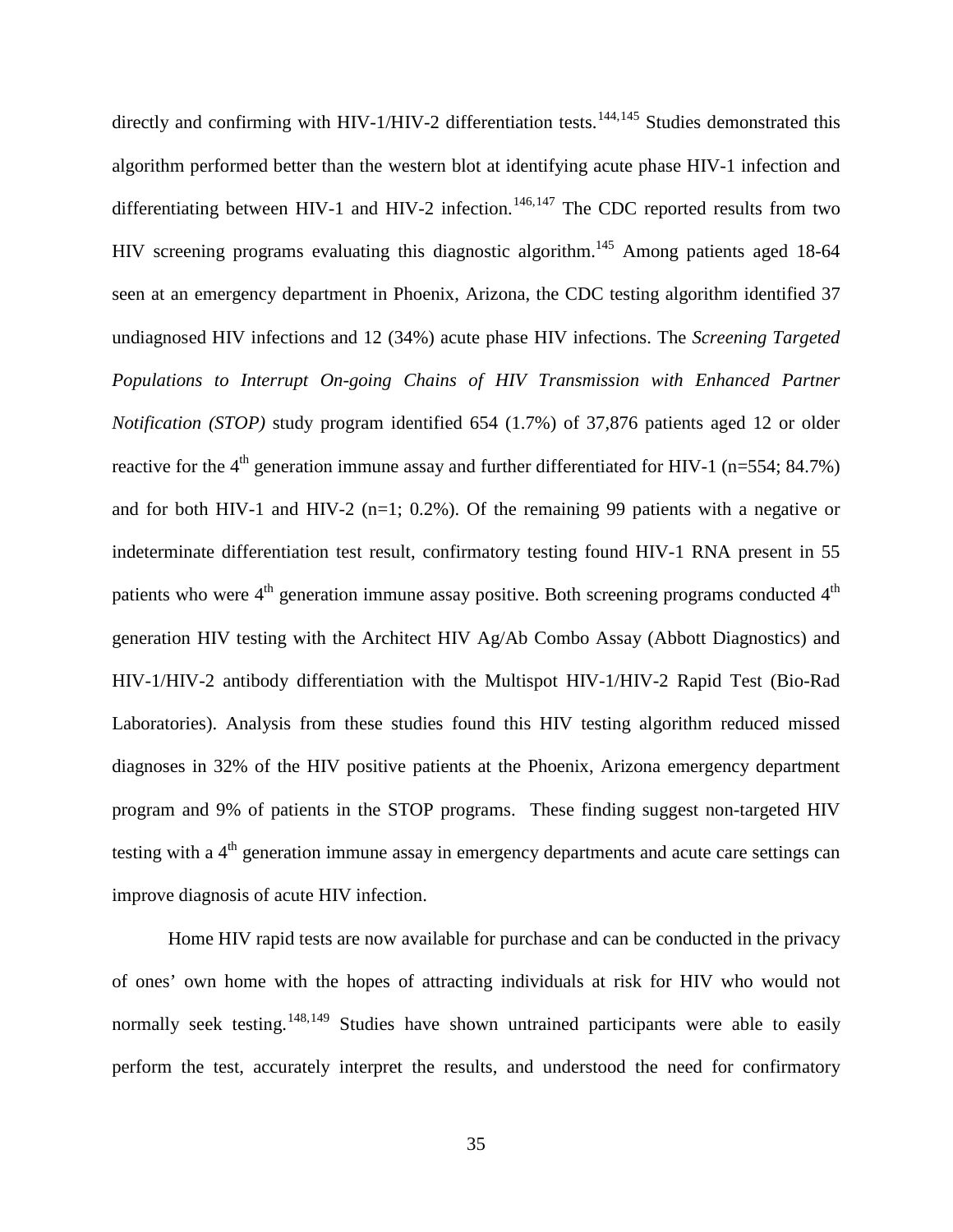<span id="page-42-0"></span>directly and confirming with HIV-1/HIV-2 differentiation tests.<sup>[144](#page-57-46),[145](#page-57-47)</sup> Studies demonstrated this algorithm performed better than the western blot at identifying acute phase HIV-1 infection and differentiating between HIV-1 and HIV-2 infection.<sup>[146](#page-57-1),[147](#page-57-13)</sup> The CDC reported results from two HIV screening programs evaluating this diagnostic algorithm.<sup>145</sup> Among patients aged 18-64 seen at an emergency department in Phoenix, Arizona, the CDC testing algorithm identified 37 undiagnosed HIV infections and 12 (34%) acute phase HIV infections. The *Screening Targeted Populations to Interrupt On-going Chains of HIV Transmission with Enhanced Partner Notification (STOP)* study program identified 654 (1.7%) of 37,876 patients aged 12 or older reactive for the 4<sup>th</sup> generation immune assay and further differentiated for HIV-1 (n=554: 84.7%) and for both HIV-1 and HIV-2 ( $n=1$ ; 0.2%). Of the remaining 99 patients with a negative or indeterminate differentiation test result, confirmatory testing found HIV-1 RNA present in 55 patients who were  $4<sup>th</sup>$  generation immune assay positive. Both screening programs conducted  $4<sup>th</sup>$ generation HIV testing with the Architect HIV Ag/Ab Combo Assay (Abbott Diagnostics) and HIV-1/HIV-2 antibody differentiation with the Multispot HIV-1/HIV-2 Rapid Test (Bio-Rad Laboratories). Analysis from these studies found this HIV testing algorithm reduced missed diagnoses in 32% of the HIV positive patients at the Phoenix, Arizona emergency department program and 9% of patients in the STOP programs. These finding suggest non-targeted HIV testing with a 4<sup>th</sup> generation immune assay in emergency departments and acute care settings can improve diagnosis of acute HIV infection.

Home HIV rapid tests are now available for purchase and can be conducted in the privacy of ones' own home with the hopes of attracting individuals at risk for HIV who would not normally seek testing.<sup>[148](#page-57-14),[149](#page-57-43)</sup> Studies have shown untrained participants were able to easily perform the test, accurately interpret the results, and understood the need for confirmatory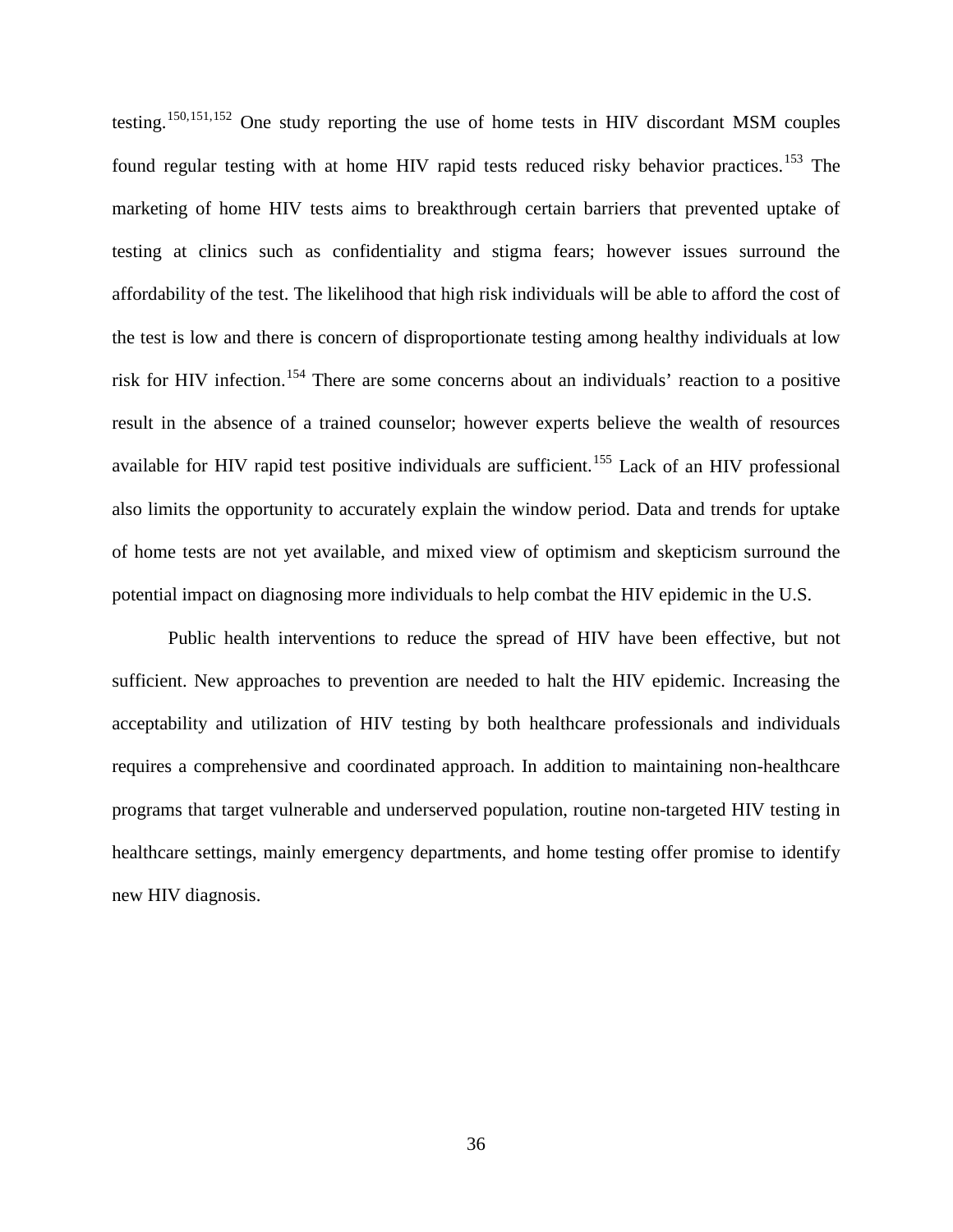testing.[150,](#page-57-48)[151,](#page-57-49)[152](#page-57-17) One study reporting the use of home tests in HIV discordant MSM couples found regular testing with at home HIV rapid tests reduced risky behavior practices.<sup>[153](#page-57-8)</sup> The marketing of home HIV tests aims to breakthrough certain barriers that prevented uptake of testing at clinics such as confidentiality and stigma fears; however issues surround the affordability of the test. The likelihood that high risk individuals will be able to afford the cost of the test is low and there is concern of disproportionate testing among healthy individuals at low risk for HIV infection. [154](#page-57-50) There are some concerns about an individuals' reaction to a positive result in the absence of a trained counselor; however experts believe the wealth of resources available for HIV rapid test positive individuals are sufficient.<sup>[155](#page-57-51)</sup> Lack of an HIV professional also limits the opportunity to accurately explain the window period. Data and trends for uptake of home tests are not yet available, and mixed view of optimism and skepticism surround the potential impact on diagnosing more individuals to help combat the HIV epidemic in the U.S.

Public health interventions to reduce the spread of HIV have been effective, but not sufficient. New approaches to prevention are needed to halt the HIV epidemic. Increasing the acceptability and utilization of HIV testing by both healthcare professionals and individuals requires a comprehensive and coordinated approach. In addition to maintaining non-healthcare programs that target vulnerable and underserved population, routine non-targeted HIV testing in healthcare settings, mainly emergency departments, and home testing offer promise to identify new HIV diagnosis.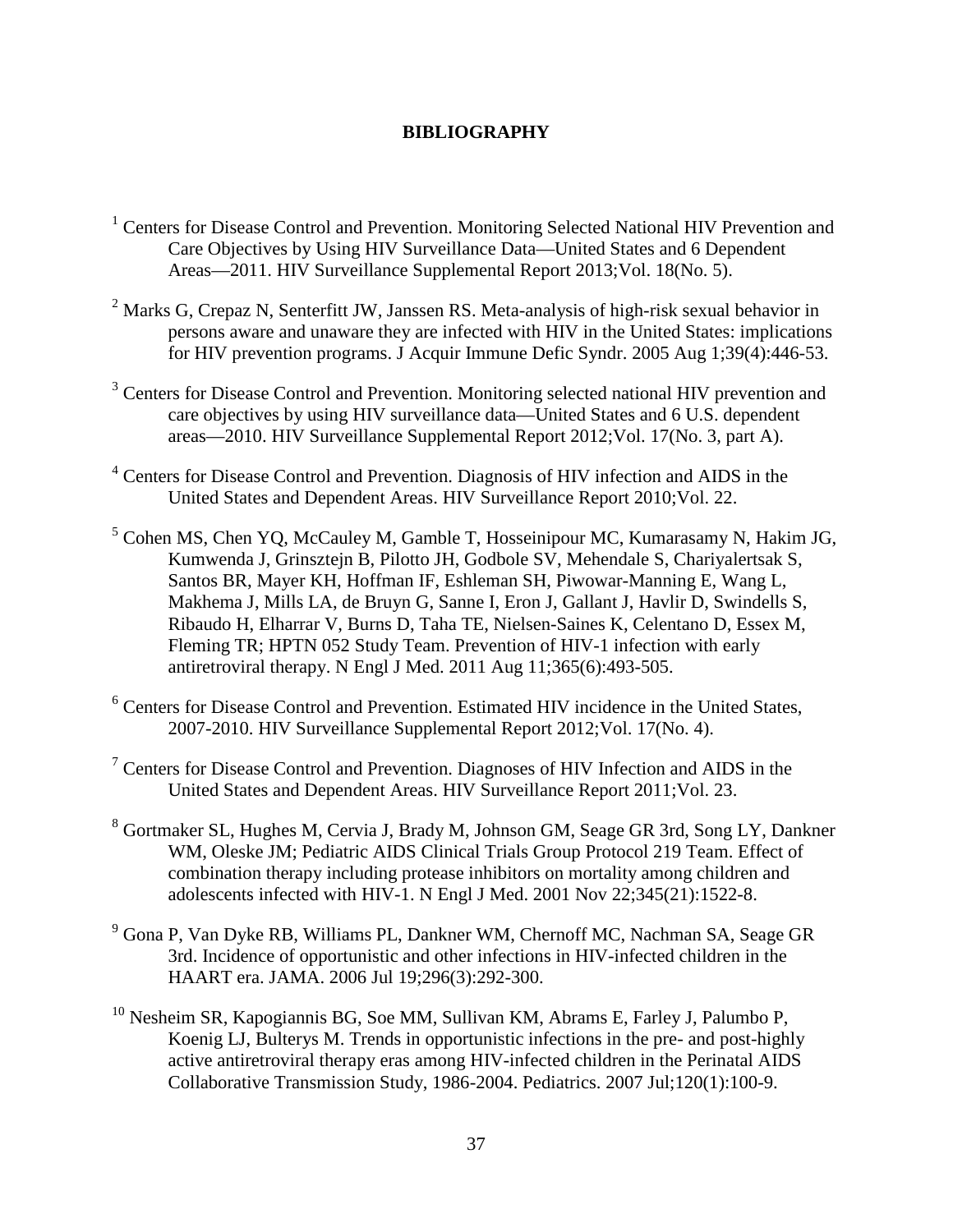## **BIBLIOGRAPHY**

- <span id="page-44-0"></span><sup>1</sup> Centers for Disease Control and Prevention. Monitoring Selected National HIV Prevention and Care Objectives by Using HIV Surveillance Data—United States and 6 Dependent Areas—2011. HIV Surveillance Supplemental Report 2013;Vol. 18(No. 5).
- $2$  Marks G, Crepaz N, Senterfitt JW, Janssen RS. Meta-analysis of high-risk sexual behavior in persons aware and unaware they are infected with HIV in the United States: implications for HIV prevention programs. J Acquir Immune Defic Syndr. 2005 Aug 1;39(4):446-53.
- <sup>3</sup> Centers for Disease Control and Prevention. Monitoring selected national HIV prevention and care objectives by using HIV surveillance data—United States and 6 U.S. dependent areas—2010. HIV Surveillance Supplemental Report 2012;Vol. 17(No. 3, part A).
- <sup>4</sup> Centers for Disease Control and Prevention. Diagnosis of HIV infection and AIDS in the United States and Dependent Areas. HIV Surveillance Report 2010;Vol. 22.
- <sup>5</sup> Cohen MS, Chen YQ, McCauley M, Gamble T, Hosseinipour MC, Kumarasamy N, Hakim JG, Kumwenda J, Grinsztejn B, Pilotto JH, Godbole SV, Mehendale S, Chariyalertsak S, Santos BR, Mayer KH, Hoffman IF, Eshleman SH, Piwowar-Manning E, Wang L, Makhema J, Mills LA, de Bruyn G, Sanne I, Eron J, Gallant J, Havlir D, Swindells S, Ribaudo H, Elharrar V, Burns D, Taha TE, Nielsen-Saines K, Celentano D, Essex M, Fleming TR; HPTN 052 Study Team. Prevention of HIV-1 infection with early antiretroviral therapy. N Engl J Med. 2011 Aug 11;365(6):493-505.
- <sup>6</sup> Centers for Disease Control and Prevention. Estimated HIV incidence in the United States, 2007-2010. HIV Surveillance Supplemental Report 2012;Vol. 17(No. 4).
- $7$  Centers for Disease Control and Prevention. Diagnoses of HIV Infection and AIDS in the United States and Dependent Areas. HIV Surveillance Report 2011;Vol. 23.
- <sup>8</sup> Gortmaker SL, Hughes M, Cervia J, Brady M, Johnson GM, Seage GR 3rd, Song LY, Dankner WM, Oleske JM; Pediatric AIDS Clinical Trials Group Protocol 219 Team. Effect of combination therapy including protease inhibitors on mortality among children and adolescents infected with HIV-1. N Engl J Med. 2001 Nov 22;345(21):1522-8.
- <sup>9</sup> Gona P, Van Dyke RB, Williams PL, Dankner WM, Chernoff MC, Nachman SA, Seage GR 3rd. Incidence of opportunistic and other infections in HIV-infected children in the HAART era. JAMA. 2006 Jul 19;296(3):292-300.
- $10$  Nesheim SR, Kapogiannis BG, Soe MM, Sullivan KM, Abrams E, Farley J, Palumbo P, Koenig LJ, Bulterys M. Trends in opportunistic infections in the pre- and post-highly active antiretroviral therapy eras among HIV-infected children in the Perinatal AIDS Collaborative Transmission Study, 1986-2004. Pediatrics. 2007 Jul;120(1):100-9.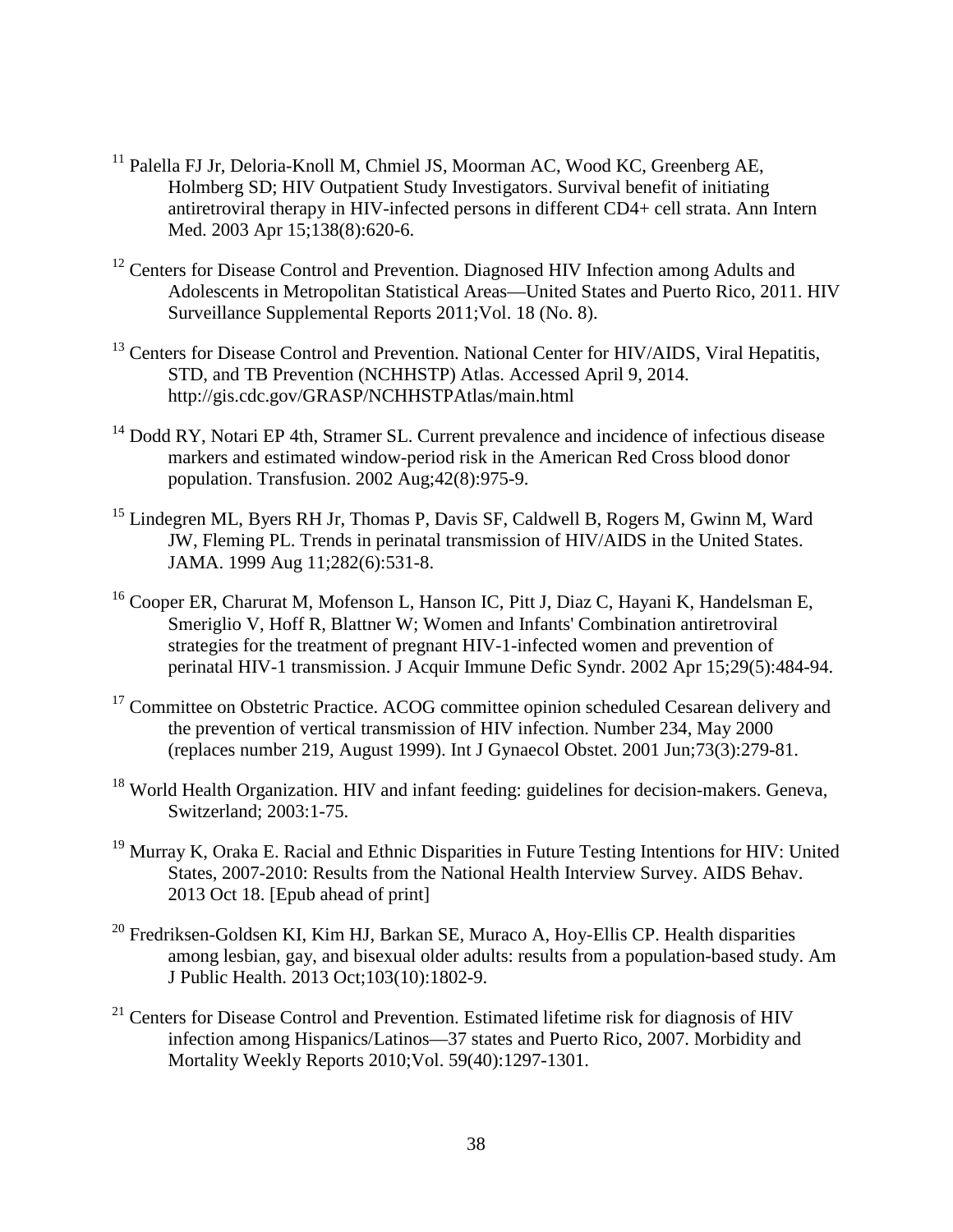- <sup>11</sup> Palella FJ Jr, Deloria-Knoll M, Chmiel JS, Moorman AC, Wood KC, Greenberg AE, Holmberg SD; HIV Outpatient Study Investigators. Survival benefit of initiating antiretroviral therapy in HIV-infected persons in different CD4+ cell strata. Ann Intern Med. 2003 Apr 15;138(8):620-6.
- <span id="page-45-1"></span><span id="page-45-0"></span><sup>12</sup> Centers for Disease Control and Prevention. Diagnosed HIV Infection among Adults and Adolescents in Metropolitan Statistical Areas—United States and Puerto Rico, 2011. HIV Surveillance Supplemental Reports 2011;Vol. 18 (No. 8).
- $^{13}$  Centers for Disease Control and Prevention. National Center for HIV/AIDS, Viral Hepatitis, STD, and TB Prevention (NCHHSTP) Atlas. Accessed April 9, 2014. http://gis.cdc.gov/GRASP/NCHHSTPAtlas/main.html
- <span id="page-45-2"></span><sup>14</sup> Dodd RY, Notari EP 4th, Stramer SL. Current prevalence and incidence of infectious disease markers and estimated window-period risk in the American Red Cross blood donor population. Transfusion. 2002 Aug;42(8):975-9.
- <span id="page-45-4"></span><span id="page-45-3"></span><sup>15</sup> Lindegren ML, Byers RH Jr, Thomas P, Davis SF, Caldwell B, Rogers M, Gwinn M, Ward JW, Fleming PL. Trends in perinatal transmission of HIV/AIDS in the United States. JAMA. 1999 Aug 11;282(6):531-8.
- <sup>16</sup> Cooper ER, Charurat M, Mofenson L, Hanson IC, Pitt J, Diaz C, Hayani K, Handelsman E, Smeriglio V, Hoff R, Blattner W; Women and Infants' Combination antiretroviral strategies for the treatment of pregnant HIV-1-infected women and prevention of perinatal HIV-1 transmission. J Acquir Immune Defic Syndr. 2002 Apr 15;29(5):484-94.
- <sup>17</sup> Committee on Obstetric Practice. ACOG committee opinion scheduled Cesarean delivery and the prevention of vertical transmission of HIV infection. Number 234, May 2000 (replaces number 219, August 1999). Int J Gynaecol Obstet. 2001 Jun;73(3):279-81.
- <sup>18</sup> World Health Organization. HIV and infant feeding: guidelines for decision-makers. Geneva, Switzerland; 2003:1-75.
- <sup>19</sup> Murray K, Oraka E. Racial and Ethnic Disparities in Future Testing Intentions for HIV: United States, 2007-2010: Results from the National Health Interview Survey. AIDS Behav. 2013 Oct 18. [Epub ahead of print]
- $20$  Fredriksen-Goldsen KI, Kim HJ, Barkan SE, Muraco A, Hoy-Ellis CP. Health disparities among lesbian, gay, and bisexual older adults: results from a population-based study. Am J Public Health. 2013 Oct;103(10):1802-9.
- $21$  Centers for Disease Control and Prevention. Estimated lifetime risk for diagnosis of HIV infection among Hispanics/Latinos—37 states and Puerto Rico, 2007. Morbidity and Mortality Weekly Reports 2010;Vol. 59(40):1297-1301.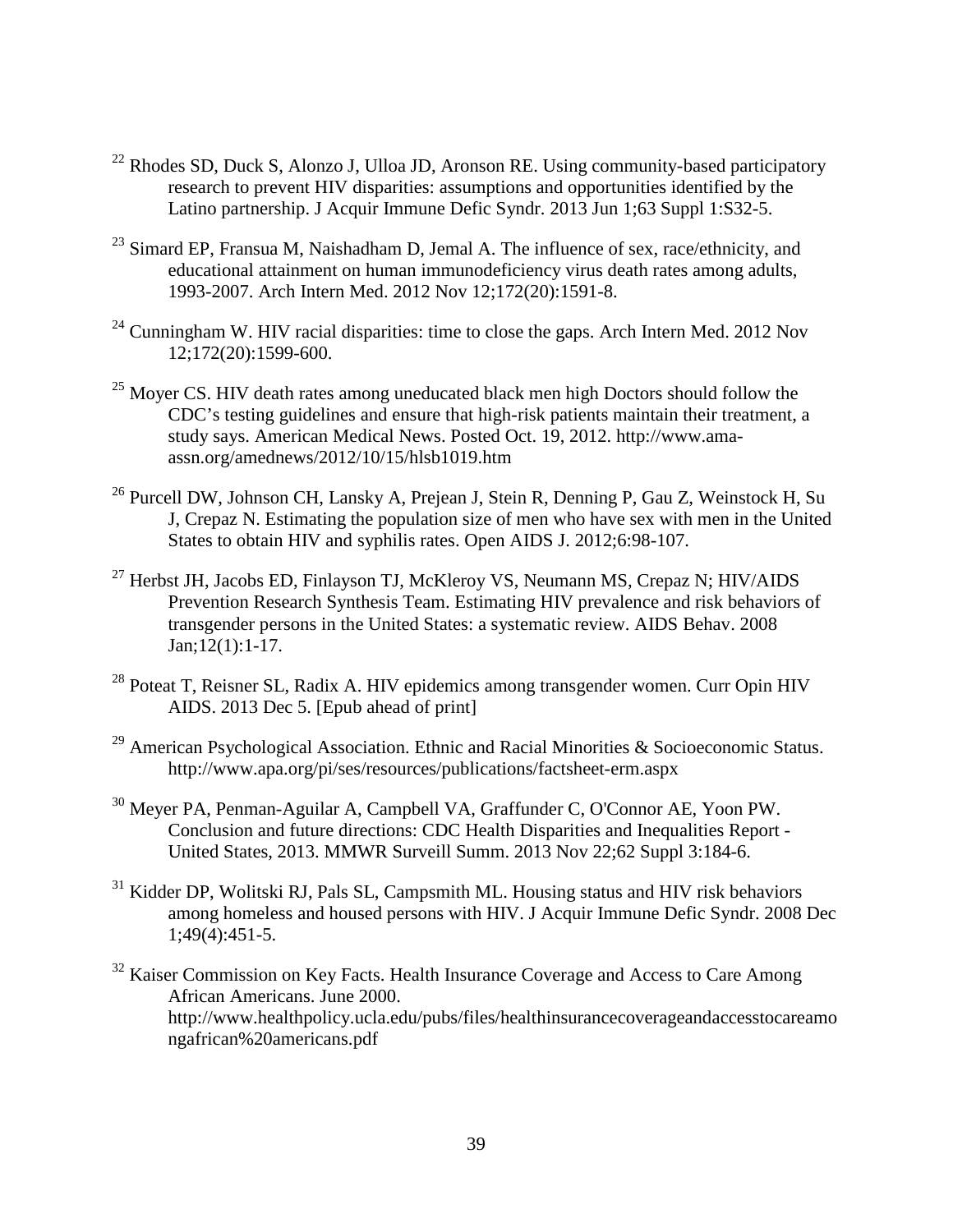- <span id="page-46-5"></span> $^{22}$  Rhodes SD, Duck S, Alonzo J, Ulloa JD, Aronson RE. Using community-based participatory research to prevent HIV disparities: assumptions and opportunities identified by the Latino partnership. J Acquir Immune Defic Syndr. 2013 Jun 1;63 Suppl 1:S32-5.
- <span id="page-46-6"></span> $23$  Simard EP, Fransua M, Naishadham D, Jemal A. The influence of sex, race/ethnicity, and educational attainment on human immunodeficiency virus death rates among adults, 1993-2007. Arch Intern Med. 2012 Nov 12;172(20):1591-8.
- <span id="page-46-7"></span><sup>24</sup> Cunningham W. HIV racial disparities: time to close the gaps. Arch Intern Med. 2012 Nov 12;172(20):1599-600.
- $25$  Moyer CS. HIV death rates among uneducated black men high Doctors should follow the CDC's testing guidelines and ensure that high-risk patients maintain their treatment, a study says. American Medical News. Posted Oct. 19, 2012. http://www.amaassn.org/amednews/2012/10/15/hlsb1019.htm
- <sup>26</sup> Purcell DW, Johnson CH, Lansky A, Prejean J, Stein R, Denning P, Gau Z, Weinstock H, Su J, Crepaz N. Estimating the population size of men who have sex with men in the United States to obtain HIV and syphilis rates. Open AIDS J. 2012;6:98-107.
- <sup>27</sup> Herbst JH, Jacobs ED, Finlayson TJ, McKleroy VS, Neumann MS, Crepaz N; HIV/AIDS Prevention Research Synthesis Team. Estimating HIV prevalence and risk behaviors of transgender persons in the United States: a systematic review. AIDS Behav. 2008 Jan;12(1):1-17.
- <span id="page-46-0"></span><sup>28</sup> Poteat T, Reisner SL, Radix A. HIV epidemics among transgender women. Curr Opin HIV AIDS. 2013 Dec 5. [Epub ahead of print]
- <span id="page-46-1"></span><sup>29</sup> American Psychological Association. Ethnic and Racial Minorities & Socioeconomic Status. http://www.apa.org/pi/ses/resources/publications/factsheet-erm.aspx
- <span id="page-46-2"></span><sup>30</sup> Meyer PA, Penman-Aguilar A, Campbell VA, Graffunder C, O'Connor AE, Yoon PW. Conclusion and future directions: CDC Health Disparities and Inequalities Report - United States, 2013. MMWR Surveill Summ. 2013 Nov 22;62 Suppl 3:184-6.
- <sup>31</sup> Kidder DP, Wolitski RJ, Pals SL, Campsmith ML. Housing status and HIV risk behaviors among homeless and housed persons with HIV. J Acquir Immune Defic Syndr. 2008 Dec 1;49(4):451-5.
- <span id="page-46-4"></span><span id="page-46-3"></span><sup>32</sup> Kaiser Commission on Key Facts. Health Insurance Coverage and Access to Care Among African Americans. June 2000. http://www.healthpolicy.ucla.edu/pubs/files/healthinsurancecoverageandaccesstocareamo ngafrican%20americans.pdf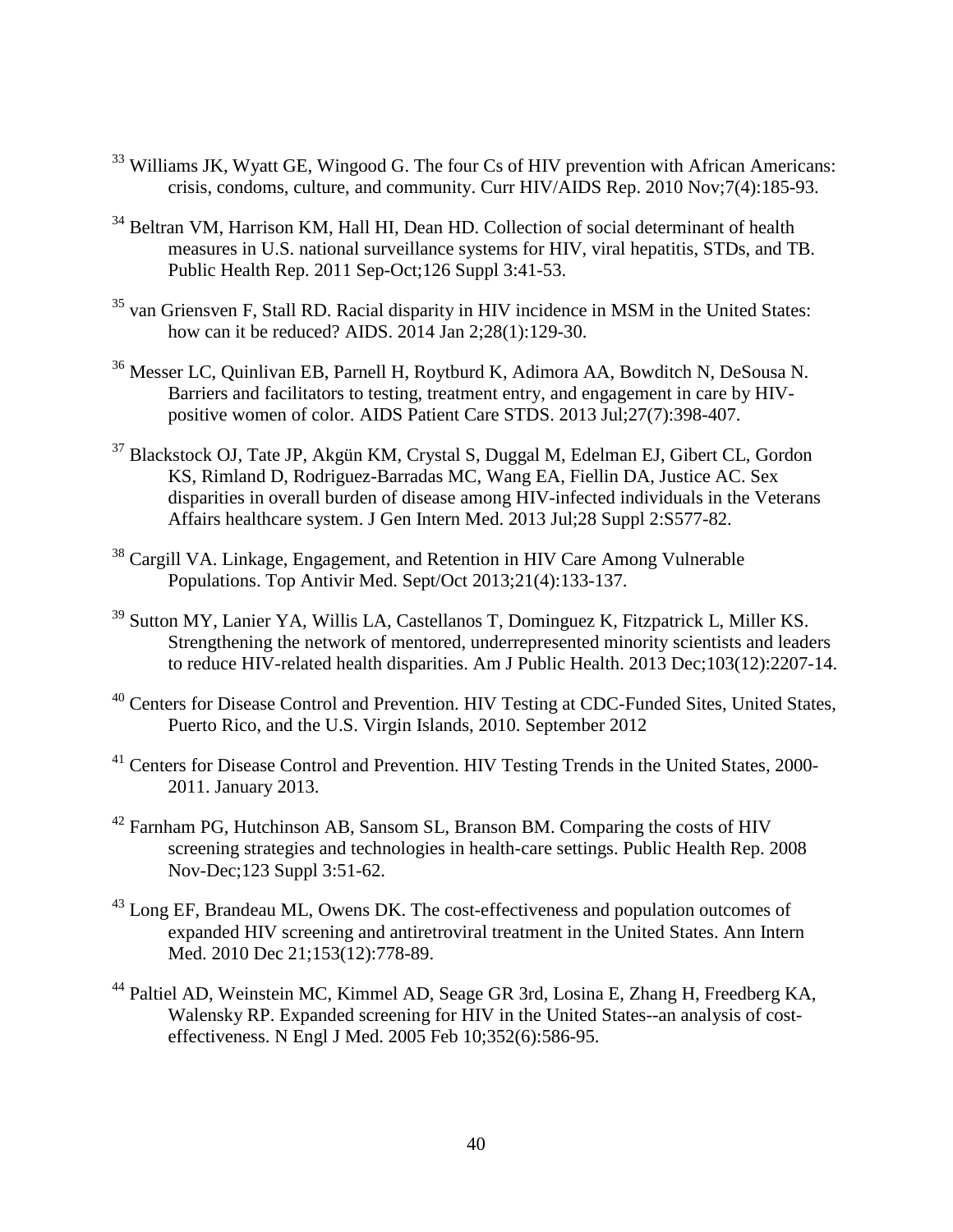- <sup>33</sup> Williams JK, Wyatt GE, Wingood G. The four Cs of HIV prevention with African Americans: crisis, condoms, culture, and community. Curr HIV/AIDS Rep. 2010 Nov;7(4):185-93.
- <sup>34</sup> Beltran VM, Harrison KM, Hall HI, Dean HD. Collection of social determinant of health measures in U.S. national surveillance systems for HIV, viral hepatitis, STDs, and TB. Public Health Rep. 2011 Sep-Oct;126 Suppl 3:41-53.
- $35$  van Griensven F, Stall RD. Racial disparity in HIV incidence in MSM in the United States: how can it be reduced? AIDS. 2014 Jan 2;28(1):129-30.
- <sup>36</sup> Messer LC, Quinlivan EB, Parnell H, Roytburd K, Adimora AA, Bowditch N, DeSousa N. Barriers and facilitators to testing, treatment entry, and engagement in care by HIVpositive women of color. AIDS Patient Care STDS. 2013 Jul;27(7):398-407.
- <span id="page-47-0"></span><sup>37</sup> Blackstock OJ, Tate JP, Akgün KM, Crystal S, Duggal M, Edelman EJ, Gibert CL, Gordon KS, Rimland D, Rodriguez-Barradas MC, Wang EA, Fiellin DA, Justice AC. Sex disparities in overall burden of disease among HIV-infected individuals in the Veterans Affairs healthcare system. J Gen Intern Med. 2013 Jul;28 Suppl 2:S577-82.
- <span id="page-47-1"></span><sup>38</sup> Cargill VA. Linkage, Engagement, and Retention in HIV Care Among Vulnerable Populations. Top Antivir Med. Sept/Oct 2013;21(4):133-137.
- <span id="page-47-2"></span><sup>39</sup> Sutton MY, Lanier YA, Willis LA, Castellanos T, Dominguez K, Fitzpatrick L, Miller KS. Strengthening the network of mentored, underrepresented minority scientists and leaders to reduce HIV-related health disparities. Am J Public Health. 2013 Dec;103(12):2207-14.
- <span id="page-47-3"></span><sup>40</sup> Centers for Disease Control and Prevention. HIV Testing at CDC-Funded Sites, United States, Puerto Rico, and the U.S. Virgin Islands, 2010. September 2012
- <span id="page-47-4"></span><sup>41</sup> Centers for Disease Control and Prevention. HIV Testing Trends in the United States, 2000-2011. January 2013.
- $42$  Farnham PG, Hutchinson AB, Sansom SL, Branson BM. Comparing the costs of HIV screening strategies and technologies in health-care settings. Public Health Rep. 2008 Nov-Dec;123 Suppl 3:51-62.
- <sup>43</sup> Long EF, Brandeau ML, Owens DK. The cost-effectiveness and population outcomes of expanded HIV screening and antiretroviral treatment in the United States. Ann Intern Med. 2010 Dec 21;153(12):778-89.
- <sup>44</sup> Paltiel AD, Weinstein MC, Kimmel AD, Seage GR 3rd, Losina E, Zhang H, Freedberg KA, Walensky RP. Expanded screening for HIV in the United States--an analysis of costeffectiveness. N Engl J Med. 2005 Feb 10;352(6):586-95.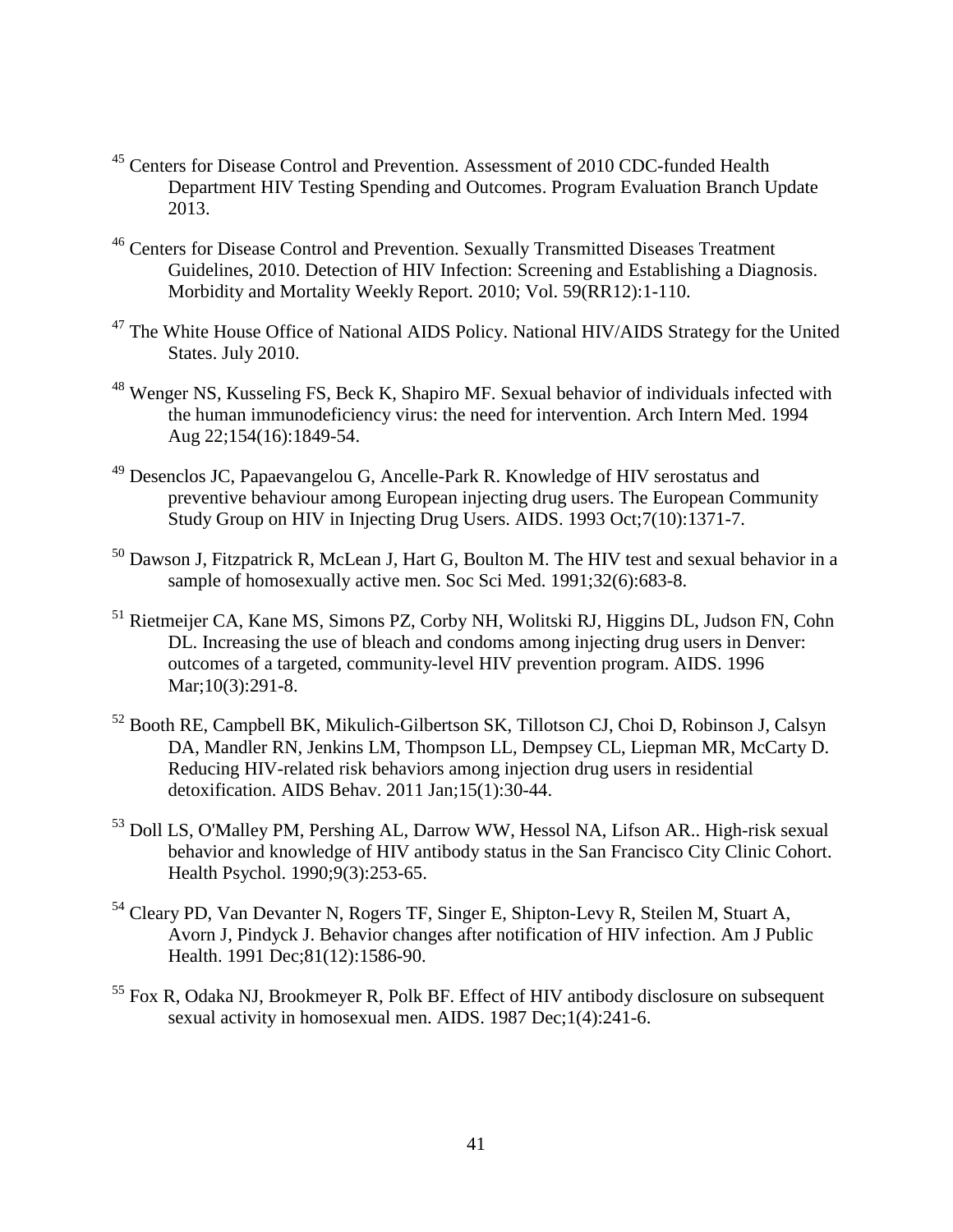- <span id="page-48-3"></span><sup>45</sup> Centers for Disease Control and Prevention. Assessment of 2010 CDC-funded Health Department HIV Testing Spending and Outcomes. Program Evaluation Branch Update 2013.
- <sup>46</sup> Centers for Disease Control and Prevention. Sexually Transmitted Diseases Treatment Guidelines, 2010. Detection of HIV Infection: Screening and Establishing a Diagnosis. Morbidity and Mortality Weekly Report. 2010; Vol. 59(RR12):1-110.
- <sup>47</sup> The White House Office of National AIDS Policy. National HIV/AIDS Strategy for the United States. July 2010.
- <sup>48</sup> Wenger NS, Kusseling FS, Beck K, Shapiro MF. Sexual behavior of individuals infected with the human immunodeficiency virus: the need for intervention. Arch Intern Med. 1994 Aug 22;154(16):1849-54.
- <sup>49</sup> Desenclos JC, Papaevangelou G, Ancelle-Park R. Knowledge of HIV serostatus and preventive behaviour among European injecting drug users. The European Community Study Group on HIV in Injecting Drug Users. AIDS. 1993 Oct;7(10):1371-7.
- $50$  Dawson J, Fitzpatrick R, McLean J, Hart G, Boulton M. The HIV test and sexual behavior in a sample of homosexually active men. Soc Sci Med. 1991;32(6):683-8.
- <sup>51</sup> Rietmeijer CA, Kane MS, Simons PZ, Corby NH, Wolitski RJ, Higgins DL, Judson FN, Cohn DL. Increasing the use of bleach and condoms among injecting drug users in Denver: outcomes of a targeted, community-level HIV prevention program. AIDS. 1996 Mar;10(3):291-8.
- <sup>52</sup> Booth RE, Campbell BK, Mikulich-Gilbertson SK, Tillotson CJ, Choi D, Robinson J, Calsyn DA, Mandler RN, Jenkins LM, Thompson LL, Dempsey CL, Liepman MR, McCarty D. Reducing HIV-related risk behaviors among injection drug users in residential detoxification. AIDS Behav. 2011 Jan;15(1):30-44.
- <span id="page-48-0"></span><sup>53</sup> Doll LS, O'Malley PM, Pershing AL, Darrow WW, Hessol NA, Lifson AR.. High-risk sexual behavior and knowledge of HIV antibody status in the San Francisco City Clinic Cohort. Health Psychol. 1990;9(3):253-65.
- <span id="page-48-1"></span><sup>54</sup> Cleary PD, Van Devanter N, Rogers TF, Singer E, Shipton-Levy R, Steilen M, Stuart A, Avorn J, Pindyck J. Behavior changes after notification of HIV infection. Am J Public Health. 1991 Dec;81(12):1586-90.
- <span id="page-48-2"></span><sup>55</sup> Fox R, Odaka NJ, Brookmeyer R, Polk BF. Effect of HIV antibody disclosure on subsequent sexual activity in homosexual men. AIDS. 1987 Dec;1(4):241-6.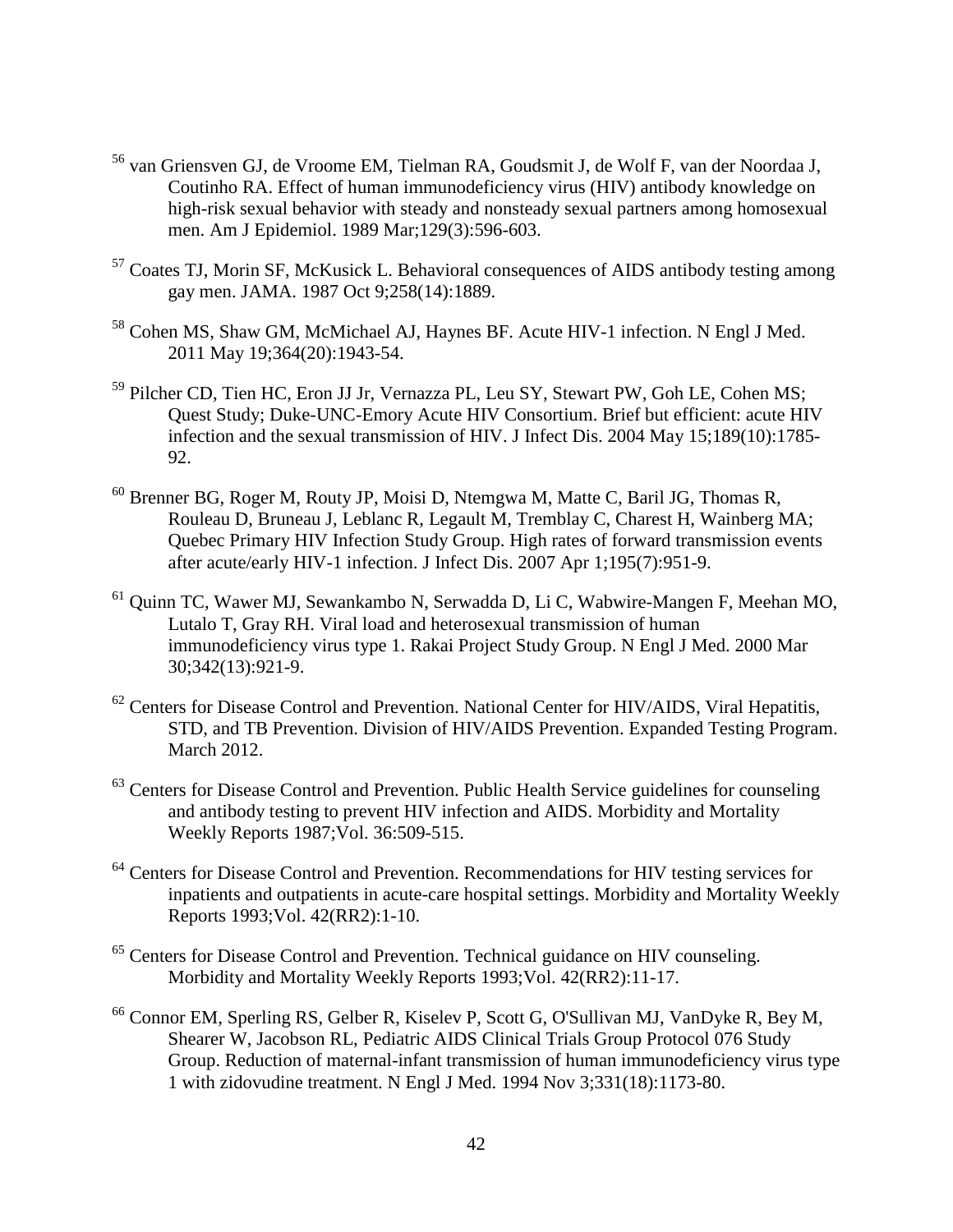- <sup>56</sup> van Griensven GJ, de Vroome EM, Tielman RA, Goudsmit J, de Wolf F, van der Noordaa J, Coutinho RA. Effect of human immunodeficiency virus (HIV) antibody knowledge on high-risk sexual behavior with steady and nonsteady sexual partners among homosexual men. Am J Epidemiol. 1989 Mar;129(3):596-603.
- <span id="page-49-0"></span><sup>57</sup> Coates TJ, Morin SF, McKusick L. Behavioral consequences of AIDS antibody testing among gay men. JAMA. 1987 Oct 9;258(14):1889.
- <span id="page-49-1"></span><sup>58</sup> Cohen MS, Shaw GM, McMichael AJ, Haynes BF. Acute HIV-1 infection. N Engl J Med. 2011 May 19;364(20):1943-54.
- <span id="page-49-2"></span><sup>59</sup> Pilcher CD, Tien HC, Eron JJ Jr, Vernazza PL, Leu SY, Stewart PW, Goh LE, Cohen MS; Quest Study; Duke-UNC-Emory Acute HIV Consortium. Brief but efficient: acute HIV infection and the sexual transmission of HIV. J Infect Dis. 2004 May 15;189(10):1785- 92.
- <sup>60</sup> Brenner BG, Roger M, Routy JP, Moisi D, Ntemgwa M, Matte C, Baril JG, Thomas R, Rouleau D, Bruneau J, Leblanc R, Legault M, Tremblay C, Charest H, Wainberg MA; Quebec Primary HIV Infection Study Group. High rates of forward transmission events after acute/early HIV-1 infection. J Infect Dis. 2007 Apr 1;195(7):951-9.
- <sup>61</sup> Quinn TC, Wawer MJ, Sewankambo N, Serwadda D, Li C, Wabwire-Mangen F, Meehan MO, Lutalo T, Gray RH. Viral load and heterosexual transmission of human immunodeficiency virus type 1. Rakai Project Study Group. N Engl J Med. 2000 Mar 30;342(13):921-9.
- <sup>62</sup> Centers for Disease Control and Prevention. National Center for HIV/AIDS, Viral Hepatitis, STD, and TB Prevention. Division of HIV/AIDS Prevention. Expanded Testing Program. March 2012.
- $63$  Centers for Disease Control and Prevention. Public Health Service guidelines for counseling and antibody testing to prevent HIV infection and AIDS. Morbidity and Mortality Weekly Reports 1987;Vol. 36:509-515.
- <sup>64</sup> Centers for Disease Control and Prevention. Recommendations for HIV testing services for inpatients and outpatients in acute-care hospital settings. Morbidity and Mortality Weekly Reports 1993;Vol. 42(RR2):1-10.
- <sup>65</sup> Centers for Disease Control and Prevention. Technical guidance on HIV counseling. Morbidity and Mortality Weekly Reports 1993;Vol. 42(RR2):11-17.
- <sup>66</sup> Connor EM, Sperling RS, Gelber R, Kiselev P, Scott G, O'Sullivan MJ, VanDyke R, Bey M, Shearer W, Jacobson RL, Pediatric AIDS Clinical Trials Group Protocol 076 Study Group. Reduction of maternal-infant transmission of human immunodeficiency virus type 1 with zidovudine treatment. N Engl J Med. 1994 Nov 3;331(18):1173-80.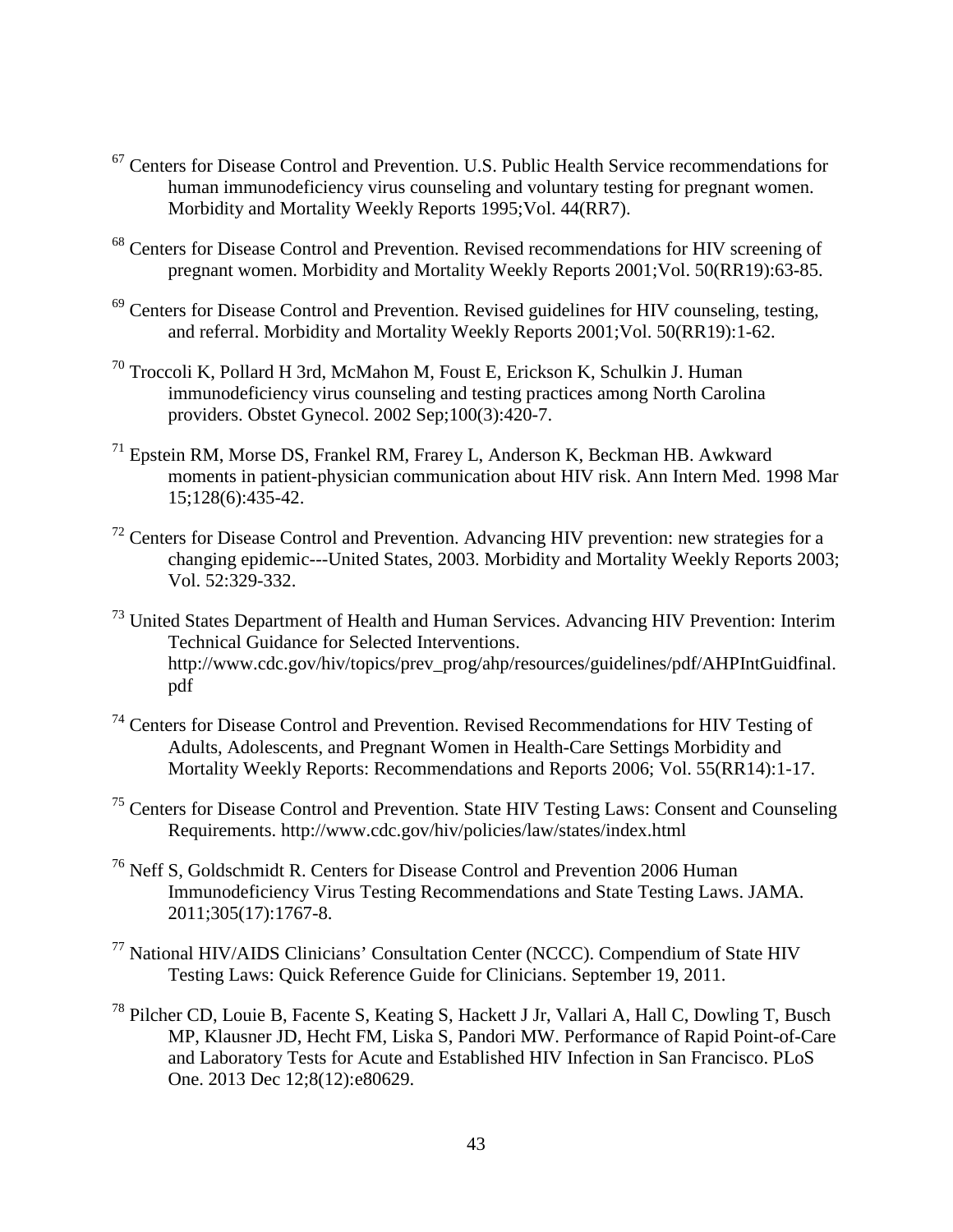- <span id="page-50-7"></span><sup>67</sup> Centers for Disease Control and Prevention. U.S. Public Health Service recommendations for human immunodeficiency virus counseling and voluntary testing for pregnant women. Morbidity and Mortality Weekly Reports 1995;Vol. 44(RR7).
- <span id="page-50-8"></span><sup>68</sup> Centers for Disease Control and Prevention. Revised recommendations for HIV screening of pregnant women. Morbidity and Mortality Weekly Reports 2001;Vol. 50(RR19):63-85.
- <span id="page-50-9"></span> $69$  Centers for Disease Control and Prevention. Revised guidelines for HIV counseling, testing, and referral. Morbidity and Mortality Weekly Reports 2001;Vol. 50(RR19):1-62.
- <span id="page-50-10"></span><sup>70</sup> Troccoli K, Pollard H 3rd, McMahon M, Foust E, Erickson K, Schulkin J. Human immunodeficiency virus counseling and testing practices among North Carolina providers. Obstet Gynecol. 2002 Sep;100(3):420-7.
- <span id="page-50-11"></span><sup>71</sup> Epstein RM, Morse DS, Frankel RM, Frarey L, Anderson K, Beckman HB. Awkward moments in patient-physician communication about HIV risk. Ann Intern Med. 1998 Mar 15;128(6):435-42.
- <span id="page-50-12"></span><span id="page-50-0"></span> $72$  Centers for Disease Control and Prevention. Advancing HIV prevention: new strategies for a changing epidemic---United States, 2003. Morbidity and Mortality Weekly Reports 2003; Vol. 52:329-332.
- <span id="page-50-13"></span><span id="page-50-1"></span><sup>73</sup> United States Department of Health and Human Services. Advancing HIV Prevention: Interim Technical Guidance for Selected Interventions. http://www.cdc.gov/hiv/topics/prev\_prog/ahp/resources/guidelines/pdf/AHPIntGuidfinal. pdf
- <span id="page-50-14"></span><span id="page-50-3"></span><span id="page-50-2"></span><sup>74</sup> Centers for Disease Control and Prevention. Revised Recommendations for HIV Testing of Adults, Adolescents, and Pregnant Women in Health-Care Settings Morbidity and Mortality Weekly Reports: Recommendations and Reports 2006; Vol. 55(RR14):1-17.
- <span id="page-50-4"></span><sup>75</sup> Centers for Disease Control and Prevention. State HIV Testing Laws: Consent and Counseling Requirements. http://www.cdc.gov/hiv/policies/law/states/index.html
- <span id="page-50-5"></span><sup>76</sup> Neff S, Goldschmidt R. Centers for Disease Control and Prevention 2006 Human Immunodeficiency Virus Testing Recommendations and State Testing Laws. JAMA. 2011;305(17):1767-8.
- <span id="page-50-6"></span><sup>77</sup> National HIV/AIDS Clinicians' Consultation Center (NCCC). Compendium of State HIV Testing Laws: Quick Reference Guide for Clinicians. September 19, 2011.
- <sup>78</sup> Pilcher CD, Louie B, Facente S, Keating S, Hackett J Jr, Vallari A, Hall C, Dowling T, Busch MP, Klausner JD, Hecht FM, Liska S, Pandori MW. Performance of Rapid Point-of-Care and Laboratory Tests for Acute and Established HIV Infection in San Francisco. PLoS One. 2013 Dec 12;8(12):e80629.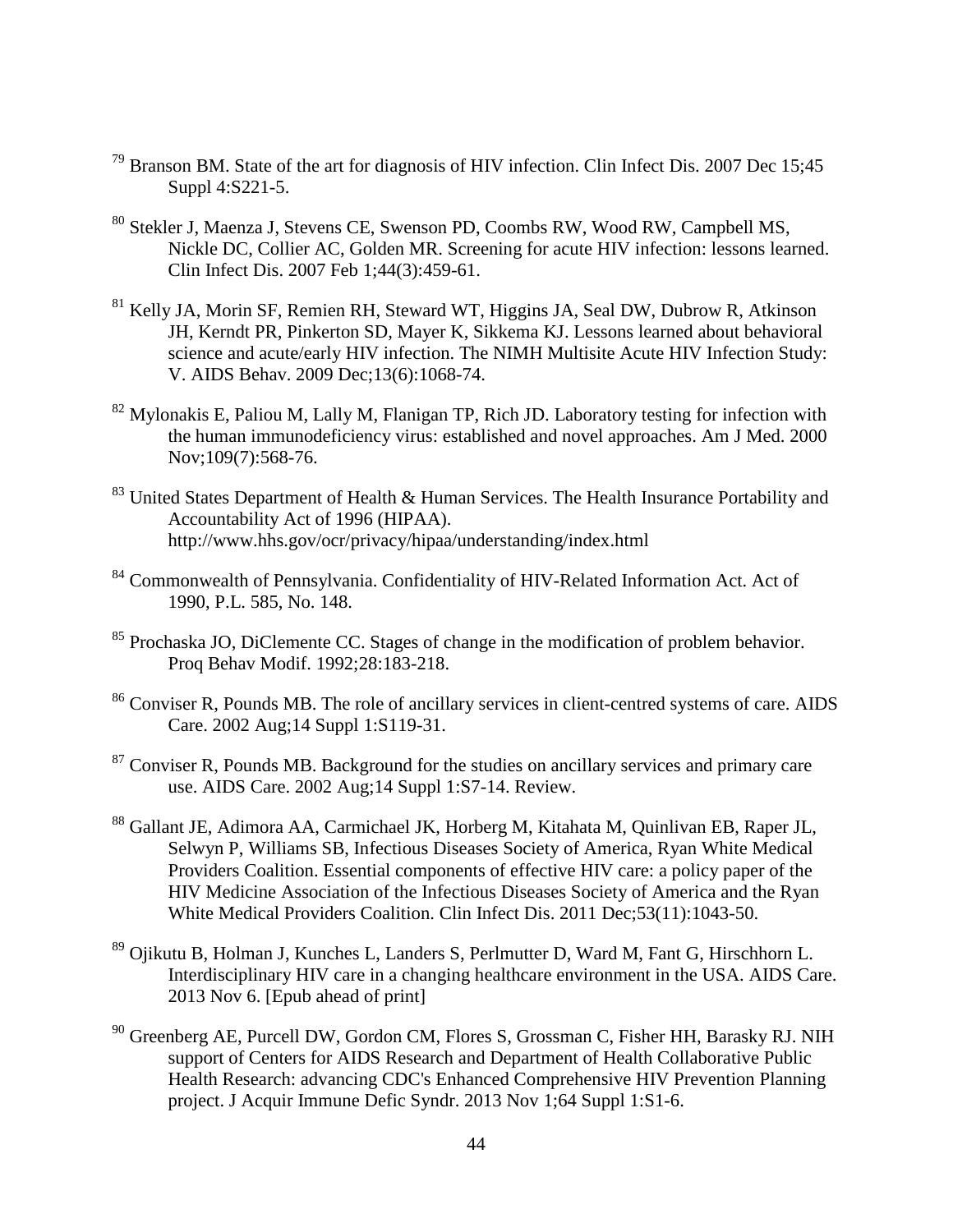- <span id="page-51-4"></span><sup>79</sup> Branson BM. State of the art for diagnosis of HIV infection. Clin Infect Dis. 2007 Dec 15;45 Suppl 4:S221-5.
- <sup>80</sup> Stekler J, Maenza J, Stevens CE, Swenson PD, Coombs RW, Wood RW, Campbell MS, Nickle DC, Collier AC, Golden MR. Screening for acute HIV infection: lessons learned. Clin Infect Dis. 2007 Feb 1;44(3):459-61.
- <sup>81</sup> Kelly JA, Morin SF, Remien RH, Steward WT, Higgins JA, Seal DW, Dubrow R, Atkinson JH, Kerndt PR, Pinkerton SD, Mayer K, Sikkema KJ. Lessons learned about behavioral science and acute/early HIV infection. The NIMH Multisite Acute HIV Infection Study: V. AIDS Behav. 2009 Dec;13(6):1068-74.
- <sup>82</sup> Mylonakis E, Paliou M, Lally M, Flanigan TP, Rich JD. Laboratory testing for infection with the human immunodeficiency virus: established and novel approaches. Am J Med. 2000 Nov;109(7):568-76.
- <sup>83</sup> United States Department of Health & Human Services. The Health Insurance Portability and Accountability Act of 1996 (HIPAA). http://www.hhs.gov/ocr/privacy/hipaa/understanding/index.html
- <sup>84</sup> Commonwealth of Pennsylvania. Confidentiality of HIV-Related Information Act. Act of 1990, P.L. 585, No. 148.
- <sup>85</sup> Prochaska JO, DiClemente CC. Stages of change in the modification of problem behavior. Proq Behav Modif. 1992;28:183-218.
- <sup>86</sup> Conviser R, Pounds MB. The role of ancillary services in client-centred systems of care. AIDS Care. 2002 Aug;14 Suppl 1:S119-31.
- <span id="page-51-0"></span> $87$  Conviser R, Pounds MB. Background for the studies on ancillary services and primary care use. AIDS Care. 2002 Aug;14 Suppl 1:S7-14. Review.
- <span id="page-51-1"></span><sup>88</sup> Gallant JE, Adimora AA, Carmichael JK, Horberg M, Kitahata M, Quinlivan EB, Raper JL, Selwyn P, Williams SB, Infectious Diseases Society of America, Ryan White Medical Providers Coalition. Essential components of effective HIV care: a policy paper of the HIV Medicine Association of the Infectious Diseases Society of America and the Ryan White Medical Providers Coalition. Clin Infect Dis. 2011 Dec;53(11):1043-50.
- <span id="page-51-2"></span><sup>89</sup> Ojikutu B, Holman J, Kunches L, Landers S, Perlmutter D, Ward M, Fant G, Hirschhorn L. Interdisciplinary HIV care in a changing healthcare environment in the USA. AIDS Care. 2013 Nov 6. [Epub ahead of print]
- <span id="page-51-3"></span><sup>90</sup> Greenberg AE, Purcell DW, Gordon CM, Flores S, Grossman C, Fisher HH, Barasky RJ. NIH support of Centers for AIDS Research and Department of Health Collaborative Public Health Research: advancing CDC's Enhanced Comprehensive HIV Prevention Planning project. J Acquir Immune Defic Syndr. 2013 Nov 1;64 Suppl 1:S1-6.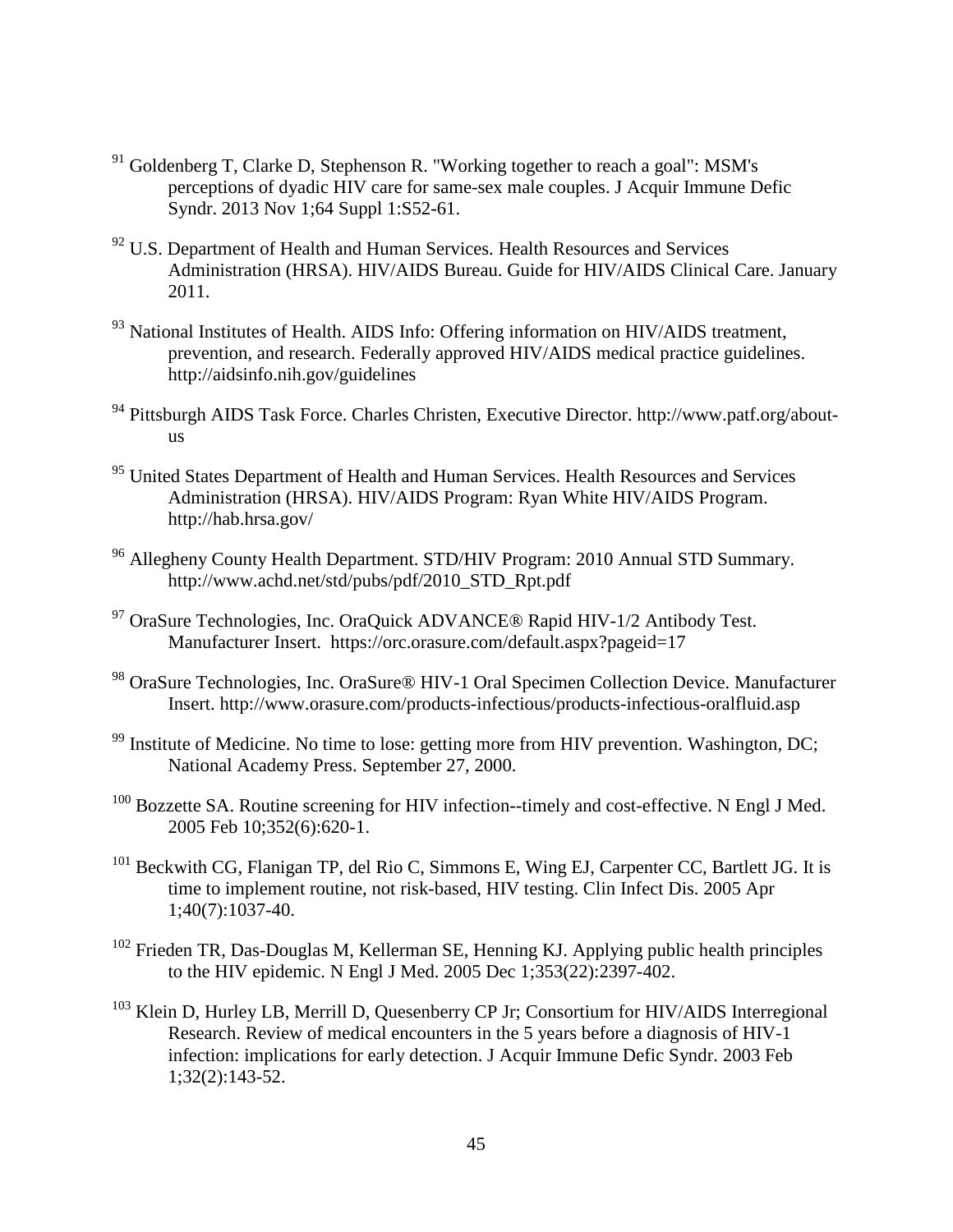- $91$  Goldenberg T, Clarke D, Stephenson R. "Working together to reach a goal": MSM's perceptions of dyadic HIV care for same-sex male couples. J Acquir Immune Defic Syndr. 2013 Nov 1;64 Suppl 1:S52-61.
- <span id="page-52-0"></span> $92$  U.S. Department of Health and Human Services. Health Resources and Services Administration (HRSA). HIV/AIDS Bureau. Guide for HIV/AIDS Clinical Care. January 2011.
- <span id="page-52-1"></span><sup>93</sup> National Institutes of Health. AIDS Info: Offering information on HIV/AIDS treatment, prevention, and research. Federally approved HIV/AIDS medical practice guidelines. http://aidsinfo.nih.gov/guidelines
- <sup>94</sup> Pittsburgh AIDS Task Force. Charles Christen, Executive Director. http://www.patf.org/aboutus
- <sup>95</sup> United States Department of Health and Human Services. Health Resources and Services Administration (HRSA). HIV/AIDS Program: Ryan White HIV/AIDS Program. http://hab.hrsa.gov/
- <sup>96</sup> Allegheny County Health Department. STD/HIV Program: 2010 Annual STD Summary. http://www.achd.net/std/pubs/pdf/2010\_STD\_Rpt.pdf
- <sup>97</sup> OraSure Technologies, Inc. OraQuick ADVANCE® Rapid HIV-1/2 Antibody Test. Manufacturer Insert. https://orc.orasure.com/default.aspx?pageid=17
- <sup>98</sup> OraSure Technologies, Inc. OraSure® HIV-1 Oral Specimen Collection Device. Manufacturer Insert. http://www.orasure.com/products-infectious/products-infectious-oralfluid.asp
- <sup>99</sup> Institute of Medicine. No time to lose: getting more from HIV prevention. Washington, DC; National Academy Press. September 27, 2000.
- <sup>100</sup> Bozzette SA. Routine screening for HIV infection--timely and cost-effective. N Engl J Med. 2005 Feb 10;352(6):620-1.
- <sup>101</sup> Beckwith CG, Flanigan TP, del Rio C, Simmons E, Wing EJ, Carpenter CC, Bartlett JG. It is time to implement routine, not risk-based, HIV testing. Clin Infect Dis. 2005 Apr 1;40(7):1037-40.
- $102$  Frieden TR, Das-Douglas M, Kellerman SE, Henning KJ. Applying public health principles to the HIV epidemic. N Engl J Med. 2005 Dec 1;353(22):2397-402.
- <sup>103</sup> Klein D, Hurley LB, Merrill D, Quesenberry CP Jr; Consortium for HIV/AIDS Interregional Research. Review of medical encounters in the 5 years before a diagnosis of HIV-1 infection: implications for early detection. J Acquir Immune Defic Syndr. 2003 Feb 1;32(2):143-52.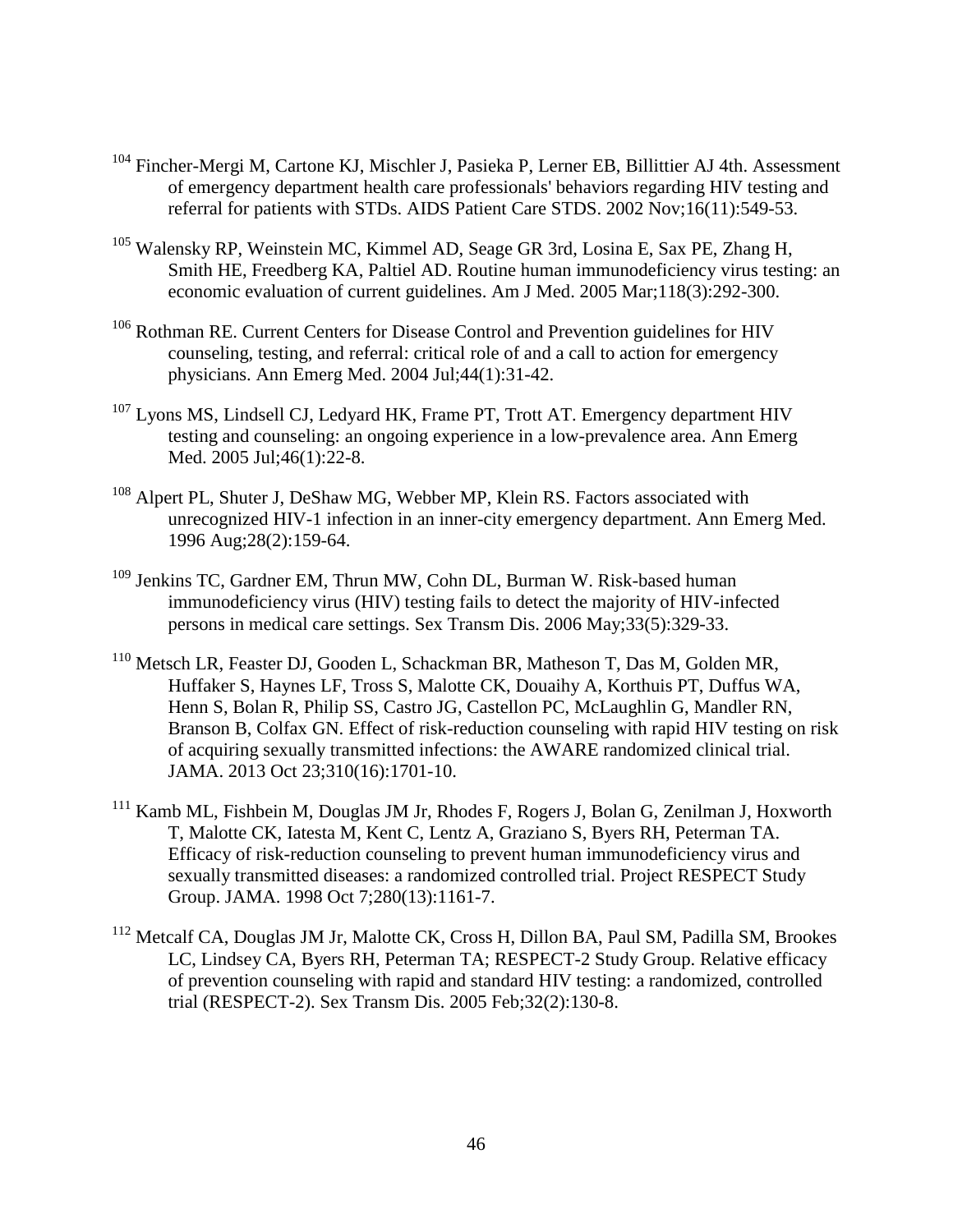- <span id="page-53-8"></span><sup>104</sup> Fincher-Mergi M, Cartone KJ, Mischler J, Pasieka P, Lerner EB, Billittier AJ 4th. Assessment of emergency department health care professionals' behaviors regarding HIV testing and referral for patients with STDs. AIDS Patient Care STDS. 2002 Nov;16(11):549-53.
- <span id="page-53-9"></span><sup>105</sup> Walensky RP, Weinstein MC, Kimmel AD, Seage GR 3rd, Losina E, Sax PE, Zhang H, Smith HE, Freedberg KA, Paltiel AD. Routine human immunodeficiency virus testing: an economic evaluation of current guidelines. Am J Med. 2005 Mar;118(3):292-300.
- <span id="page-53-10"></span><sup>106</sup> Rothman RE. Current Centers for Disease Control and Prevention guidelines for HIV counseling, testing, and referral: critical role of and a call to action for emergency physicians. Ann Emerg Med. 2004 Jul;44(1):31-42.
- <span id="page-53-0"></span><sup>107</sup> Lyons MS, Lindsell CJ, Ledyard HK, Frame PT, Trott AT. Emergency department HIV testing and counseling: an ongoing experience in a low-prevalence area. Ann Emerg Med. 2005 Jul;46(1):22-8.
- <span id="page-53-11"></span><span id="page-53-1"></span><sup>108</sup> Alpert PL, Shuter J, DeShaw MG, Webber MP, Klein RS. Factors associated with unrecognized HIV-1 infection in an inner-city emergency department. Ann Emerg Med. 1996 Aug;28(2):159-64.
- <span id="page-53-2"></span><sup>109</sup> Jenkins TC, Gardner EM, Thrun MW, Cohn DL, Burman W. Risk-based human immunodeficiency virus (HIV) testing fails to detect the majority of HIV-infected persons in medical care settings. Sex Transm Dis. 2006 May;33(5):329-33.
- <span id="page-53-4"></span><span id="page-53-3"></span><sup>110</sup> Metsch LR, Feaster DJ, Gooden L, Schackman BR, Matheson T, Das M, Golden MR, Huffaker S, Haynes LF, Tross S, Malotte CK, Douaihy A, Korthuis PT, Duffus WA, Henn S, Bolan R, Philip SS, Castro JG, Castellon PC, McLaughlin G, Mandler RN, Branson B, Colfax GN. Effect of risk-reduction counseling with rapid HIV testing on risk of acquiring sexually transmitted infections: the AWARE randomized clinical trial. JAMA. 2013 Oct 23;310(16):1701-10.
- <span id="page-53-5"></span><sup>111</sup> Kamb ML, Fishbein M, Douglas JM Jr, Rhodes F, Rogers J, Bolan G, Zenilman J, Hoxworth T, Malotte CK, Iatesta M, Kent C, Lentz A, Graziano S, Byers RH, Peterman TA. Efficacy of risk-reduction counseling to prevent human immunodeficiency virus and sexually transmitted diseases: a randomized controlled trial. Project RESPECT Study Group. JAMA. 1998 Oct 7;280(13):1161-7.
- <span id="page-53-7"></span><span id="page-53-6"></span><sup>112</sup> Metcalf CA, Douglas JM Jr, Malotte CK, Cross H, Dillon BA, Paul SM, Padilla SM, Brookes LC, Lindsey CA, Byers RH, Peterman TA; RESPECT-2 Study Group. Relative efficacy of prevention counseling with rapid and standard HIV testing: a randomized, controlled trial (RESPECT-2). Sex Transm Dis. 2005 Feb;32(2):130-8.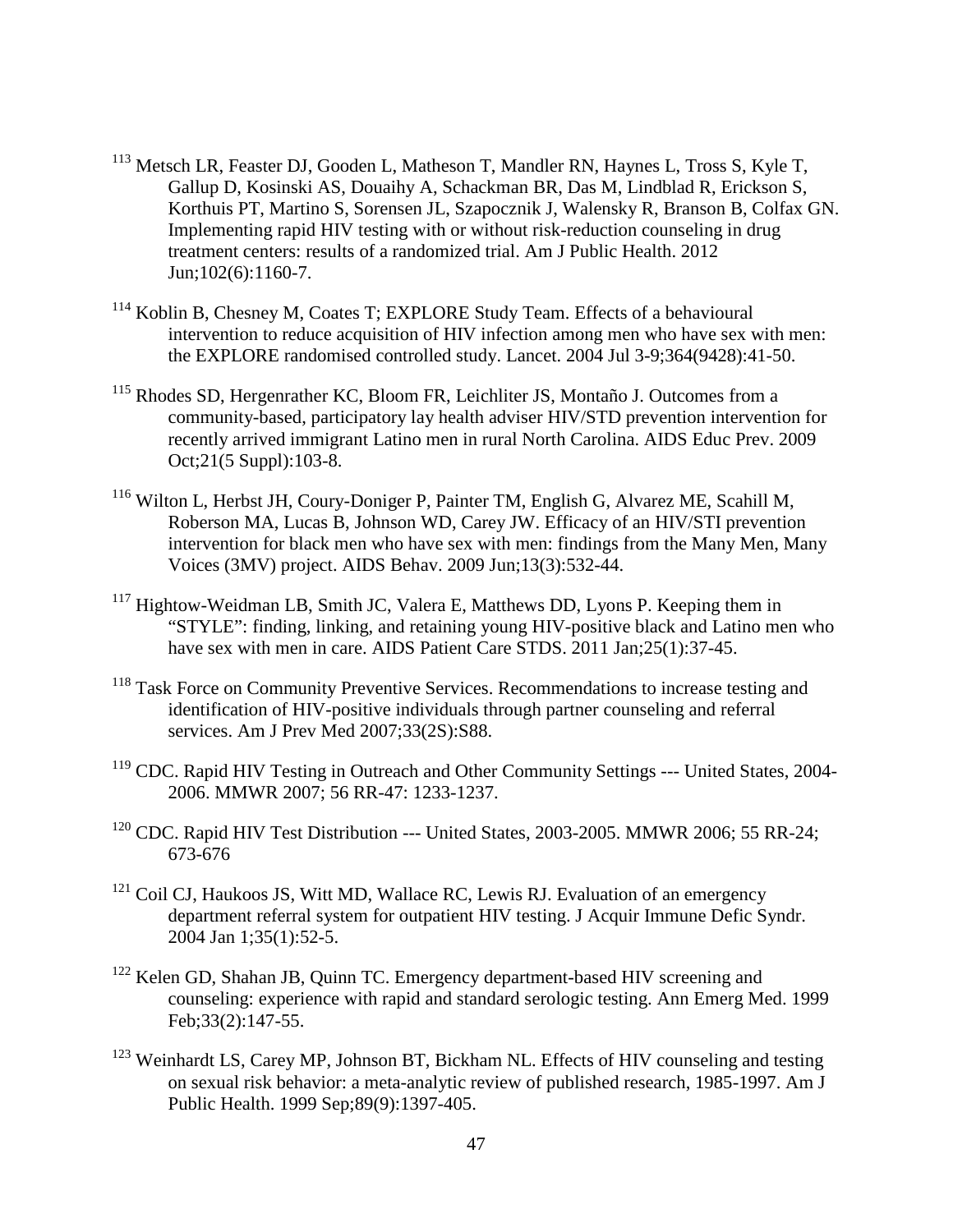- <sup>113</sup> Metsch LR, Feaster DJ, Gooden L, Matheson T, Mandler RN, Haynes L, Tross S, Kyle T, Gallup D, Kosinski AS, Douaihy A, Schackman BR, Das M, Lindblad R, Erickson S, Korthuis PT, Martino S, Sorensen JL, Szapocznik J, Walensky R, Branson B, Colfax GN. Implementing rapid HIV testing with or without risk-reduction counseling in drug treatment centers: results of a randomized trial. Am J Public Health. 2012 Jun;102(6):1160-7.
- <sup>114</sup> Koblin B, Chesney M, Coates T; EXPLORE Study Team. Effects of a behavioural intervention to reduce acquisition of HIV infection among men who have sex with men: the EXPLORE randomised controlled study. Lancet. 2004 Jul 3-9;364(9428):41-50.
- <sup>115</sup> Rhodes SD, Hergenrather KC, Bloom FR, Leichliter JS, Montaño J. Outcomes from a community-based, participatory lay health adviser HIV/STD prevention intervention for recently arrived immigrant Latino men in rural North Carolina. AIDS Educ Prev. 2009 Oct;21(5 Suppl):103-8.
- <sup>116</sup> Wilton L, Herbst JH, Coury-Doniger P, Painter TM, English G, Alvarez ME, Scahill M, Roberson MA, Lucas B, Johnson WD, Carey JW. Efficacy of an HIV/STI prevention intervention for black men who have sex with men: findings from the Many Men, Many Voices (3MV) project. AIDS Behav. 2009 Jun;13(3):532-44.
- <span id="page-54-0"></span><sup>117</sup> Hightow-Weidman LB, Smith JC, Valera E, Matthews DD, Lyons P. Keeping them in "STYLE": finding, linking, and retaining young HIV-positive black and Latino men who have sex with men in care. AIDS Patient Care STDS. 2011 Jan; 25(1): 37-45.
- <span id="page-54-1"></span><sup>118</sup> Task Force on Community Preventive Services. Recommendations to increase testing and identification of HIV-positive individuals through partner counseling and referral services. Am J Prev Med 2007;33(2S):S88.
- <sup>119</sup> CDC. Rapid HIV Testing in Outreach and Other Community Settings --- United States, 2004-2006. MMWR 2007; 56 RR-47: 1233-1237.
- <sup>120</sup> CDC. Rapid HIV Test Distribution --- United States, 2003-2005. MMWR 2006: 55 RR-24: 673-676
- $121$  Coil CJ, Haukoos JS, Witt MD, Wallace RC, Lewis RJ. Evaluation of an emergency department referral system for outpatient HIV testing. J Acquir Immune Defic Syndr. 2004 Jan 1;35(1):52-5.
- <sup>122</sup> Kelen GD, Shahan JB, Quinn TC. Emergency department-based HIV screening and counseling: experience with rapid and standard serologic testing. Ann Emerg Med. 1999 Feb;33(2):147-55.
- <sup>123</sup> Weinhardt LS, Carey MP, Johnson BT, Bickham NL. Effects of HIV counseling and testing on sexual risk behavior: a meta-analytic review of published research, 1985-1997. Am J Public Health. 1999 Sep;89(9):1397-405.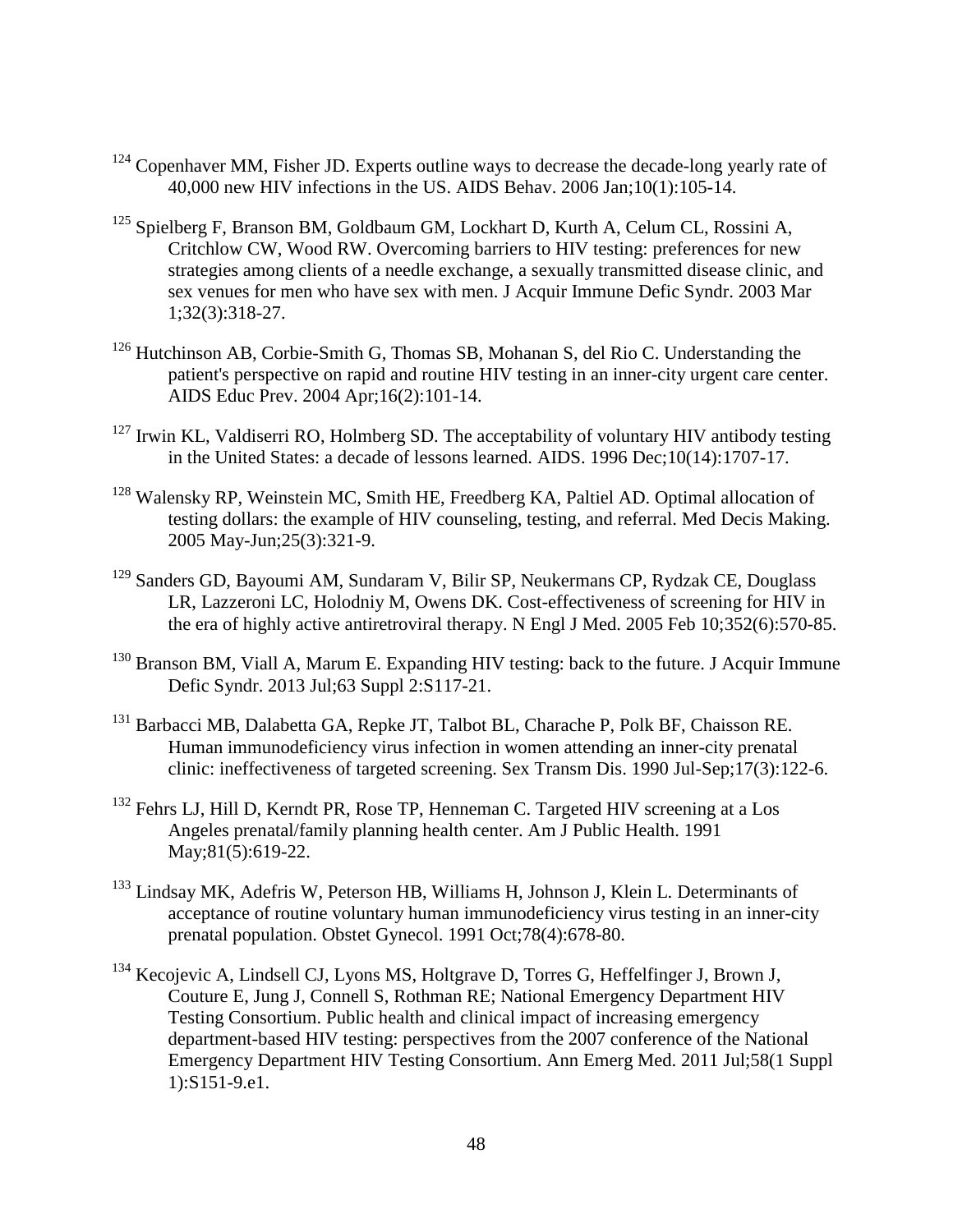- <span id="page-55-4"></span> $124$  Copenhaver MM, Fisher JD. Experts outline ways to decrease the decade-long yearly rate of 40,000 new HIV infections in the US. AIDS Behav. 2006 Jan;10(1):105-14.
- <span id="page-55-5"></span><sup>125</sup> Spielberg F, Branson BM, Goldbaum GM, Lockhart D, Kurth A, Celum CL, Rossini A, Critchlow CW, Wood RW. Overcoming barriers to HIV testing: preferences for new strategies among clients of a needle exchange, a sexually transmitted disease clinic, and sex venues for men who have sex with men. J Acquir Immune Defic Syndr. 2003 Mar 1;32(3):318-27.
- <span id="page-55-7"></span><span id="page-55-6"></span><sup>126</sup> Hutchinson AB, Corbie-Smith G, Thomas SB, Mohanan S, del Rio C. Understanding the patient's perspective on rapid and routine HIV testing in an inner-city urgent care center. AIDS Educ Prev. 2004 Apr;16(2):101-14.
- <span id="page-55-8"></span> $127$  Irwin KL, Valdiserri RO, Holmberg SD. The acceptability of voluntary HIV antibody testing in the United States: a decade of lessons learned. AIDS. 1996 Dec;10(14):1707-17.
- <sup>128</sup> Walensky RP, Weinstein MC, Smith HE, Freedberg KA, Paltiel AD. Optimal allocation of testing dollars: the example of HIV counseling, testing, and referral. Med Decis Making. 2005 May-Jun;25(3):321-9.
- <sup>129</sup> Sanders GD, Bayoumi AM, Sundaram V, Bilir SP, Neukermans CP, Rydzak CE, Douglass LR, Lazzeroni LC, Holodniy M, Owens DK. Cost-effectiveness of screening for HIV in the era of highly active antiretroviral therapy. N Engl J Med. 2005 Feb 10;352(6):570-85.
- $130$  Branson BM, Viall A, Marum E. Expanding HIV testing: back to the future. J Acquir Immune Defic Syndr. 2013 Jul;63 Suppl 2:S117-21.
- <sup>131</sup> Barbacci MB, Dalabetta GA, Repke JT, Talbot BL, Charache P, Polk BF, Chaisson RE. Human immunodeficiency virus infection in women attending an inner-city prenatal clinic: ineffectiveness of targeted screening. Sex Transm Dis. 1990 Jul-Sep;17(3):122-6.
- <span id="page-55-0"></span><sup>132</sup> Fehrs LJ, Hill D, Kerndt PR, Rose TP, Henneman C. Targeted HIV screening at a Los Angeles prenatal/family planning health center. Am J Public Health. 1991 May;81(5):619-22.
- <span id="page-55-1"></span><sup>133</sup> Lindsay MK, Adefris W, Peterson HB, Williams H, Johnson J, Klein L. Determinants of acceptance of routine voluntary human immunodeficiency virus testing in an inner-city prenatal population. Obstet Gynecol. 1991 Oct;78(4):678-80.
- <span id="page-55-3"></span><span id="page-55-2"></span><sup>134</sup> Kecojevic A, Lindsell CJ, Lyons MS, Holtgrave D, Torres G, Heffelfinger J, Brown J, Couture E, Jung J, Connell S, Rothman RE; National Emergency Department HIV Testing Consortium. Public health and clinical impact of increasing emergency department-based HIV testing: perspectives from the 2007 conference of the National Emergency Department HIV Testing Consortium. Ann Emerg Med. 2011 Jul;58(1 Suppl 1):S151-9.e1.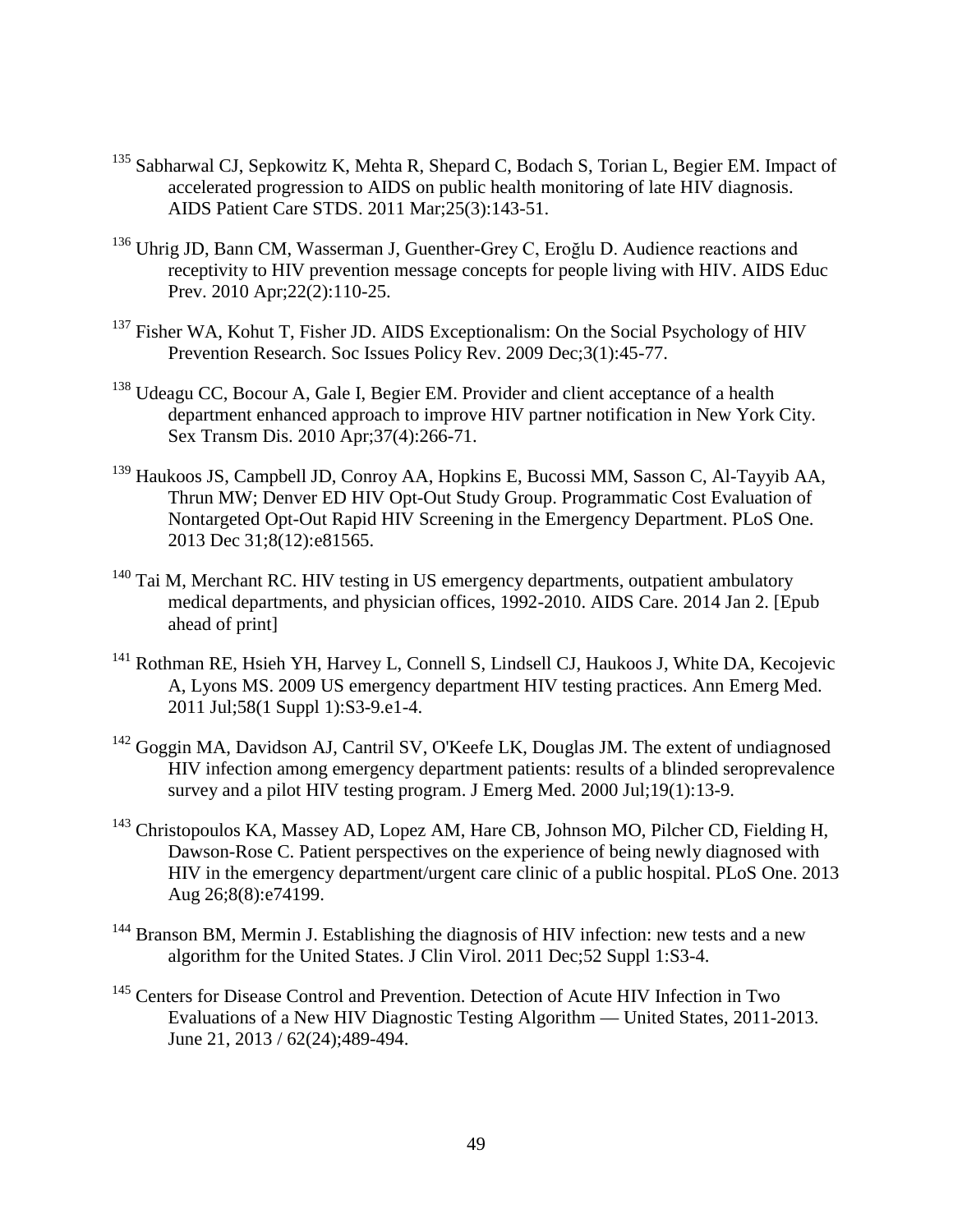- <sup>135</sup> Sabharwal CJ, Sepkowitz K, Mehta R, Shepard C, Bodach S, Torian L, Begier EM. Impact of accelerated progression to AIDS on public health monitoring of late HIV diagnosis. AIDS Patient Care STDS. 2011 Mar;25(3):143-51.
- <sup>136</sup> Uhrig JD, Bann CM, Wasserman J, Guenther-Grey C, Eroğlu D. Audience reactions and receptivity to HIV prevention message concepts for people living with HIV. AIDS Educ Prev. 2010 Apr;22(2):110-25.
- $137$  Fisher WA, Kohut T, Fisher JD. AIDS Exceptionalism: On the Social Psychology of HIV Prevention Research. Soc Issues Policy Rev. 2009 Dec;3(1):45-77.
- $138$  Udeagu CC, Bocour A, Gale I, Begier EM. Provider and client acceptance of a health department enhanced approach to improve HIV partner notification in New York City. Sex Transm Dis. 2010 Apr;37(4):266-71.
- <sup>139</sup> Haukoos JS, Campbell JD, Conroy AA, Hopkins E, Bucossi MM, Sasson C, Al-Tayyib AA, Thrun MW; Denver ED HIV Opt-Out Study Group. Programmatic Cost Evaluation of Nontargeted Opt-Out Rapid HIV Screening in the Emergency Department. PLoS One. 2013 Dec 31;8(12):e81565.
- <span id="page-56-0"></span><sup>140</sup> Tai M, Merchant RC. HIV testing in US emergency departments, outpatient ambulatory medical departments, and physician offices, 1992-2010. AIDS Care. 2014 Jan 2. [Epub ahead of print]
- <span id="page-56-1"></span><sup>141</sup> Rothman RE, Hsieh YH, Harvey L, Connell S, Lindsell CJ, Haukoos J, White DA, Kecojevic A, Lyons MS. 2009 US emergency department HIV testing practices. Ann Emerg Med. 2011 Jul;58(1 Suppl 1):S3-9.e1-4.
- <span id="page-56-2"></span><sup>142</sup> Goggin MA, Davidson AJ, Cantril SV, O'Keefe LK, Douglas JM. The extent of undiagnosed HIV infection among emergency department patients: results of a blinded seroprevalence survey and a pilot HIV testing program. J Emerg Med. 2000 Jul;19(1):13-9.
- <span id="page-56-4"></span><span id="page-56-3"></span><sup>143</sup> Christopoulos KA, Massey AD, Lopez AM, Hare CB, Johnson MO, Pilcher CD, Fielding H, Dawson-Rose C. Patient perspectives on the experience of being newly diagnosed with HIV in the emergency department/urgent care clinic of a public hospital. PLoS One. 2013 Aug 26;8(8):e74199.
- <span id="page-56-5"></span> $144$  Branson BM, Mermin J. Establishing the diagnosis of HIV infection: new tests and a new algorithm for the United States. J Clin Virol. 2011 Dec;52 Suppl 1:S3-4.
- <sup>145</sup> Centers for Disease Control and Prevention. Detection of Acute HIV Infection in Two Evaluations of a New HIV Diagnostic Testing Algorithm — United States, 2011-2013. June 21, 2013 / 62(24);489-494.